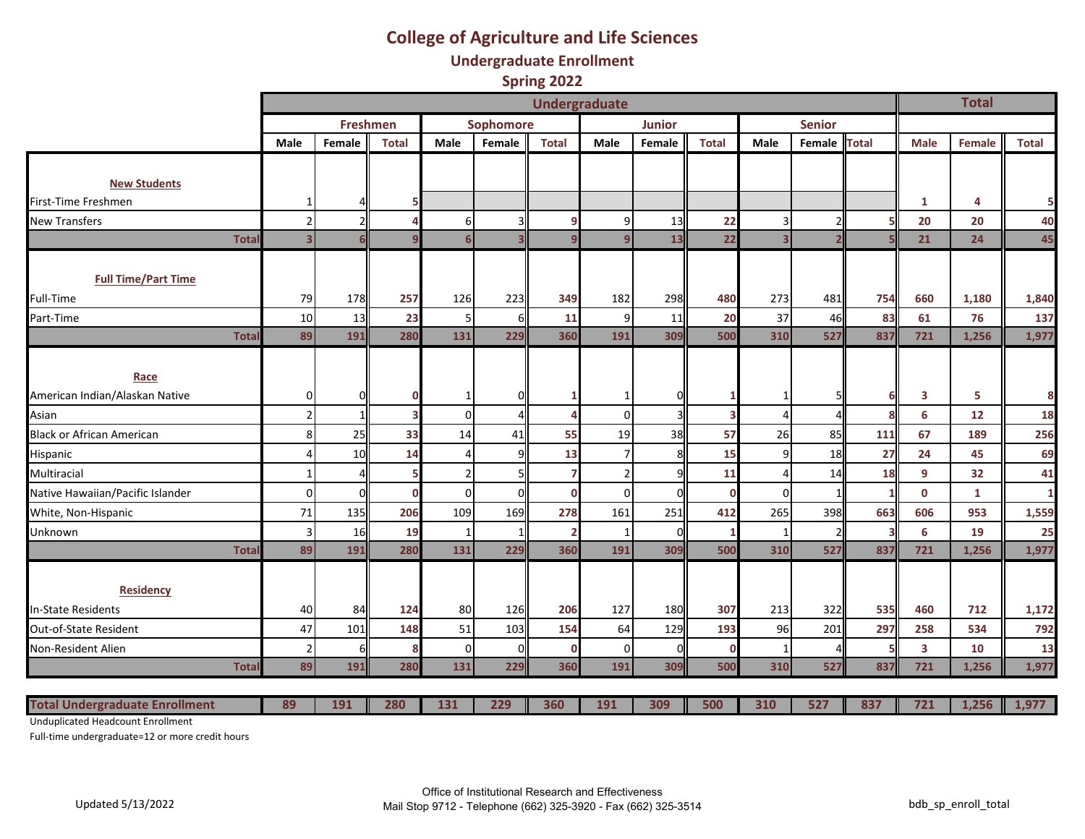# **College of Agriculture and Life Sciences**

**Undergraduate Enrollment**

**Spring 2022**

|                                       |              | <b>Undergraduate</b>    |                 |                         |                  |           |                |                |               |                         |                |               |              |                         | <b>Total</b> |              |
|---------------------------------------|--------------|-------------------------|-----------------|-------------------------|------------------|-----------|----------------|----------------|---------------|-------------------------|----------------|---------------|--------------|-------------------------|--------------|--------------|
|                                       |              |                         | <b>Freshmen</b> |                         |                  | Sophomore |                |                | <b>Junior</b> |                         |                | <b>Senior</b> |              |                         |              |              |
|                                       |              | <b>Male</b>             | Female          | <b>Total</b>            | Male             | Female    | <b>Total</b>   | Male           | Female        | <b>Total</b>            | Male           | Female        | <b>Total</b> | <b>Male</b>             | Female       | <b>Total</b> |
|                                       |              |                         |                 |                         |                  |           |                |                |               |                         |                |               |              |                         |              |              |
| <b>New Students</b>                   |              |                         |                 |                         |                  |           |                |                |               |                         |                |               |              |                         |              |              |
| First-Time Freshmen                   |              |                         |                 | 5                       |                  |           |                |                |               |                         |                |               |              | 1                       | 4            | 5            |
| <b>New Transfers</b>                  |              | 2 <sup>1</sup>          | ς               | Δ                       | 61               |           | 9              | 9              | 13            | 22                      | 3              |               | 5            | 20                      | 20           | 40           |
|                                       | <b>Total</b> | $\overline{\mathbf{3}}$ |                 |                         | $6 \overline{6}$ |           | $\mathbf{a}$   | q              | 13            | 22                      |                |               | 5            | 21                      | 24           | 45           |
|                                       |              |                         |                 |                         |                  |           |                |                |               |                         |                |               |              |                         |              |              |
| <b>Full Time/Part Time</b>            |              |                         |                 |                         |                  |           |                |                |               |                         |                |               |              |                         |              |              |
| Full-Time                             |              | 79                      | 178             | 257                     | 126              | 223       | 349            | 182            | 298           | 480                     | 273            | 481           | 754          | 660                     | 1,180        | 1,840        |
| Part-Time                             |              | 10                      | 13              | 23                      | 5 <sub>l</sub>   |           | 11             | $\overline{9}$ | 11            | 20                      | 37             | 46            | 83           | 61                      | 76           | 137          |
|                                       | <b>Total</b> | 89                      | 191             | 280                     | 131              | 229       | 360            | 191            | 309           | 500                     | 310            | 527           | 837          | 721                     | 1,256        | 1,977        |
|                                       |              |                         |                 |                         |                  |           |                |                |               |                         |                |               |              |                         |              |              |
| Race                                  |              |                         |                 |                         |                  |           |                |                |               |                         |                |               |              |                         |              |              |
| American Indian/Alaskan Native        |              | 0                       | 0               | $\bf{0}$                |                  |           |                | 1              |               | 1                       |                |               | 6            | $\overline{\mathbf{3}}$ | 5            | 8            |
| Asian                                 |              | $2 \vert$               | 1               | $\overline{\mathbf{3}}$ | $\Omega$         |           |                | $\overline{0}$ |               | $\overline{\mathbf{3}}$ | 4              |               | 8            | 6                       | 12           | 18           |
| <b>Black or African American</b>      |              | 8 <sup>1</sup>          | 25              | 33                      | 14               | 41        | 55             | 19             | 38            | 57                      | 26             | 85            | 111          | 67                      | 189          | 256          |
| Hispanic                              |              | 4                       | 10              | 14                      | $\overline{4}$   |           | 13             | $\overline{7}$ | 8             | 15                      | 9              | 18            | 27           | 24                      | 45           | 69           |
| Multiracial                           |              | $\mathbf{1}$            |                 |                         | 2 <sup>1</sup>   |           |                | $\overline{2}$ |               | 11                      | $\overline{4}$ | 14            | 18           | 9                       | 32           | 41           |
| Native Hawaiian/Pacific Islander      |              | $\overline{0}$          | $\Omega$        | $\Omega$                | $\Omega$         |           | $\mathbf 0$    | $\Omega$       |               | $\mathbf 0$             | $\Omega$       |               | 1            | $\mathbf 0$             | $\mathbf{1}$ |              |
| White, Non-Hispanic                   |              | 71                      | 135             | 206                     | 109              | 169       | 278            | 161            | 251           | 412                     | 265            | 398           | 663          | 606                     | 953          | 1,559        |
| Unknown                               |              | $\vert$ 3               | 16              | 19                      | $\mathbf{1}$     |           | $\overline{2}$ | 1              |               | 1                       |                |               | З            | 6                       | 19           | 25           |
|                                       | <b>Total</b> | 89                      | 191             | 280                     | 131              | 229       | 360            | 191            | 309           | 500                     | 310            | 527           | 837          | 721                     | 1,256        | 1,977        |
|                                       |              |                         |                 |                         |                  |           |                |                |               |                         |                |               |              |                         |              |              |
| <b>Residency</b>                      |              |                         |                 |                         |                  |           |                |                |               |                         |                |               |              |                         |              |              |
| n-State Residents                     |              | 40                      | 84              | 124                     | 80               | 126       | 206            | 127            | 180           | 307                     | 213            | 322           | 535          | 460                     | 712          | 1,172        |
| Out-of-State Resident                 |              | 47                      | 101             | 148                     | 51               | 103       | 154            | 64             | 129           | 193                     | 96             | 201           | 297          | 258                     | 534          | 792          |
| Non-Resident Alien                    |              | 2                       | f               | 8                       | $\Omega$         |           | $\mathbf 0$    | $\overline{0}$ |               | $\Omega$                |                |               | 5            | $\overline{\mathbf{3}}$ | 10           | 13           |
|                                       | <b>Total</b> | 89                      | 191             | 280                     | 131              | 229       | 360            | 191            | 309           | 500                     | 310            | 527           | 837          | 721                     | 1,256        | 1,977        |
| <b>Total Undergraduate Enrollment</b> |              | 89                      | 191             | 280                     | 131              | 229       | 360            | 191            | 309           | 500                     | 310            | 527           | 837          | 721                     | 1,256        | 1,977        |
|                                       |              |                         |                 |                         |                  |           |                |                |               |                         |                |               |              |                         |              |              |

Unduplicated Headcount Enrollment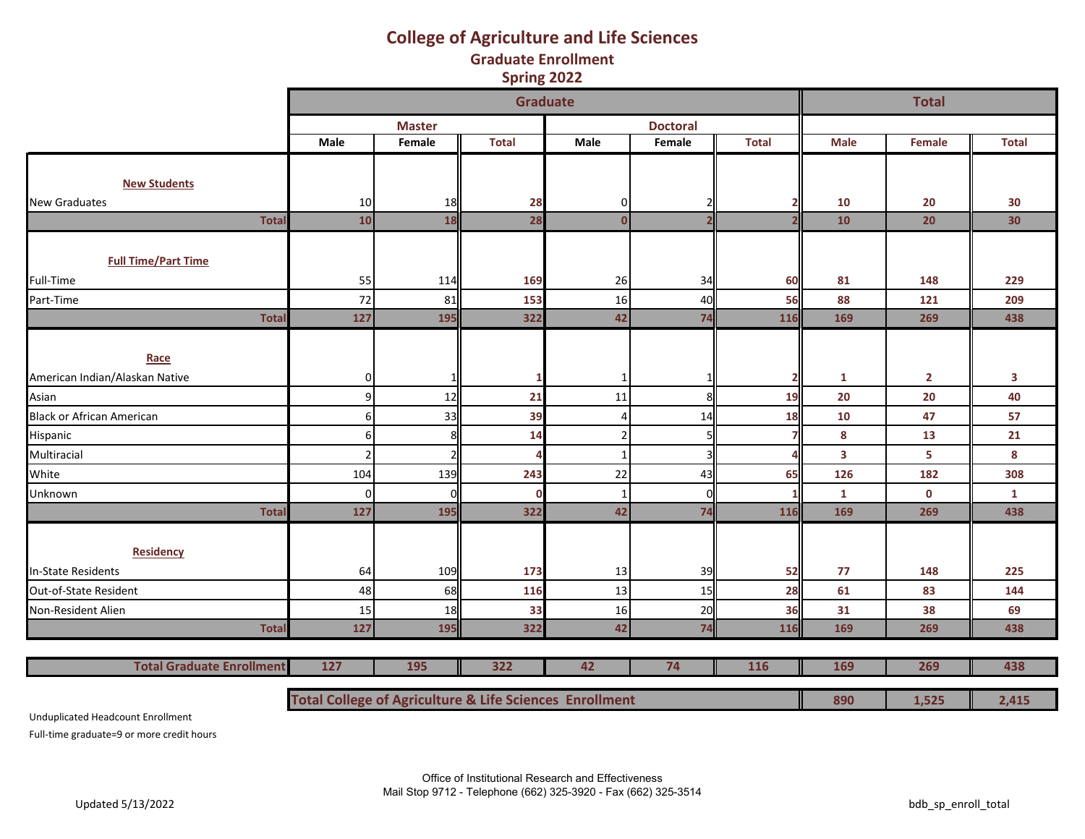### **College of Agriculture and Life Sciences Graduate Enrollment Spring 2022**

|                                  |                                                                    |               | <b>Graduate</b> |              |                         |              |              | <b>Total</b>   |              |
|----------------------------------|--------------------------------------------------------------------|---------------|-----------------|--------------|-------------------------|--------------|--------------|----------------|--------------|
|                                  |                                                                    | <b>Master</b> |                 |              | <b>Doctoral</b>         |              |              |                |              |
|                                  | <b>Male</b>                                                        | Female        | <b>Total</b>    | Male         | Female                  | <b>Total</b> | <b>Male</b>  | Female         | <b>Total</b> |
|                                  |                                                                    |               |                 |              |                         |              |              |                |              |
| <b>New Students</b>              |                                                                    |               |                 |              |                         |              |              |                |              |
| <b>New Graduates</b>             | 10                                                                 | 18            | 28              | 0            |                         |              | 10           | 20             | 30           |
| <b>Total</b>                     | 10                                                                 | 18            | 28              | $\mathbf{0}$ | $\overline{\mathbf{z}}$ |              | 10           | 20             | 30           |
|                                  |                                                                    |               |                 |              |                         |              |              |                |              |
| <b>Full Time/Part Time</b>       |                                                                    |               |                 |              |                         |              |              |                |              |
| Full-Time                        | 55                                                                 | 114           | 169             | 26           | 34                      | 60           | 81           | 148            | 229          |
| Part-Time                        | 72                                                                 | 81            | 153             | 16           | 40                      | 56           | 88           | 121            | 209          |
| <b>Total</b>                     | 127                                                                | 195           | 322             | 42           | 74                      | 116          | 169          | 269            | 438          |
|                                  |                                                                    |               |                 |              |                         |              |              |                |              |
| Race                             |                                                                    |               |                 |              |                         |              |              |                |              |
| American Indian/Alaskan Native   | 0                                                                  |               |                 |              |                         |              | 1            | $\overline{2}$ | 3            |
| Asian                            | 9                                                                  | 12            | 21              | 11           | 8                       | 19           | 20           | 20             | 40           |
| <b>Black or African American</b> | 6                                                                  | 33            | 39              |              | 14                      | 18           | 10           | 47             | 57           |
| Hispanic                         | 6                                                                  | 8             | 14              |              | 5                       |              | 8            | 13             | 21           |
| Multiracial                      |                                                                    | 2             |                 |              | $\overline{\mathbf{z}}$ |              | $\mathbf{3}$ | 5              | 8            |
| White                            | 104                                                                | 139           | 243             | 22           | 43                      | 65           | 126          | 182            | 308          |
| Unknown                          | $\Omega$                                                           |               | $\Omega$        |              | $\Omega$                |              | $\mathbf{1}$ | $\mathbf 0$    | $\mathbf{1}$ |
| <b>Total</b>                     | 127                                                                | 195           | 322             | 42           | 74                      | 116          | 169          | 269            | 438          |
|                                  |                                                                    |               |                 |              |                         |              |              |                |              |
| <b>Residency</b>                 |                                                                    |               |                 |              |                         |              |              |                |              |
| In-State Residents               | 64                                                                 | 109           | 173             | 13           | 39                      | 52           | 77           | 148            | 225          |
| Out-of-State Resident            | 48                                                                 | 68            | 116             | 13           | 15                      | 28           | 61           | 83             | 144          |
| Non-Resident Alien               | 15                                                                 | 18            | 33              | 16           | 20                      | 36           | 31           | 38             | 69           |
| <b>Total</b>                     | 127                                                                | 195           | 322             | 42           | 74                      | 116          | 169          | 269            | 438          |
|                                  |                                                                    |               |                 |              |                         |              |              |                |              |
| <b>Total Graduate Enrollment</b> | 127                                                                | 195           | 322             | 116          | 169                     | 269          | 438          |                |              |
|                                  | <b>Total College of Agriculture &amp; Life Sciences Enrollment</b> |               |                 |              |                         |              | 890          | 1,525          | 2,415        |

Unduplicated Headcount Enrollment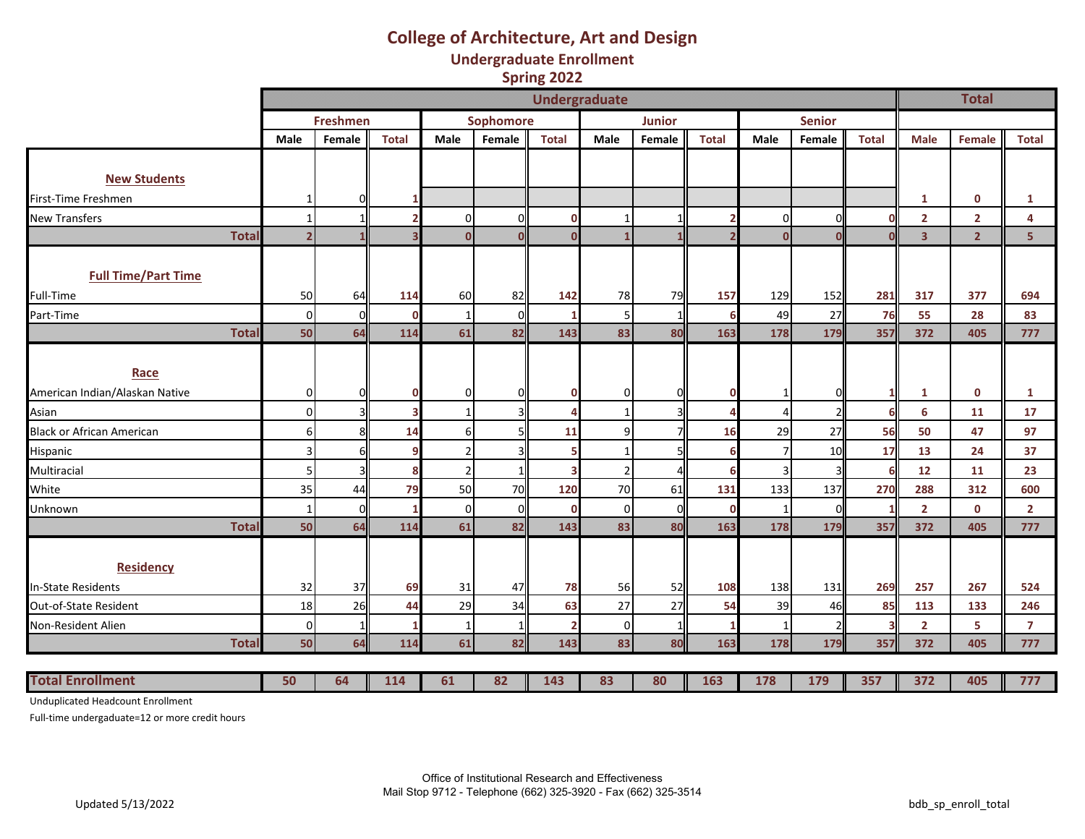## **College of Architecture, Art and Design Undergraduate Enrollment**

**Spring 2022**

|                                        |                     |          |                         |                |           | <b>Undergraduate</b> |                |               |              |          |               |                         |                | <b>Total</b>   |                |
|----------------------------------------|---------------------|----------|-------------------------|----------------|-----------|----------------------|----------------|---------------|--------------|----------|---------------|-------------------------|----------------|----------------|----------------|
|                                        |                     | Freshmen |                         |                | Sophomore |                      |                | <b>Junior</b> |              |          | <b>Senior</b> |                         |                |                |                |
|                                        | Male                | Female   | <b>Total</b>            | Male           | Female    | <b>Total</b>         | Male           | Female        | <b>Total</b> | Male     | Female        | <b>Total</b>            | <b>Male</b>    | <b>Female</b>  | <b>Total</b>   |
|                                        |                     |          |                         |                |           |                      |                |               |              |          |               |                         |                |                |                |
| <b>New Students</b>                    |                     |          |                         |                |           |                      |                |               |              |          |               |                         |                |                |                |
| First-Time Freshmen                    | 1                   |          |                         |                |           |                      |                |               |              |          |               |                         | 1              | $\mathbf 0$    | 1              |
| <b>New Transfers</b>                   | $\mathbf{1}$        |          |                         | $\Omega$       |           | $\mathbf 0$          |                |               |              | 0        | ſ             | $\Omega$                | $\overline{2}$ | $\overline{2}$ | 4              |
| <b>Total</b>                           | 2                   |          | $\overline{\mathbf{3}}$ | $\Omega$       |           | $\Omega$             |                |               |              | $\Omega$ | r             | $\Omega$                | 3 <sup>1</sup> | 2 <sup>1</sup> | 5 <sup>1</sup> |
| <b>Full Time/Part Time</b>             |                     |          |                         |                |           |                      |                |               |              |          |               |                         |                |                |                |
| Full-Time                              | 50                  | 64       | 114                     | 60             | 82        | 142                  | 78             | 79            | 157          | 129      | 152           | 281                     | 317            | 377            | 694            |
| Part-Time                              | $\overline{0}$      | $\Omega$ | $\mathbf 0$             |                |           |                      | 5              |               | 6            | 49       | 27            | 76                      | 55             | 28             | 83             |
| <b>Total</b>                           | 50                  | 64       | 114                     | 61             | 82        | 143                  | 83             | 80            | 163          | 178      | 179           | 357                     | 372            | 405            | 777            |
| Race<br>American Indian/Alaskan Native |                     |          | $\mathbf 0$             | ი              |           | 0                    | 0              |               | $\mathbf 0$  |          | n             |                         |                | $\mathbf 0$    |                |
| Asian                                  | 0<br>$\overline{0}$ |          |                         |                |           |                      |                |               |              |          |               | 1 <sup>1</sup><br>6     | 1<br>6         | 11             | 1<br>17        |
| <b>Black or African American</b>       | 6 <sup>1</sup>      | 8        | 14                      | $6 \mid$       |           | 11                   | 9              |               | 16           | 29       | 27            | 56                      | 50             | 47             | 97             |
| Hispanic                               | $\vert$ 3           |          | q                       | 2              |           |                      |                |               | 6            |          | 10            | 17                      | 13             | 24             | 37             |
| Multiracial                            | $\mathsf{S}$        |          | 8                       | $\mathfrak{p}$ |           | з                    | $\mathfrak z$  |               | 6            |          |               | 6                       | 12             | 11             | 23             |
| White                                  | 35                  | 44       | 79                      | 50             | 70        | 120                  | 70             | 61            | 131          | 133      | 137           | 270                     | 288            | 312            | 600            |
| Unknown                                | $\mathbf{1}$        | $\Omega$ |                         | $\Omega$       | O         | $\mathbf 0$          | $\overline{0}$ | 0l            | $\mathbf 0$  |          | $\Omega$      | $\mathbf{1}$            | $\overline{2}$ | $\mathbf 0$    | $\overline{2}$ |
| <b>Total</b>                           | 50                  | 64       | 114                     | 61             | 82        | 143                  | 83             | 80            | 163          | 178      | 179           | 357                     | 372            | 405            | 777            |
| <b>Residency</b>                       |                     |          |                         |                |           |                      |                |               |              |          |               |                         |                |                |                |
| <b>In-State Residents</b>              | 32                  | 37       | 69                      | 31             | 47        | 78                   | 56             | 52            | 108          | 138      | 131           | 269                     | 257            | 267            | 524            |
| Out-of-State Resident                  | 18                  | 26       | 44                      | 29             | 34        | 63                   | 27             | 27            | 54           | 39       | 46            | 85                      | 113            | 133            | 246            |
| Non-Resident Alien                     | $\overline{0}$      |          |                         | 1              |           |                      | $\overline{0}$ |               | $\mathbf{1}$ |          |               | $\overline{\mathbf{3}}$ | $\overline{2}$ | 5              | $\overline{7}$ |
| <b>Total</b>                           | 50                  | 64       | 114                     | 61             | 82        | 143                  | 83             | 80            | 163          | 178      | 179           | 357                     | 372            | 405            | 777            |
| <b>Total Enrollment</b>                | 50                  | 64       | 114                     | 61             | 82        | 143                  | 83             | 80            | 163          | 178      | 179           | 357                     | 372            | 405            | 777            |

Unduplicated Headcount Enrollment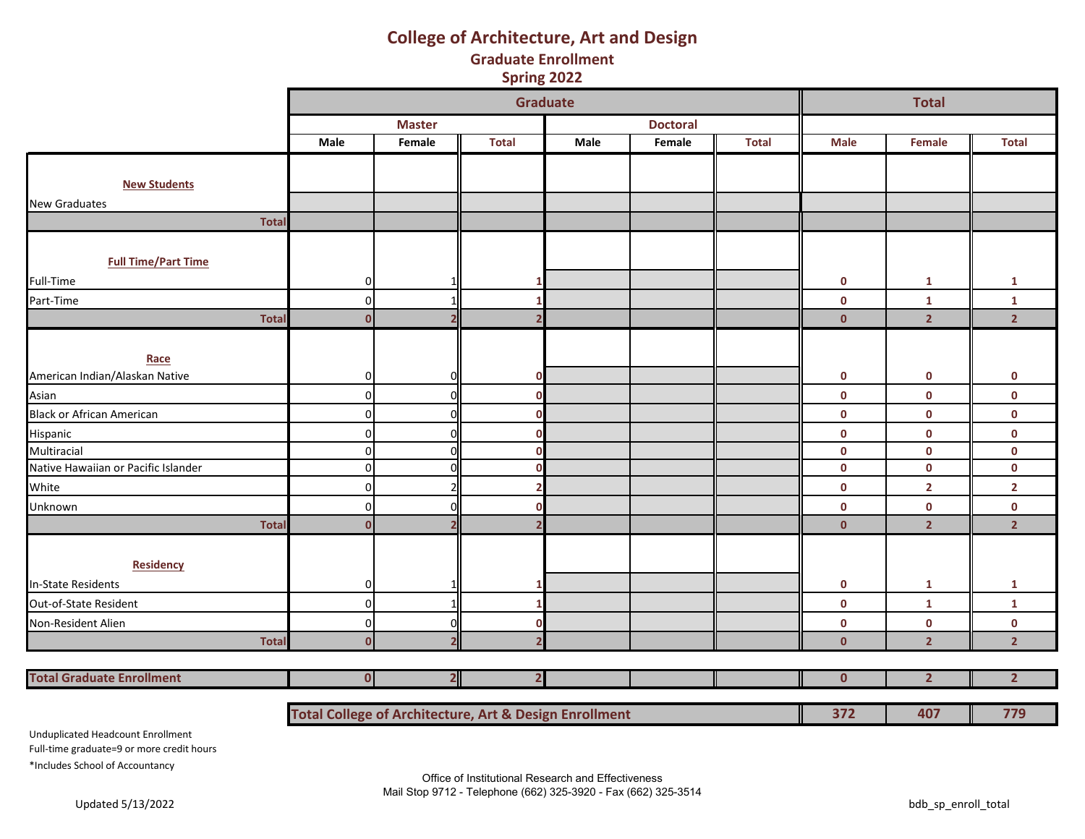## **College of Architecture, Art and Design Graduate Enrollment**

**Spring 2022**

|                                                      |                |                | Graduate     |             |                 |              |              | <b>Total</b>   |                         |
|------------------------------------------------------|----------------|----------------|--------------|-------------|-----------------|--------------|--------------|----------------|-------------------------|
|                                                      |                | <b>Master</b>  |              |             | <b>Doctoral</b> |              |              |                |                         |
|                                                      | Male           | Female         | <b>Total</b> | <b>Male</b> | Female          | <b>Total</b> | <b>Male</b>  | Female         | <b>Total</b>            |
|                                                      |                |                |              |             |                 |              |              |                |                         |
| <b>New Students</b>                                  |                |                |              |             |                 |              |              |                |                         |
| <b>New Graduates</b>                                 |                |                |              |             |                 |              |              |                |                         |
| <b>Total</b>                                         |                |                |              |             |                 |              |              |                |                         |
|                                                      |                |                |              |             |                 |              |              |                |                         |
| <b>Full Time/Part Time</b>                           |                |                |              |             |                 |              |              |                |                         |
| Full-Time                                            | $\overline{0}$ |                |              |             |                 |              | 0            | 1              | 1                       |
| Part-Time                                            | 0              |                |              |             |                 |              | $\mathbf 0$  | 1              | $\mathbf{1}$            |
| Total                                                | $\Omega$       |                |              |             |                 |              | $\mathbf{0}$ | $\overline{2}$ | $\overline{2}$          |
|                                                      |                |                |              |             |                 |              |              |                |                         |
| Race                                                 |                |                |              |             |                 |              |              |                |                         |
|                                                      | $\mathbf 0$    | n              | n            |             |                 |              | $\mathbf 0$  | $\mathbf 0$    | $\mathbf 0$             |
| American Indian/Alaskan Native<br>Asian              | $\mathbf 0$    | U              | $\Omega$     |             |                 |              | $\pmb{0}$    | $\pmb{0}$      | $\pmb{0}$               |
| Black or African American<br>Hispanic<br>Multiracial | $\Omega$       | n              | n            |             |                 |              | $\mathbf 0$  | $\mathbf 0$    | $\mathbf 0$             |
|                                                      | $\Omega$       |                |              |             |                 |              | $\mathbf 0$  | $\mathbf 0$    | $\mathbf 0$             |
|                                                      | $\Omega$       | n              | $\Omega$     |             |                 |              | $\mathbf 0$  | $\mathbf 0$    | $\mathbf 0$             |
| Native Hawaiian or Pacific Islander                  | $\mathbf 0$    |                | n            |             |                 |              | $\pmb{0}$    | $\mathbf 0$    | $\mathbf 0$             |
|                                                      | 0              |                |              |             |                 |              | $\mathbf 0$  | $\mathbf{2}$   | $\mathbf{2}$            |
| White<br>Unknown                                     | $\Omega$       |                |              |             |                 |              | $\pmb{0}$    | $\pmb{0}$      | $\pmb{0}$               |
| <b>Total</b>                                         | $\Omega$       |                |              |             |                 |              | $\mathbf{0}$ | $\overline{2}$ | $\overline{2}$          |
|                                                      |                |                |              |             |                 |              |              |                |                         |
| Residency                                            |                |                |              |             |                 |              |              |                |                         |
| <b>In-State Residents</b>                            | $\mathbf 0$    |                |              |             |                 |              | $\mathbf 0$  | 1              | 1                       |
| Out-of-State Resident                                | $\mathbf 0$    |                |              |             |                 |              | $\mathbf 0$  | $\mathbf{1}$   | $\mathbf{1}$            |
| Non-Resident Alien                                   | $\Omega$       | n              | n            |             |                 |              | $\mathbf 0$  | $\mathbf 0$    | $\pmb{0}$               |
| <b>Total</b>                                         | $\mathbf{0}$   |                |              |             |                 |              | $\mathbf{0}$ | $\overline{2}$ | $\overline{\mathbf{2}}$ |
|                                                      |                |                |              |             |                 |              |              |                |                         |
| <b>Total Graduate Enrollment</b>                     | $\mathbf{0}$   | $\overline{2}$ |              |             |                 |              | $\mathbf{0}$ | $\overline{2}$ | $\overline{\mathbf{2}}$ |

**Total College of Architecture, Art & Design Enrollment 1988 1988 1988 1988 1988 1989 1989 1989 1989 1989 1989 1989 1989 1989 1989 1989 1989 1989 1989 1989 1989 1989 1989 198** 

Unduplicated Headcount Enrollment Full-time graduate=9 or more credit hours \*Includes School of Accountancy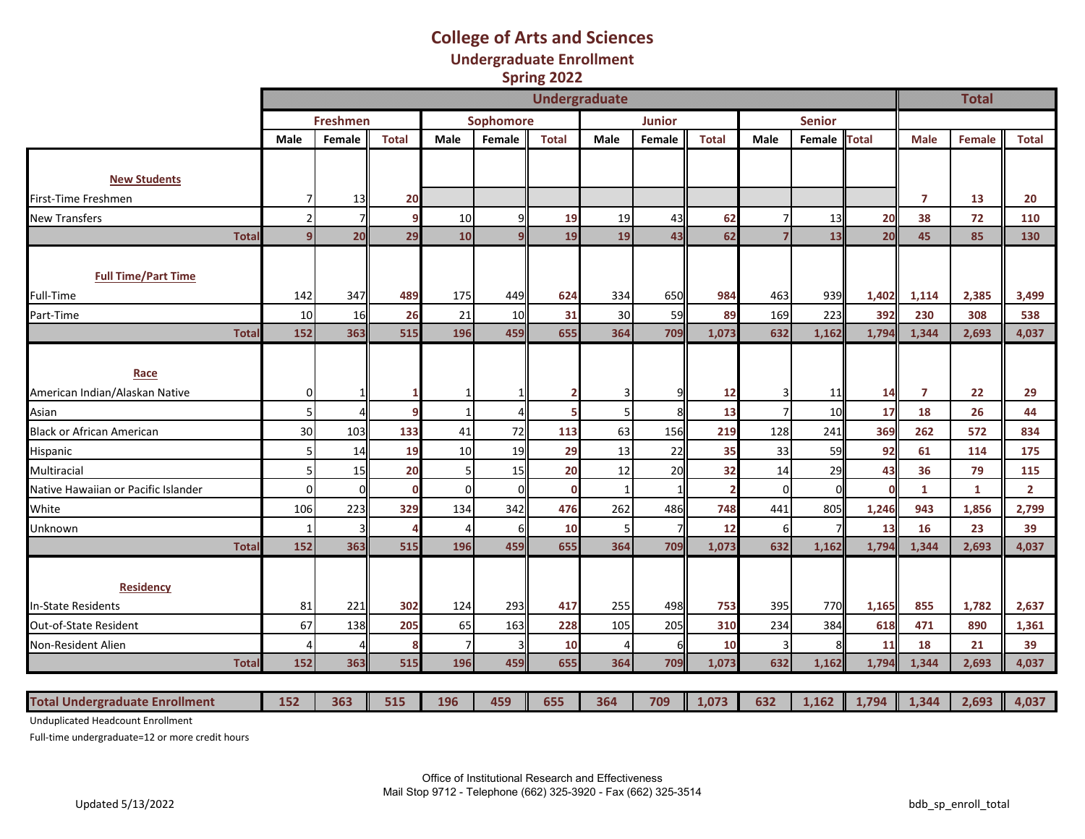## **College of Arts and Sciences Undergraduate Enrollment Spring 2022**

|                                         |                | <b>Undergraduate</b> |              |                 |           |              |              |               |                |                |               |              |                | <b>Total</b> |                |
|-----------------------------------------|----------------|----------------------|--------------|-----------------|-----------|--------------|--------------|---------------|----------------|----------------|---------------|--------------|----------------|--------------|----------------|
|                                         |                | <b>Freshmen</b>      |              |                 | Sophomore |              |              | <b>Junior</b> |                |                | <b>Senior</b> |              |                |              |                |
|                                         | Male           | Female               | <b>Total</b> | Male            | Female    | <b>Total</b> | Male         | Female        | <b>Total</b>   | Male           | Female        | <b>Total</b> | <b>Male</b>    | Female       | <b>Total</b>   |
| <b>New Students</b>                     |                |                      |              |                 |           |              |              |               |                |                |               |              |                |              |                |
| First-Time Freshmen                     | 7 <sup>1</sup> | 13                   | 20           |                 |           |              |              |               |                |                |               |              | $\overline{7}$ | 13           | 20             |
| <b>New Transfers</b>                    | 2              | 71                   | 9            | 10              |           | 19           | 19           | 43            | 62             |                | 13            | 20           | 38             | 72           | 110            |
| <b>Tota</b>                             | $\overline{9}$ | 20                   | 29           | 10              |           | 19           | 19           | 43            | 62             | 7              | 13            | 20           | 45             | 85           | 130            |
| <b>Full Time/Part Time</b><br>Full-Time | 142            | 347                  | 489          | 175             | 449       | 624          | 334          | 650           | 984            | 463            | 939           | 1,402        | 1,114          | 2,385        | 3,499          |
| Part-Time                               | 10             | 16                   | 26           | 21              | 10        | 31           | 30           | 59            | 89             | 169            | 223           | 392          | 230            | 308          | 538            |
| <b>Total</b>                            | 152            | 363                  | 515          | 196             | 459       | 655          | 364          | 709           | 1,073          | 632            | 1,162         | 1,794        | 1,344          | 2,693        | 4,037          |
| Race<br>American Indian/Alaskan Native  | οI             |                      |              |                 |           |              | 3            |               | 12             | 3              | 11            | 14           | $\overline{7}$ | 22           | 29             |
| Asian                                   | $\overline{5}$ | Δ                    |              | $\mathbf{1}$    |           |              | 5            |               | 13             | $\overline{7}$ | 10            | 17           | 18             | 26           | 44             |
| <b>Black or African American</b>        | 30             | 103                  | 133          | 41              | 72        | 113          | 63           | 156           | 219            | 128            | 241           | 369          | 262            | 572          | 834            |
| Hispanic                                | 5 <sup>1</sup> | 14                   | 19           | 10 <sup>1</sup> | 19        | 29           | 13           | 22            | 35             | 33             | 59            | 92           | 61             | 114          | 175            |
| Multiracial                             | 5 <sub>l</sub> | 15                   | 20           | 5               | 15        | 20           | 12           | 20            | 32             | 14             | 29            | 43           | 36             | 79           | 115            |
| Native Hawaiian or Pacific Islander     | οI             | $\Omega$             | O            | $\overline{0}$  | ΩI        | $\mathbf{0}$ | $\mathbf{1}$ | 1             | $\overline{2}$ | $\mathbf 0$    | $\Omega$      | C            | $\mathbf{1}$   | $\mathbf{1}$ | $\overline{2}$ |
| White                                   | 106            | 223                  | 329          | 134             | 342       | 476          | 262          | 486           | 748            | 441            | 805           | 1,246        | 943            | 1,856        | 2,799          |
| Unknown                                 | 1              |                      |              | 4               |           | 10           | 5            |               | 12             | 6              |               | 13           | 16             | 23           | 39             |
| <b>Total</b>                            | 152            | 363                  | 515          | 196             | 459       | 655          | 364          | 709           | 1,073          | 632            | 1,162         | 1,794        | 1.344          | 2.693        | 4,037          |
| <b>Residency</b><br>In-State Residents  | 81             | 221                  | 302          | 124             | 293       | 417          | 255          | 498           | 753            | 395            | 770           | 1,165        | 855            | 1,782        | 2,637          |
| Out-of-State Resident                   | 67             | 138                  | 205          | 65              | 163       | 228          | 105          | 205           | 310            | 234            | 384           | 618          | 471            | 890          | 1,361          |
| Non-Resident Alien                      | $\overline{4}$ |                      | Я            | 7               |           | 10           | 4            | 6             | 10             | 3              | 8             | 11           | 18             | 21           | 39             |
| <b>Total</b>                            | 152            | 363                  | 515          | 196             | 459       | 655          | 364          | 709           | 1,073          | 632            | 1,162         | 1,794        | 1,344          | 2.693        | 4,037          |
|                                         |                |                      |              |                 |           |              |              |               |                |                |               |              |                |              |                |
| <b>Total Undergraduate Enrollment</b>   | 152            | 363                  | 515          | 196             | 459       | 655          | 364          | 709           | 1,073          | 632            | 1,162         | 1,794        | 1,344          | 2,693        | 4,037          |

Unduplicated Headcount Enrollment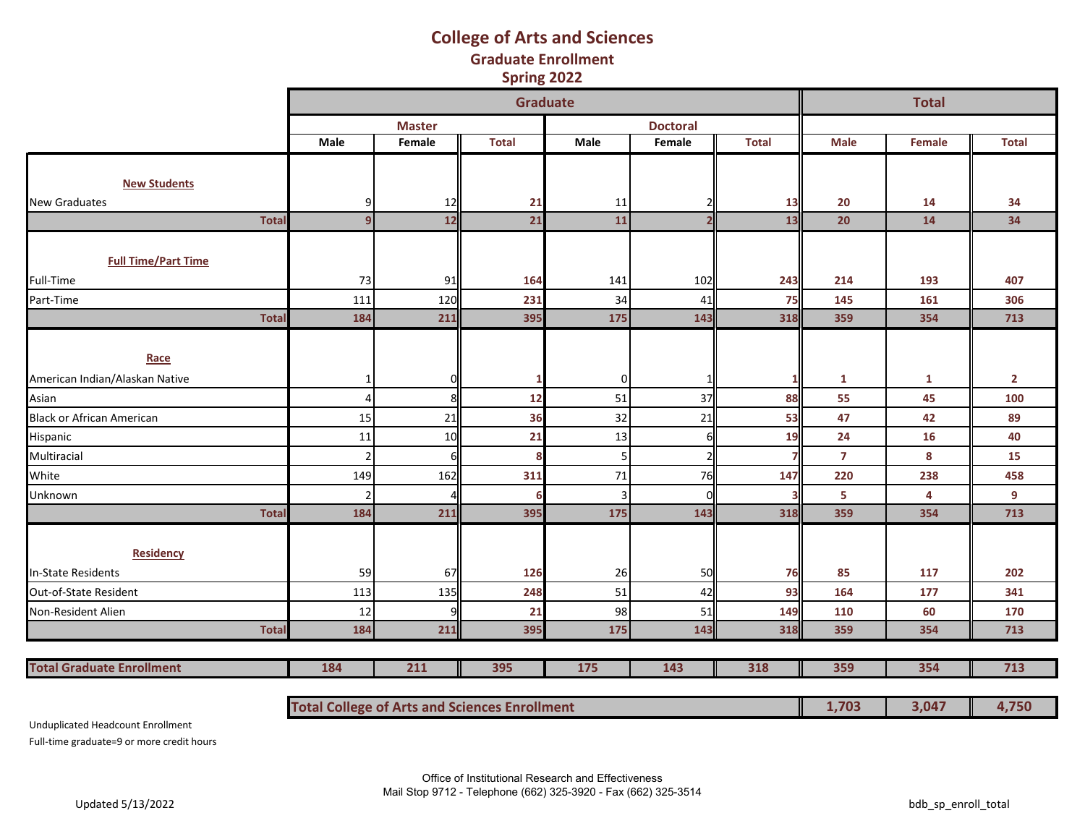### **Graduate Enrollment Spring 2022 College of Arts and Sciences**

|                                  |                |               | <b>Graduate</b>                                      |      |                 |              |                | <b>Total</b> |                |
|----------------------------------|----------------|---------------|------------------------------------------------------|------|-----------------|--------------|----------------|--------------|----------------|
|                                  |                | <b>Master</b> |                                                      |      | <b>Doctoral</b> |              |                |              |                |
|                                  | Male           | Female        | <b>Total</b>                                         | Male | Female          | <b>Total</b> | <b>Male</b>    | Female       | <b>Total</b>   |
|                                  |                |               |                                                      |      |                 |              |                |              |                |
| <b>New Students</b>              |                |               |                                                      |      |                 |              |                |              |                |
| <b>New Graduates</b>             |                | 12            | 21                                                   | 11   |                 | 13           | 20             | 14           | 34             |
| <b>Total</b>                     | 9              | 12            | 21                                                   | 11   | $\overline{2}$  | 13           | 20             | 14           | 34             |
|                                  |                |               |                                                      |      |                 |              |                |              |                |
| <b>Full Time/Part Time</b>       |                |               |                                                      |      |                 |              |                |              |                |
| Full-Time                        | 73             | 91            | 164                                                  | 141  | 102             | 243          | 214            | 193          | 407            |
| Part-Time                        | 111            | 120           | 231                                                  | 34   | 41              | 75           | 145            | 161          | 306            |
| <b>Total</b>                     | 184            | 211           | 395                                                  | 175  | 143             | 318          | 359            | 354          | 713            |
|                                  |                |               |                                                      |      |                 |              |                |              |                |
| Race                             |                |               |                                                      |      |                 |              |                |              |                |
| American Indian/Alaskan Native   | 1              |               |                                                      | 0    |                 |              | $\mathbf{1}$   | $\mathbf{1}$ | $\overline{2}$ |
| Asian                            | $\overline{a}$ | 8             | 12                                                   | 51   | 37              | 88           | 55             | 45           | 100            |
| <b>Black or African American</b> | 15             | 21            | 36                                                   | 32   | 21              | 53           | 47             | 42           | 89             |
| Hispanic                         | 11             | 10            | 21                                                   | 13   | 6               | 19           | 24             | 16           | 40             |
| Multiracial                      | $\overline{2}$ |               | Я                                                    |      | $\overline{2}$  |              | $\overline{7}$ | 8            | 15             |
| White                            | 149            | 162           | 311                                                  | 71   | 76              | 147          | 220            | 238          | 458            |
| Unknown                          |                |               |                                                      |      | $\Omega$        |              | 5              | 4            | 9              |
| <b>Total</b>                     | 184            | 211           | 395                                                  | 175  | 143             | 318          | 359            | 354          | 713            |
|                                  |                |               |                                                      |      |                 |              |                |              |                |
| <b>Residency</b>                 |                |               |                                                      |      |                 |              |                |              |                |
| <b>In-State Residents</b>        | 59             | 67            | 126                                                  | 26   | 50              | 76           | 85             | 117          | 202            |
| Out-of-State Resident            | 113            | 135           | 248                                                  | 51   | 42              | 93           | 164            | 177          | 341            |
| Non-Resident Alien               | 12             |               | 21                                                   | 98   | 51              | 149          | 110            | 60           | 170            |
| <b>Total</b>                     | 184            | 211           | 395                                                  | 175  | 143             | 318          | 359            | 354          | 713            |
|                                  |                |               |                                                      |      |                 |              |                |              |                |
| <b>Total Graduate Enrollment</b> | 184            | 211           | 395                                                  | 318  | 359             | 354          | 713            |              |                |
|                                  |                |               |                                                      |      |                 |              |                |              |                |
|                                  |                |               | <b>Total College of Arts and Sciences Enrollment</b> |      |                 |              | 1,703          | 3,047        | 4,750          |

Unduplicated Headcount Enrollment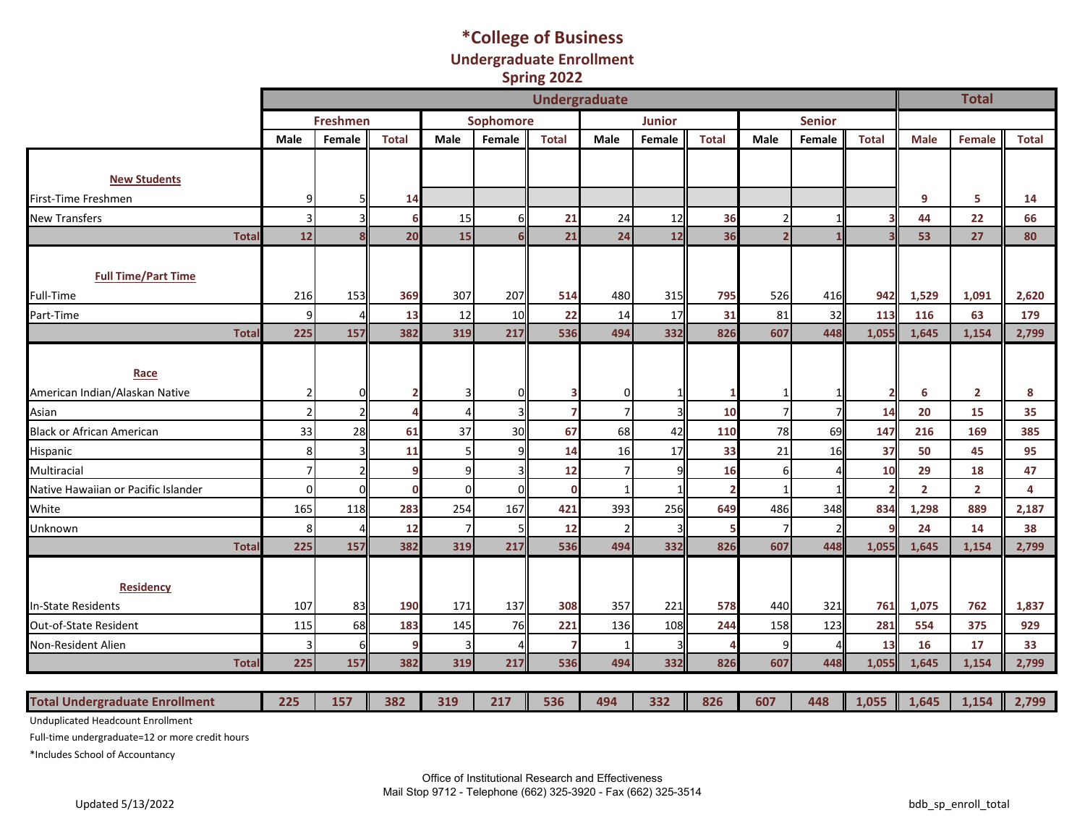## **\*College of Business Undergraduate Enrollment Spring 2022**

|                                                    | <b>Undergraduate</b>             |                 |              |                     |           |                    |                      |               |                      |                |               |                      |                      | <b>Total</b>         |              |
|----------------------------------------------------|----------------------------------|-----------------|--------------|---------------------|-----------|--------------------|----------------------|---------------|----------------------|----------------|---------------|----------------------|----------------------|----------------------|--------------|
|                                                    |                                  | <b>Freshmen</b> |              |                     | Sophomore |                    |                      | <b>Junior</b> |                      |                | <b>Senior</b> |                      |                      |                      |              |
|                                                    | <b>Male</b>                      | Female          | <b>Total</b> | Male                | Female    | <b>Total</b>       | <b>Male</b>          | Female        | <b>Total</b>         | Male           | Female        | <b>Total</b>         | <b>Male</b>          | <b>Female</b>        | <b>Total</b> |
| <b>New Students</b>                                |                                  |                 |              |                     |           |                    |                      |               |                      |                |               |                      |                      |                      |              |
| First-Time Freshmen                                | 9                                |                 | 14           |                     |           |                    |                      |               |                      |                |               |                      | 9                    | 5                    | 14           |
| <b>New Transfers</b>                               | $\vert$ 3                        |                 | 6            | 15                  |           | 21                 | 24                   | 12            | 36                   | $\overline{2}$ |               |                      | 44                   | 22                   | 66           |
| <b>Total</b>                                       | 12                               |                 | 20           | 15                  |           | 21                 | 24                   | 12            | 36                   | $\overline{2}$ |               |                      | 53                   | 27                   | 80           |
|                                                    |                                  |                 |              |                     |           |                    |                      |               |                      |                |               |                      |                      |                      |              |
| <b>Full Time/Part Time</b>                         |                                  |                 |              |                     |           |                    |                      |               |                      |                |               |                      |                      |                      |              |
| Full-Time                                          | 216                              | 153             | 369          | 307                 | 207       | 514                | 480                  | 315           | 795                  | 526            | 416           | 942                  | 1,529                | 1,091                | 2,620        |
| Part-Time                                          | $\overline{9}$                   |                 | 13           | 12                  | 10        | 22                 | 14                   | 17            | 31                   | 81             | 32            | 113                  | 116                  | 63                   | 179          |
| <b>Total</b>                                       | 225                              | 157             | 382          | 319                 | 217       | 536                | 494                  | 332           | 826                  | 607            | 448           | 1,055                | 1,645                | 1,154                | 2,799        |
| Race                                               |                                  |                 |              |                     |           |                    |                      |               |                      |                |               |                      |                      |                      |              |
| American Indian/Alaskan Native                     | $\overline{2}$                   |                 |              |                     |           |                    | 0                    |               |                      |                |               | $\overline{2}$       | 6                    | $\overline{2}$       | 8            |
| Asian                                              | 2 <sup>1</sup>                   |                 |              | 4                   |           |                    | $\overline{7}$       |               | 10                   | 7 <sup>1</sup> |               | 14                   | 20                   | 15                   | 35           |
| <b>Black or African American</b>                   | 33                               | 28              | 61           | 37                  | 30        | 67                 | 68                   | 42            | 110                  | 78             | 69            | 147                  | 216                  | 169                  | 385          |
| Hispanic                                           | 8 <sup>1</sup><br>7 <sup>1</sup> | ς               | 11<br>q      | 5 <sub>l</sub><br>9 |           | 14                 | 16<br>$\overline{7}$ | 17            | 33                   | 21             | 16            | 37                   | 50                   | 45                   | 95           |
| Multiracial<br>Native Hawaiian or Pacific Islander | $\overline{0}$                   | $\Omega$        | $\mathbf 0$  | οI                  | n         | 12<br>$\mathbf{0}$ | $\mathbf{1}$         |               | 16<br>$\overline{2}$ | $6 \mid$       |               | 10<br>$\overline{2}$ | 29<br>$\overline{2}$ | 18<br>$\overline{2}$ | 47<br>4      |
| White                                              | 165                              | 118             | 283          | 254                 | 167       | 421                | 393                  | 256           | 649                  | 486            | 348           | 834                  | 1,298                | 889                  | 2,187        |
| Unknown                                            | 8 <sup>1</sup>                   |                 | 12           | $\overline{7}$      |           | 12                 | $\overline{2}$       |               | 5                    | 7 <sup>1</sup> |               | 9                    | 24                   | 14                   | 38           |
| Total                                              | 225                              | 157             | 382          | 319                 | 217       | 536                | 494                  | 332           | 826                  | 607            | 448           | 1,055                | 1,645                | 1,154                | 2,799        |
| Residency                                          |                                  |                 |              |                     |           |                    |                      |               |                      |                |               |                      |                      |                      |              |
| <b>In-State Residents</b>                          | 107                              | 83              | 190          | 171                 | 137       | 308                | 357                  | 221           | 578                  | 440            | 321           | 761                  | 1,075                | 762                  | 1,837        |
| Out-of-State Resident                              | 115                              | 68              | 183          | 145                 | 76        | 221                | 136                  | 108           | 244                  | 158            | 123           | 281                  | 554                  | 375                  | 929          |
| Non-Resident Alien                                 | $\vert$ 3                        | 6               | 9            | 3                   |           | 7                  | 1                    |               |                      | $\overline{9}$ |               | 13                   | 16                   | 17                   | 33           |
| <b>Total</b>                                       | 225                              | 157             | 382          | 319                 | 217       | 536                | 494                  | 332           | 826                  | 607            | 448           | 1.055                | 1,645                | 1,154                | 2,799        |
|                                                    |                                  |                 |              |                     |           |                    |                      |               |                      |                |               |                      |                      |                      |              |
| <b>Total Undergraduate Enrollment</b>              | 225                              | 157             | 382          | 319                 | 217       | 536                | 494                  | 332           | 826                  | 607            | 448           | 1,055                | 1,645                | 1,154                | 2,799        |

Unduplicated Headcount Enrollment

Full-time undergraduate=12 or more credit hours

\*Includes School of Accountancy

Office of Institutional Research and Effectiveness Mail Stop 9712 - Telephone (662) 325-3920 - Fax (662) 325-3514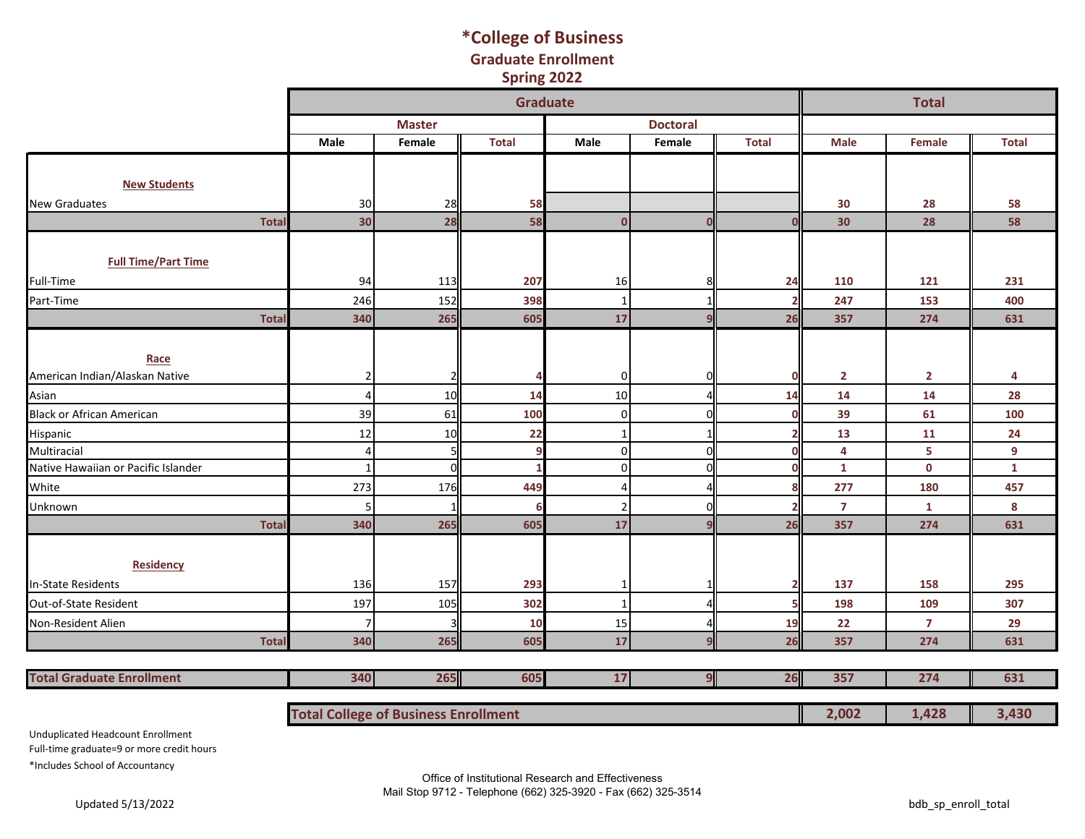### **\*College of Business Spring 2022 Graduate Enrollment**

|                                     |                                             |               | <b>Graduate</b> |                |                 |              |                 | <b>Total</b>   |              |
|-------------------------------------|---------------------------------------------|---------------|-----------------|----------------|-----------------|--------------|-----------------|----------------|--------------|
|                                     |                                             | <b>Master</b> |                 |                | <b>Doctoral</b> |              |                 |                |              |
|                                     | Male                                        | Female        | <b>Total</b>    | Male           | Female          | <b>Total</b> | <b>Male</b>     | Female         | <b>Total</b> |
|                                     |                                             |               |                 |                |                 |              |                 |                |              |
| <b>New Students</b>                 |                                             |               |                 |                |                 |              |                 |                |              |
| <b>New Graduates</b>                | 30                                          | 28            | 58              |                |                 |              | 30              | 28             | 58           |
| <b>Total</b>                        | 30                                          | 28            | 58              | $\Omega$       | $\Omega$        |              | 30 <sub>o</sub> | 28             | 58           |
|                                     |                                             |               |                 |                |                 |              |                 |                |              |
| <b>Full Time/Part Time</b>          |                                             |               |                 |                |                 |              |                 |                |              |
| Full-Time                           | 94                                          | 113           | 207             | 16             | 8               | 24           | 110             | 121            | 231          |
| Part-Time                           | 246                                         | 152           | 398             | -1             |                 |              | 247             | 153            | 400          |
| <b>Total</b>                        | 340                                         | 265           | 605             | 17             | q               | 26           | 357             | 274            | 631          |
|                                     |                                             |               |                 |                |                 |              |                 |                |              |
| Race                                |                                             |               |                 |                |                 |              |                 |                |              |
| American Indian/Alaskan Native      | 2                                           |               |                 | $\overline{0}$ | 0               |              | $\overline{2}$  | $\overline{2}$ | 4            |
| Asian                               | 4                                           | 10            | 14              | 10             |                 | 14           | 14              | 14             | 28           |
| <b>Black or African American</b>    | 39                                          | 61            | 100             | $\overline{0}$ | $\Omega$        |              | 39              | 61             | 100          |
| Hispanic                            | 12                                          | 10            | 22              |                |                 |              | 13              | 11             | 24           |
| Multiracial                         | 4                                           | 5             |                 | $\Omega$       | $\Omega$        |              | 4               | 5              | 9            |
| Native Hawaiian or Pacific Islander | $\overline{1}$                              | $\Omega$      |                 | $\Omega$       | $\Omega$        |              | $\mathbf{1}$    | $\mathbf 0$    | $\mathbf{1}$ |
| White                               | 273                                         | 176           | 449             |                |                 |              | 277             | 180            | 457          |
| Unknown                             |                                             | 1             |                 |                | O               |              | $\overline{7}$  | $\mathbf{1}$   | 8            |
| <b>Total</b>                        | 340                                         | 265           | 605             | 17             | $\mathbf{q}$    | 26           | 357             | 274            | 631          |
|                                     |                                             |               |                 |                |                 |              |                 |                |              |
| <b>Residency</b>                    |                                             |               |                 |                |                 |              |                 |                |              |
| <b>In-State Residents</b>           | 136                                         | 157           | 293             | $\mathbf 1$    | $\mathbf{1}$    |              | 137             | 158            | 295          |
| Out-of-State Resident               | 197                                         | 105           | 302             | $\mathbf{1}$   |                 |              | 198             | 109            | 307          |
| Non-Resident Alien                  |                                             | 3             | 10              | 15             |                 | 19           | 22              | $\overline{7}$ | 29           |
| <b>Total</b>                        | 340                                         | 265           | 605             | 17             | $\mathbf{9}$    | 26           | 357             | 274            | 631          |
| <b>Total Graduate Enrollment</b>    | 340                                         | 265           | 605             | 17             | 9               | 26           | 357             | 274            | 631          |
|                                     |                                             |               |                 |                |                 |              |                 |                |              |
|                                     | <b>Total College of Business Enrollment</b> |               |                 |                |                 |              | 2,002           | 1,428          | 3,430        |

Unduplicated Headcount Enrollment

Full-time graduate=9 or more credit hours

\*Includes School of Accountancy

Office of Institutional Research and Effectiveness Mail Stop 9712 - Telephone (662) 325-3920 - Fax (662) 325-3514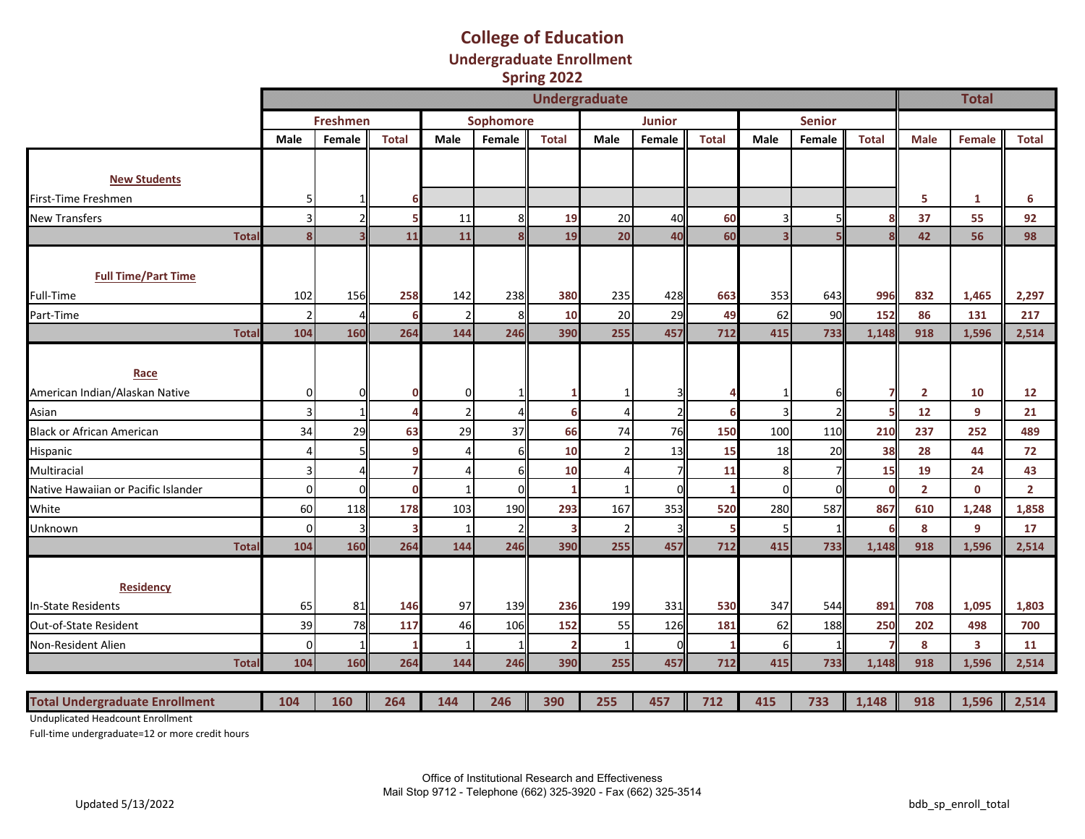#### **College of Education Undergraduate Enrollment Spring 2022**

|                                       |       | <b>Undergraduate</b>    |                          |              |                |           |              |                |                |              |                |                |              |                | <b>Total</b>   |                |
|---------------------------------------|-------|-------------------------|--------------------------|--------------|----------------|-----------|--------------|----------------|----------------|--------------|----------------|----------------|--------------|----------------|----------------|----------------|
|                                       |       |                         | <b>Freshmen</b>          |              |                | Sophomore |              |                | <b>Junior</b>  |              |                | <b>Senior</b>  |              |                |                |                |
|                                       |       | <b>Male</b>             | Female                   | <b>Total</b> | Male           | Female    | <b>Total</b> | Male           | Female         | <b>Total</b> | Male           | Female         | <b>Total</b> | <b>Male</b>    | Female         | <b>Total</b>   |
|                                       |       |                         |                          |              |                |           |              |                |                |              |                |                |              |                |                |                |
| <b>New Students</b>                   |       |                         |                          |              |                |           |              |                |                |              |                |                |              |                |                |                |
| First-Time Freshmen                   |       | 5 <sup>1</sup>          |                          |              |                |           |              |                |                |              |                |                |              | 5              | 1              | 6              |
| <b>New Transfers</b>                  |       | 3 <sup>1</sup>          | $\overline{\phantom{a}}$ |              | 11             |           | 19           | 20             | 40             | 60           | 3              | 5              |              | 37             | 55             | 92             |
|                                       | Total | $\overline{\mathbf{8}}$ |                          | 11           | 11             |           | 19           | 20             | 40             | 60           | $\overline{3}$ |                |              | 42             | 56             | 98             |
|                                       |       |                         |                          |              |                |           |              |                |                |              |                |                |              |                |                |                |
| <b>Full Time/Part Time</b>            |       |                         |                          |              |                |           |              |                |                |              |                |                |              |                |                |                |
| Full-Time                             |       | 102                     | 156                      | 258          | 142            | 238       | 380          | 235            | 428            | 663          | 353            | 643            | 996          | 832            | 1,465          | 2,297          |
| Part-Time                             |       | $\overline{2}$          |                          | 6            |                | 8         | 10           | 20             | 29             | 49           | 62             | 90             | 152          | 86             | 131            | 217            |
|                                       | Total | 104                     | 160                      | 264          | 144            | 246       | 390          | 255            | 457            | 712          | 415            | 733            | 1,148        | 918            | 1,596          | 2,514          |
|                                       |       |                         |                          |              |                |           |              |                |                |              |                |                |              |                |                |                |
| Race                                  |       |                         |                          |              |                |           |              |                |                |              |                |                |              |                |                |                |
| American Indian/Alaskan Native        |       | $\overline{0}$          | $\Omega$                 |              | <sup>0</sup>   | 1         |              | -1             |                |              | 1              | 6              |              | $\overline{2}$ | 10             | 12             |
| Asian                                 |       | $\vert$ 3               |                          |              | $\mathfrak{p}$ |           |              | Δ              | $\overline{2}$ | 6            | $\overline{3}$ | $\overline{2}$ |              | 12             | 9              | 21             |
| <b>Black or African American</b>      |       | 34                      | 29                       | 63           | 29             | 37        | 66           | 74             | 76             | 150          | 100            | 110            | 210          | 237            | 252            | 489            |
| Hispanic                              |       | $\vert$                 | 5                        |              |                | 6         | 10           | $\overline{2}$ | 13             | 15           | 18             | 20             | 38           | 28             | 44             | 72             |
| Multiracial                           |       | $\vert$ 3               |                          |              |                | 6         | 10           | Δ              |                | 11           | 8              | 7              | 15           | 19             | 24             | 43             |
| Native Hawaiian or Pacific Islander   |       | $\Omega$                | $\sqrt{ }$               |              |                | $\Omega$  |              | -1             | $\Omega$       |              | $\mathbf 0$    | n              |              | $\overline{2}$ | $\mathbf 0$    | $\overline{2}$ |
| White                                 |       | 60                      | 118                      | 178          | 103            | 190       | 293          | 167            | 353            | 520          | 280            | 587            | 867          | 610            | 1,248          | 1,858          |
| Unknown                               |       | $\overline{0}$          | 3                        | 3            |                |           | 3            | $\overline{2}$ |                |              | 5              | $\mathbf{1}$   |              | 8              | $\overline{9}$ | 17             |
|                                       | Total | 104                     | 160                      | 264          | 144            | 246       | 390          | 255            | 457            | 712          | 415            | 733            | 1,148        | 918            | 1,596          | 2,514          |
|                                       |       |                         |                          |              |                |           |              |                |                |              |                |                |              |                |                |                |
| <b>Residency</b>                      |       |                         |                          |              |                |           |              |                |                |              |                |                |              |                |                |                |
| In-State Residents                    |       | 65                      | 81                       | 146          | 97             | 139       | 236          | 199            | 331            | 530          | 347            | 544            | 891          | 708            | 1,095          | 1,803          |
| <b>Out-of-State Resident</b>          |       | 39                      | 78                       | 117          | 46             | 106       | 152          | 55             | 126            | 181          | 62             | 188            | 250          | 202            | 498            | 700            |
| Non-Resident Alien                    |       | $\Omega$                |                          |              |                |           |              | -1             | $\Omega$       |              | 6              | $\mathbf{1}$   |              | 8              | 3              | 11             |
|                                       | Total | 104                     | 160                      | 264          | 144            | 246       | 390          | 255            | 457            | 712          | 415            | 733            | 1,148        | 918            | 1,596          | 2,514          |
|                                       |       |                         |                          |              |                |           |              |                |                |              |                |                |              |                |                |                |
| <b>Total Undergraduate Enrollment</b> |       | 104                     | 160                      | 264          | 144            | 246       | 390          | 255            | 457            | 712          | 415            | 733            | 1,148        | 918            | 1,596          | 2,514          |

Unduplicated Headcount Enrollment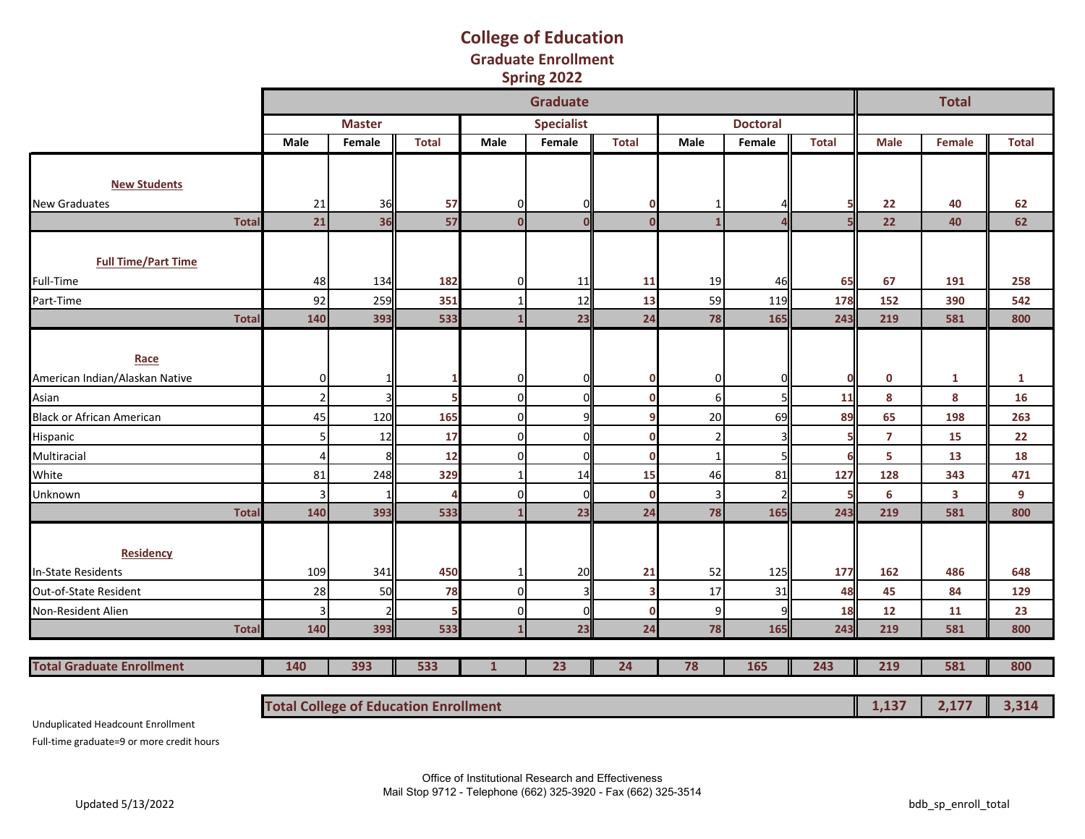### **College of Education Graduate Enrollment Spring 2022**

|                                  |                                              |               |              |              | <b>Graduate</b>   |              |                |                 |              |                | <b>Total</b> |              |
|----------------------------------|----------------------------------------------|---------------|--------------|--------------|-------------------|--------------|----------------|-----------------|--------------|----------------|--------------|--------------|
|                                  |                                              | <b>Master</b> |              |              | <b>Specialist</b> |              |                | <b>Doctoral</b> |              |                |              |              |
|                                  | Male                                         | Female        | <b>Total</b> | <b>Male</b>  | Female            | <b>Total</b> | <b>Male</b>    | Female          | <b>Total</b> | <b>Male</b>    | Female       | <b>Total</b> |
|                                  |                                              |               |              |              |                   |              |                |                 |              |                |              |              |
| <b>New Students</b>              |                                              |               |              |              |                   |              |                |                 |              |                |              |              |
| <b>New Graduates</b>             | 21                                           | 36            | 57           | $\Omega$     | 0                 | 0            | 1              |                 |              | 22             | 40           | 62           |
| <b>Total</b>                     | 21                                           | 36            | 57           | $\mathbf{0}$ | $\Omega$          | $\Omega$     | $\mathbf{1}$   |                 |              | 22             | 40           | 62           |
|                                  |                                              |               |              |              |                   |              |                |                 |              |                |              |              |
| <b>Full Time/Part Time</b>       |                                              |               |              |              |                   |              |                |                 |              |                |              |              |
| Full-Time                        | 48                                           | 134           | 182          | $\Omega$     | 11                | 11           | 19             | 46              | 65           | 67             | 191          | 258          |
| Part-Time                        | 92                                           | 259           | 351          |              | 12                | 13           | 59             | 119             | 178          | 152            | 390          | 542          |
| <b>Total</b>                     | 140                                          | 393           | 533          |              | 23                | 24           | 78             | 165             | 243          | 219            | 581          | 800          |
|                                  |                                              |               |              |              |                   |              |                |                 |              |                |              |              |
| Race                             |                                              |               |              |              |                   |              |                |                 |              |                |              |              |
| American Indian/Alaskan Native   | 0                                            |               | 1            | ŋ            | 0                 | O            | $\overline{0}$ | n               | $\Omega$     | $\mathbf 0$    | $\mathbf{1}$ | $\mathbf{1}$ |
| Asian                            | $\overline{2}$                               |               | 5            | $\Omega$     | 0                 | O            | $6 \mid$       | 5               | 11           | 8              | 8            | 16           |
| <b>Black or African American</b> | 45                                           | 120           | 165          | O            | 9                 |              | 20             | 69              | 89           | 65             | 198          | 263          |
| Hispanic                         | 5 <sub>l</sub>                               | 12            | 17           | $\Omega$     | 0                 | በ            | $\overline{2}$ |                 |              | $\overline{7}$ | 15           | 22           |
| Multiracial                      | Δ                                            | ۶             | 12           | $\Omega$     | 0                 | O            | $\mathbf{1}$   |                 | 6            | 5              | 13           | 18           |
| White                            | 81                                           | 248           | 329          |              | 14                | 15           | 46             | 81              | 127          | 128            | 343          | 471          |
| Unknown                          | 3                                            |               |              | ŋ            | 0                 | $\mathbf 0$  | 3              |                 |              | 6              | 3            | 9            |
| <b>Total</b>                     | 140                                          | 393           | 533          |              | 23                | 24           | 78             | 165             | 243          | 219            | 581          | 800          |
|                                  |                                              |               |              |              |                   |              |                |                 |              |                |              |              |
| <b>Residency</b>                 |                                              |               |              |              |                   |              |                |                 |              |                |              |              |
| <b>In-State Residents</b>        | 109                                          | 341           | 450          |              | 20                | 21           | 52             | 125             | 177          | 162            | 486          | 648          |
| Out-of-State Resident            | 28                                           | 50            | 78           | $\Omega$     | 3                 |              | 17             | 31              | 48           | 45             | 84           | 129          |
| Non-Resident Alien               | 3                                            |               |              | U            | $\mathbf 0$       | 0            | $\overline{9}$ | 9               | 18           | 12             | 11           | 23           |
| <b>Total</b>                     | 140                                          | 393           | 533          |              | 23                | 24           | 78             | 165             | 243          | 219            | 581          | 800          |
|                                  |                                              |               |              |              |                   |              |                |                 |              |                |              |              |
| <b>Total Graduate Enrollment</b> | 140                                          | 393           | 533          | $\mathbf{1}$ | 23                | 24           | 78             | 165             | 243          | 219            | 581          | 800          |
|                                  |                                              |               |              |              |                   |              |                |                 |              |                |              |              |
|                                  | <b>Total College of Education Enrollment</b> |               |              |              |                   |              |                |                 |              | 1,137          | 2,177        | 3,314        |

Unduplicated Headcount Enrollment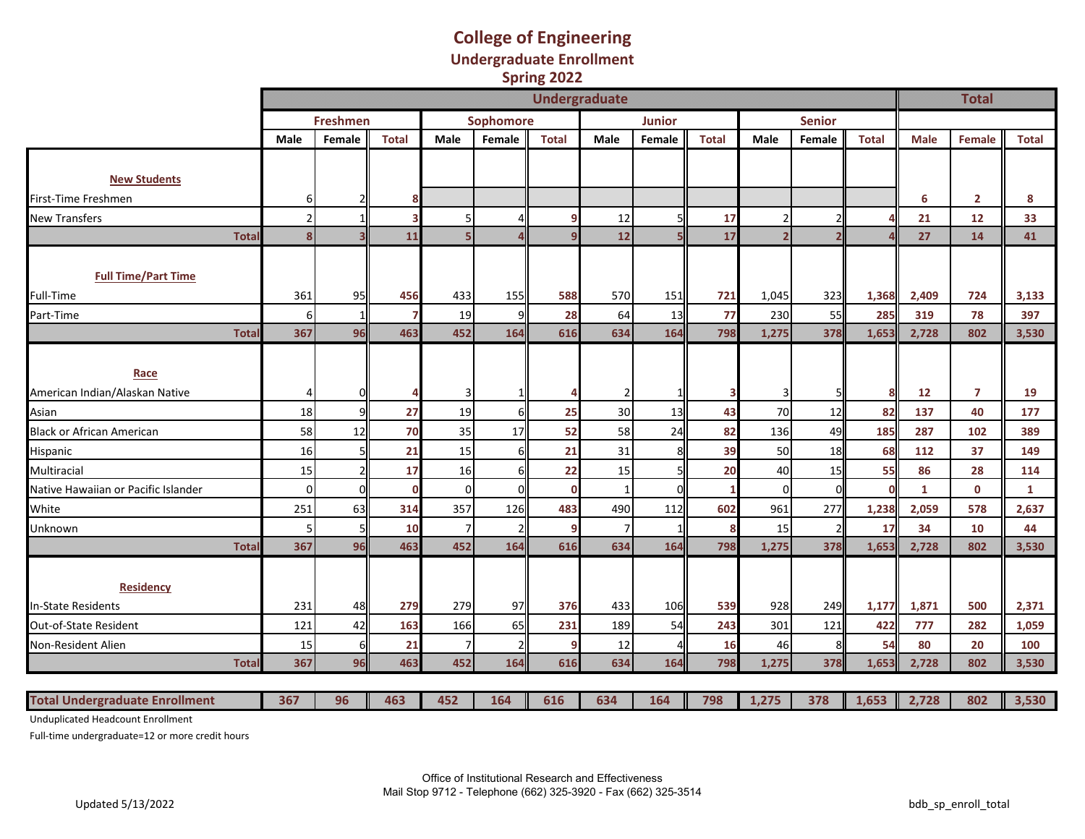#### **College of Engineering Undergraduate Enrollment Spring 2022**

|                                        | <b>Undergraduate</b> |                 |              |          |           |              |      |               |              |             |                          |              |              | <b>Total</b>   |              |
|----------------------------------------|----------------------|-----------------|--------------|----------|-----------|--------------|------|---------------|--------------|-------------|--------------------------|--------------|--------------|----------------|--------------|
|                                        |                      | <b>Freshmen</b> |              |          | Sophomore |              |      | <b>Junior</b> |              |             | <b>Senior</b>            |              |              |                |              |
|                                        | Male                 | Female          | <b>Total</b> | Male     | Female    | <b>Total</b> | Male | Female        | <b>Total</b> | <b>Male</b> | Female                   | <b>Total</b> | <b>Male</b>  | Female         | <b>Total</b> |
|                                        |                      |                 |              |          |           |              |      |               |              |             |                          |              |              |                |              |
| <b>New Students</b>                    |                      |                 |              |          |           |              |      |               |              |             |                          |              |              |                |              |
| First-Time Freshmen                    | 6                    |                 |              |          |           |              |      |               |              |             |                          |              | 6            | $\overline{2}$ | 8            |
| <b>New Transfers</b>                   | $\overline{2}$       |                 |              |          |           |              | 12   |               | 17           |             |                          |              | 21           | 12             | 33           |
| <b>Total</b>                           | 8                    |                 | 11           |          |           |              | 12   |               | 17           |             | $\overline{\phantom{a}}$ |              | 27           | 14             | 41           |
| <b>Full Time/Part Time</b>             |                      |                 |              |          |           |              |      |               |              |             |                          |              |              |                |              |
| Full-Time                              | 361                  | 95              | 456          | 433      | 155       | 588          | 570  | 151           | 721          | 1,045       | 323                      | 1,368        | 2,409        | 724            | 3,133        |
| Part-Time                              | $6 \mid$             | -1              |              | 19       |           | 28           | 64   | 13            | 77           | 230         | 55                       | 285          | 319          | 78             | 397          |
| <b>Total</b>                           | 367                  | 96              | 463          | 452      | 164       | 616          | 634  | 164           | 798          | 1,275       | 378                      | 1,653        | 2,728        | 802            | 3,530        |
| Race<br>American Indian/Alaskan Native | $\frac{4}{ }$        |                 |              |          |           |              |      |               | з            |             |                          | 8            | 12           | $\overline{7}$ | 19           |
| Asian                                  | 18                   | q               | 27           | 19       |           | 25           | 30   | 13            | 43           | 70          | 12                       | 82           | 137          | 40             | 177          |
| <b>Black or African American</b>       | 58                   | 12              | 70           | 35       | 17        | 52           | 58   | 24            | 82           | 136         | 49                       | 185          | 287          | 102            | 389          |
| Hispanic                               | 16                   |                 | 21           | 15       |           | 21           | 31   | 8             | 39           | 50          | 18                       | 68           | 112          | 37             | 149          |
| Multiracial                            | 15                   |                 | 17           | 16       |           | 22           | 15   |               | 20           | 40          | 15                       | 55           | 86           | 28             | 114          |
| Native Hawaiian or Pacific Islander    | $\Omega$             | $\epsilon$      | $\Omega$     | $\Omega$ |           | $\Omega$     |      | $\Omega$      | 1            | $\Omega$    | $\Omega$                 | $\Omega$     | $\mathbf{1}$ | $\mathbf 0$    | $\mathbf{1}$ |
| White                                  | 251                  | 63              | 314          | 357      | 126       | 483          | 490  | 112           | 602          | 961         | 277                      | 1,238        | 2,059        | 578            | 2,637        |
| Unknown                                |                      |                 | 10           |          |           |              |      |               | 8            | 15          |                          | 17           | 34           | 10             | 44           |
| Total                                  | 367                  | 96              | 463          | 452      | 164       | 616          | 634  | 164           | 798          | 1,275       | 378                      | 1,653        | 2,728        | 802            | 3,530        |
| <b>Residency</b>                       |                      |                 |              |          |           |              |      |               |              |             |                          |              |              |                |              |
| <b>In-State Residents</b>              | 231                  | 48              | 279          | 279      | 97        | 376          | 433  | 106           | 539          | 928         | 249                      | 1,177        | 1,871        | 500            | 2,371        |
| Out-of-State Resident                  | 121                  | 42              | 163          | 166      | 65        | 231          | 189  | 54            | 243          | 301         | 121                      | 422          | 777          | 282            | 1,059        |
| Non-Resident Alien                     | 15                   | 6               | 21           |          |           |              | 12   |               | 16           | 46          | 8                        | 54           | 80           | 20             | 100          |
| Total                                  | 367                  | 96              | 463          | 452      | 164       | 616          | 634  | 164           | 798          | 1,275       | 378                      | 1,653        | 2,728        | 802            | 3,530        |
|                                        |                      |                 |              |          |           |              |      |               |              |             |                          |              |              |                |              |
| <b>Total Undergraduate Enrollment</b>  | 367                  | 96              | 463          | 452      | 164       | 616          | 634  | 164           | 798          | 1,275       | 378                      | 1,653        | 2,728        | 802            | 3,530        |

Unduplicated Headcount Enrollment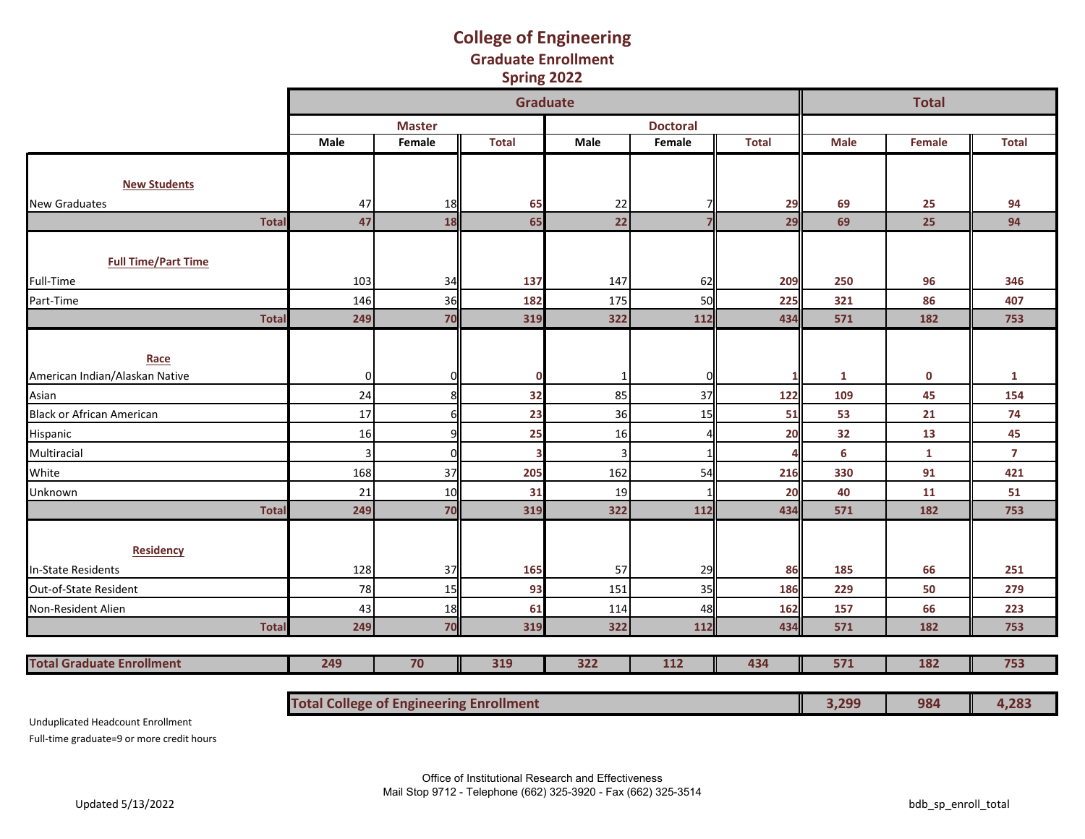### **Graduate Enrollment College of Engineering Spring 2022**

|                                  |                |               | <b>Graduate</b> |      |                 |              |             | <b>Total</b> |                |
|----------------------------------|----------------|---------------|-----------------|------|-----------------|--------------|-------------|--------------|----------------|
|                                  |                | <b>Master</b> |                 |      | <b>Doctoral</b> |              |             |              |                |
|                                  | Male           | Female        | <b>Total</b>    | Male | Female          | <b>Total</b> | <b>Male</b> | Female       | <b>Total</b>   |
|                                  |                |               |                 |      |                 |              |             |              |                |
| <b>New Students</b>              |                |               |                 |      |                 |              |             |              |                |
| <b>New Graduates</b>             | 47             | 18            | 65              | 22   |                 | 29           | 69          | 25           | 94             |
| <b>Total</b>                     | 47             | 18            | 65              | 22   |                 | 29           | 69          | 25           | 94             |
|                                  |                |               |                 |      |                 |              |             |              |                |
| <b>Full Time/Part Time</b>       |                |               |                 |      |                 |              |             |              |                |
| Full-Time                        | 103            | 34            | 137             | 147  | 62              | 209          | 250         | 96           | 346            |
| Part-Time                        | 146            | 36            | 182             | 175  | 50              | 225          | 321         | 86           | 407            |
| <b>Total</b>                     | 249            | 70            | 319             | 322  | 112             | 434          | 571         | 182          | 753            |
|                                  |                |               |                 |      |                 |              |             |              |                |
| Race                             |                |               |                 |      |                 |              |             |              |                |
| American Indian/Alaskan Native   | $\overline{0}$ | O             | 0               | -1   |                 |              | 1           | $\mathbf 0$  | 1              |
| Asian                            | 24             | 8             | 32              | 85   | 37              | 122          | 109         | 45           | 154            |
| <b>Black or African American</b> | 17             | 6             | 23              | 36   | 15              | 51           | 53          | 21           | 74             |
| Hispanic                         | <b>16</b>      | q             | 25              | 16   |                 | 20           | 32          | 13           | 45             |
| Multiracial                      | $\overline{3}$ | O             | 3               | 3    |                 |              | 6           | $\mathbf{1}$ | $\overline{7}$ |
| White                            | 168            | 37            | 205             | 162  | 54              | 216          | 330         | 91           | 421            |
| Unknown                          | 21             | 10            | 31              | 19   |                 | 20           | 40          | 11           | 51             |
| <b>Total</b>                     | 249            | 70            | 319             | 322  | 112             | 434          | 571         | 182          | 753            |
|                                  |                |               |                 |      |                 |              |             |              |                |
| <b>Residency</b>                 |                |               |                 |      |                 |              |             |              |                |
| <b>In-State Residents</b>        | 128            | 37            | 165             | 57   | 29              | 86           | 185         | 66           | 251            |
| Out-of-State Resident            | 78             | 15            | 93              | 151  | 35              | 186          | 229         | 50           | 279            |
| Non-Resident Alien               | 43             | 18            | 61              | 114  | 48              | 162          | 157         | 66           | 223            |
| <b>Total</b>                     | 249            | 70            | 319             | 322  | 112             | 434          | 571         | 182          | 753            |
|                                  |                |               |                 |      |                 |              |             |              |                |
| <b>Total Graduate Enrollment</b> | 249            | 70            | 319             | 322  | 112             | 434          | 571         | 182          | 753            |
|                                  |                |               |                 |      |                 |              |             |              |                |

| <b>Total College of Engineering Enrollment</b> | $\sqrt{299}$<br>しょんしつ | 984 | 702 |
|------------------------------------------------|-----------------------|-----|-----|
|------------------------------------------------|-----------------------|-----|-----|

Unduplicated Headcount Enrollment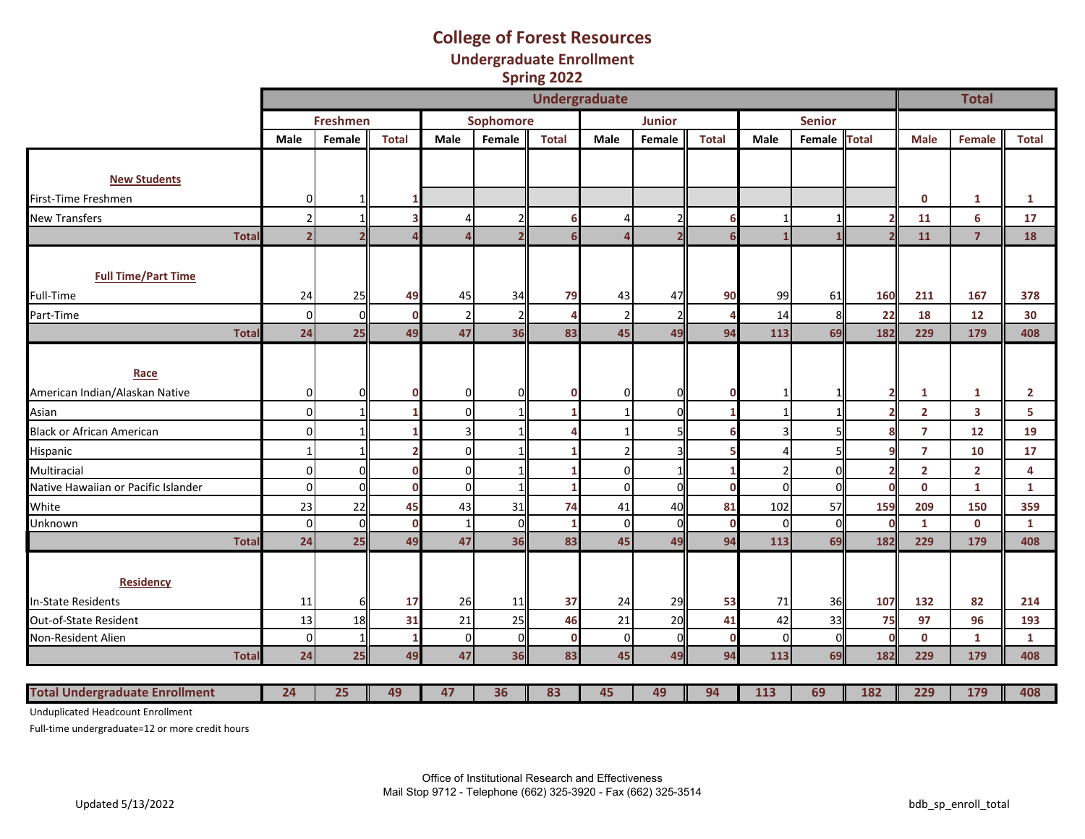### **College of Forest Resources Undergraduate Enrollment Spring 2022**

|                                       |                |                 |              |                |              | <b>Undergraduate</b> |                |                |              |                |               |              |                | <b>Total</b>            |              |
|---------------------------------------|----------------|-----------------|--------------|----------------|--------------|----------------------|----------------|----------------|--------------|----------------|---------------|--------------|----------------|-------------------------|--------------|
|                                       |                | <b>Freshmen</b> |              |                | Sophomore    |                      |                | <b>Junior</b>  |              |                | <b>Senior</b> |              |                |                         |              |
|                                       | Male           | Female          | <b>Total</b> | Male           | Female       | <b>Total</b>         | Male           | Female         | <b>Total</b> | Male           | Female        | <b>Total</b> | <b>Male</b>    | Female                  | <b>Total</b> |
|                                       |                |                 |              |                |              |                      |                |                |              |                |               |              |                |                         |              |
| <b>New Students</b>                   |                |                 |              |                |              |                      |                |                |              |                |               |              |                |                         |              |
| First-Time Freshmen                   | $\overline{0}$ | 1I              |              |                |              |                      |                |                |              |                |               |              | $\mathbf 0$    | 1                       | 1            |
| <b>New Transfers</b>                  | $\overline{2}$ | 1               |              | 4              |              | 6                    | $\overline{4}$ |                | 6            |                |               |              | 11             | $6\phantom{a}$          | 17           |
| <b>Total</b>                          | $\overline{2}$ |                 |              | $\overline{A}$ |              |                      |                |                |              |                |               |              | 11             | $\overline{7}$          | 18           |
|                                       |                |                 |              |                |              |                      |                |                |              |                |               |              |                |                         |              |
| <b>Full Time/Part Time</b>            |                |                 |              |                |              |                      |                |                |              |                |               |              |                |                         |              |
| Full-Time                             | 24             | 25              | 49           | 45             | 34           | 79                   | 43             | 47             | 90           | 99             | 61            | 160          | 211            | 167                     | 378          |
| Part-Time                             | $\overline{0}$ | $\Omega$        | $\Omega$     | $\overline{2}$ |              |                      | $\overline{2}$ |                |              | 14             | 8             | 22           | 18             | 12                      | 30           |
| <b>Total</b>                          | 24             | 25              | 49           | 47             | 36           | 83                   | 45             | 49             | 94           | 113            | 69            | 182          | 229            | 179                     | 408          |
|                                       |                |                 |              |                |              |                      |                |                |              |                |               |              |                |                         |              |
| Race                                  |                |                 |              |                |              |                      |                |                |              |                |               |              |                |                         |              |
| American Indian/Alaskan Native        | $\Omega$       | ΩI              |              | $\overline{0}$ | ΩI           |                      | 0              | U              | C            | -1             |               | 2            | 1              | 1                       | $\mathbf{2}$ |
| Asian                                 | $\overline{0}$ | 1               |              | 0              |              |                      |                | $\Omega$       |              |                |               |              | $\overline{2}$ | $\overline{\mathbf{3}}$ | 5            |
| <b>Black or African American</b>      | $\overline{0}$ | 1               |              | $\overline{3}$ |              |                      |                |                |              | $\overline{3}$ |               |              | $\overline{7}$ | 12                      | 19           |
| Hispanic                              | 1              | 1I              |              | $\overline{0}$ |              |                      | $\overline{2}$ |                |              | 4              |               |              | $\overline{7}$ | 10                      | 17           |
| Multiracial                           | $\overline{0}$ | $\Omega$        | n            | $\Omega$       |              |                      | $\mathbf{0}$   |                |              | $\mathcal{P}$  | n             |              | $\overline{2}$ | $\overline{2}$          | 4            |
| Native Hawaiian or Pacific Islander   | $\overline{0}$ | $\Omega$        | $\sqrt{2}$   | $\overline{0}$ |              |                      | $\mathbf 0$    | $\Omega$       | $\Omega$     | $\Omega$       | O             | C            | $\mathbf{0}$   | $\mathbf{1}$            | $\mathbf{1}$ |
| White                                 | 23             | 22              | 45           | 43             | 31           | 74                   | 41             | 40             | 81           | 102            | 57            | 159          | 209            | 150                     | 359          |
| Unknown                               | $\overline{0}$ | $\Omega$        | $\Omega$     | $\mathbf{1}$   | <sub>0</sub> |                      | $\mathbf 0$    | $\Omega$       | $\mathbf 0$  | $\Omega$       | $\Omega$      | C            | $\mathbf{1}$   | $\mathbf 0$             | 1            |
| Total                                 | 24             | 25              | 49           | 47             | 36           | 83                   | 45             | 49             | 94           | 113            | 69            | 182          | 229            | 179                     | 408          |
|                                       |                |                 |              |                |              |                      |                |                |              |                |               |              |                |                         |              |
| <b>Residency</b>                      |                |                 |              |                |              |                      |                |                |              |                |               |              |                |                         |              |
| <b>In-State Residents</b>             | 11             | 61              | 17           | 26             | 11           | 37                   | 24             | 29             | 53           | 71             | 36            | 107          | 132            | 82                      | 214          |
| Out-of-State Resident                 | 13             | 18              | 31           | 21             | 25           | 46                   | 21             | 20             | 41           | 42             | 33            | 75           | 97             | 96                      | 193          |
| Non-Resident Alien                    | $\overline{0}$ | 1               | $\mathbf 1$  | $\overline{0}$ | $\Omega$     | $\mathbf 0$          | 0              | $\overline{0}$ | $\mathbf 0$  | $\mathbf 0$    | $\Omega$      | C            | $\mathbf 0$    | $\mathbf{1}$            | 1            |
| <b>Total</b>                          | 24             | 25              | 49           | 47             | 36           | 83                   | 45             | 49             | 94           | 113            | 69            | 182          | 229            | 179                     | 408          |
|                                       |                |                 |              |                |              |                      |                |                |              |                |               |              |                |                         |              |
| <b>Total Undergraduate Enrollment</b> | 24             | 25              | 49           | 47             | 36           | 83                   | 45             | 49             | 94           | 113            | 69            | 182          | 229            | 179                     | 408          |

Unduplicated Headcount Enrollment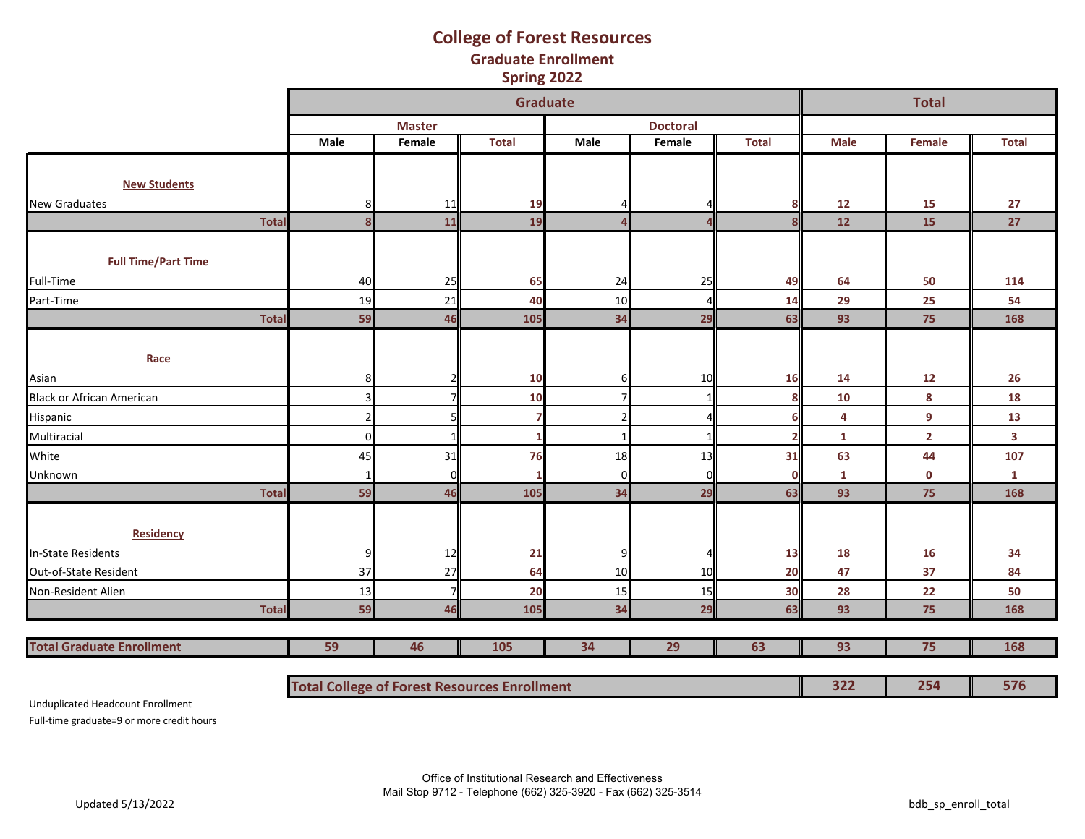#### **Graduate Enrollment College of Forest Resources Spring 2022**

|                                  |                |               | <b>Graduate</b> |          |                 |              |             | <b>Total</b>            |                         |
|----------------------------------|----------------|---------------|-----------------|----------|-----------------|--------------|-------------|-------------------------|-------------------------|
|                                  |                | <b>Master</b> |                 |          | <b>Doctoral</b> |              |             |                         |                         |
|                                  | Male           | Female        | <b>Total</b>    | Male     | Female          | <b>Total</b> | <b>Male</b> | Female                  | <b>Total</b>            |
|                                  |                |               |                 |          |                 |              |             |                         |                         |
| <b>New Students</b>              |                |               |                 |          |                 |              |             |                         |                         |
| <b>New Graduates</b>             | 8              | 11            | 19              |          |                 |              | 12          | 15                      | 27                      |
| <b>Total</b>                     | 8              | 11            | 19              |          |                 |              | 12          | 15                      | 27                      |
|                                  |                |               |                 |          |                 |              |             |                         |                         |
| <b>Full Time/Part Time</b>       |                |               |                 |          |                 |              |             |                         |                         |
| Full-Time                        | 40             | 25            | 65              | 24       | 25              | 49           | 64          | 50                      | 114                     |
| Part-Time                        | 19             | 21            | 40              | 10       |                 | 14           | 29          | 25                      | 54                      |
| <b>Total</b>                     | 59             | 46            | 105             | 34       | 29              | 63           | 93          | 75                      | 168                     |
|                                  |                |               |                 |          |                 |              |             |                         |                         |
| Race                             |                |               |                 |          |                 |              |             |                         |                         |
| Asian                            | 8              |               | 10              | ы        | 10              | 16           | 14          | 12                      | 26                      |
| <b>Black or African American</b> | 3              |               | 10              |          | $\mathbf{1}$    |              | 10          | 8                       | 18                      |
| <b>Hispanic</b>                  | $\overline{2}$ |               |                 |          |                 |              | 4           | 9                       | 13                      |
| Multiracial                      | $\Omega$       |               |                 |          |                 |              | 1           | $\overline{\mathbf{2}}$ | $\overline{\mathbf{3}}$ |
| White                            | 45             | 31            | 76              | 18       | 13              | 31           | 63          | 44                      | 107                     |
| Unknown                          | -1             | n             |                 | $\Omega$ | $\Omega$        |              | 1           | $\mathbf 0$             | 1                       |
| <b>Total</b>                     | 59             | 46            | 105             | 34       | 29              | 63           | 93          | 75                      | 168                     |
|                                  |                |               |                 |          |                 |              |             |                         |                         |
| <b>Residency</b>                 |                |               |                 |          |                 |              |             |                         |                         |
| In-State Residents               | 9              | 12            | 21              |          |                 | 13           | 18          | 16                      | 34                      |
| Out-of-State Resident            | 37             | 27            | 64              | 10       | 10              | 20           | 47          | 37                      | 84                      |
| Non-Resident Alien               | 13             |               | 20              | 15       | 15              | 30           | 28          | 22                      | 50                      |
| <b>Total</b>                     | 59             | 46            | 105             | 34       | 29              | 63           | 93          | 75                      | 168                     |
|                                  |                |               |                 |          |                 |              |             |                         |                         |
| <b>Total Graduate Enrollment</b> | 59             | 46            | 105             | 34       | 29              | 63           | 93          | 75                      | 168                     |

**Total College of Forest Resources Enrollment 322 254 576**

Unduplicated Headcount Enrollment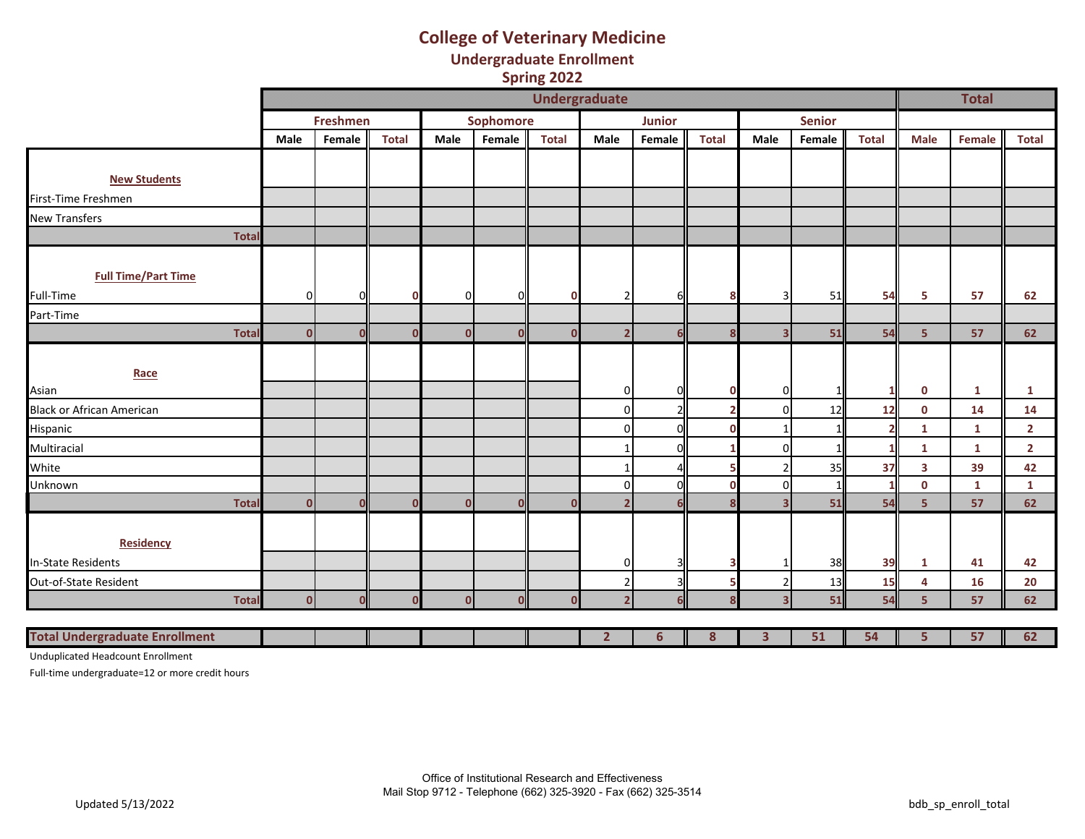### **College of Veterinary Medicine Undergraduate Enrollment Spring 2022**

|                                       |                |              |              |                |                  |              | <b>Undergraduate</b>    |               |              |                         |               |              |                | <b>Total</b> |                |
|---------------------------------------|----------------|--------------|--------------|----------------|------------------|--------------|-------------------------|---------------|--------------|-------------------------|---------------|--------------|----------------|--------------|----------------|
|                                       |                | Freshmen     |              |                | <b>Sophomore</b> |              |                         | <b>Junior</b> |              |                         | <b>Senior</b> |              |                |              |                |
|                                       | Male           | Female       | <b>Total</b> | Male           | Female           | <b>Total</b> | Male                    | Female        | <b>Total</b> | Male                    | Female        | <b>Total</b> | <b>Male</b>    | Female       | <b>Total</b>   |
|                                       |                |              |              |                |                  |              |                         |               |              |                         |               |              |                |              |                |
| <b>New Students</b>                   |                |              |              |                |                  |              |                         |               |              |                         |               |              |                |              |                |
| First-Time Freshmen                   |                |              |              |                |                  |              |                         |               |              |                         |               |              |                |              |                |
| <b>New Transfers</b>                  |                |              |              |                |                  |              |                         |               |              |                         |               |              |                |              |                |
| <b>Total</b>                          |                |              |              |                |                  |              |                         |               |              |                         |               |              |                |              |                |
|                                       |                |              |              |                |                  |              |                         |               |              |                         |               |              |                |              |                |
| <b>Full Time/Part Time</b>            |                |              |              |                |                  |              |                         |               |              |                         |               |              |                |              |                |
| Full-Time                             | $\Omega$       | ΟI           |              | $\overline{0}$ | O                | $\mathbf 0$  | $\overline{2}$          | 6             | Я            | 3                       | 51            | 54           | 5              | 57           | 62             |
| Part-Time                             |                |              |              |                |                  |              |                         |               |              |                         |               |              |                |              |                |
| <b>Total</b>                          | $\overline{0}$ | $\Omega$     | ſ            | $\mathbf{0}$   | n                | $\Omega$     | $\overline{2}$          | 6             | g            | $\overline{\mathbf{3}}$ | 51            | 54           | 5 <sup>1</sup> | 57           | 62             |
|                                       |                |              |              |                |                  |              |                         |               |              |                         |               |              |                |              |                |
| Race                                  |                |              |              |                |                  |              |                         |               |              |                         |               |              |                |              |                |
| Asian                                 |                |              |              |                |                  |              | $\mathbf 0$             | $\Omega$      | 0            | 0                       |               |              | $\mathbf 0$    | $\mathbf{1}$ | 1              |
| <b>Black or African American</b>      |                |              |              |                |                  |              | 0                       |               |              | $\Omega$                | 12            | 12           | $\mathbf 0$    | 14           | 14             |
| Hispanic                              |                |              |              |                |                  |              | 0                       | $\Omega$      | n            | 1                       |               |              | $\mathbf{1}$   | $\mathbf{1}$ | $\overline{2}$ |
| Multiracial                           |                |              |              |                |                  |              |                         | $\Omega$      |              | $\Omega$                |               |              | $\mathbf{1}$   | $\mathbf{1}$ | $\overline{2}$ |
| White                                 |                |              |              |                |                  |              | -1                      |               |              | $\overline{2}$          | 35            | 37           | $\mathbf{3}$   | 39           | 42             |
| Unknown                               |                |              |              |                |                  |              | $\mathbf 0$             | $\Omega$      | n            | $\Omega$                |               | 1            | $\mathbf{0}$   | 1            | $\mathbf{1}$   |
| <b>Total</b>                          | $\mathbf 0$    | $\mathbf{0}$ | ſ            | $\mathbf{0}$   | U                | $\Omega$     | $\overline{2}$          | 6             |              | $\overline{\mathbf{3}}$ | 51            | 54           | 5 <sup>5</sup> | 57           | 62             |
|                                       |                |              |              |                |                  |              |                         |               |              |                         |               |              |                |              |                |
| <b>Residency</b>                      |                |              |              |                |                  |              |                         |               |              |                         |               |              |                |              |                |
| In-State Residents                    |                |              |              |                |                  |              | 0                       | 3             |              | -1                      | 38            | 39           | $\mathbf{1}$   | 41           | 42             |
| Out-of-State Resident                 |                |              |              |                |                  |              | $\overline{2}$          | 3             |              | $\overline{2}$          | 13            | 15           | 4              | 16           | 20             |
| <b>Total</b>                          | $\mathbf{0}$   | $\mathbf{0}$ |              | $\Omega$       | Οl               | n            | $\overline{\mathbf{z}}$ | հ             |              | $\overline{\mathbf{3}}$ | 51            | 54           | 5 <sup>1</sup> | 57           | 62             |
|                                       |                |              |              |                |                  |              |                         |               |              |                         |               |              |                |              |                |
| <b>Total Undergraduate Enrollment</b> |                |              |              |                |                  |              | $\overline{2}$          | 6             | 8            | 3                       | 51            | 54           | 5              | 57           | 62             |

Unduplicated Headcount Enrollment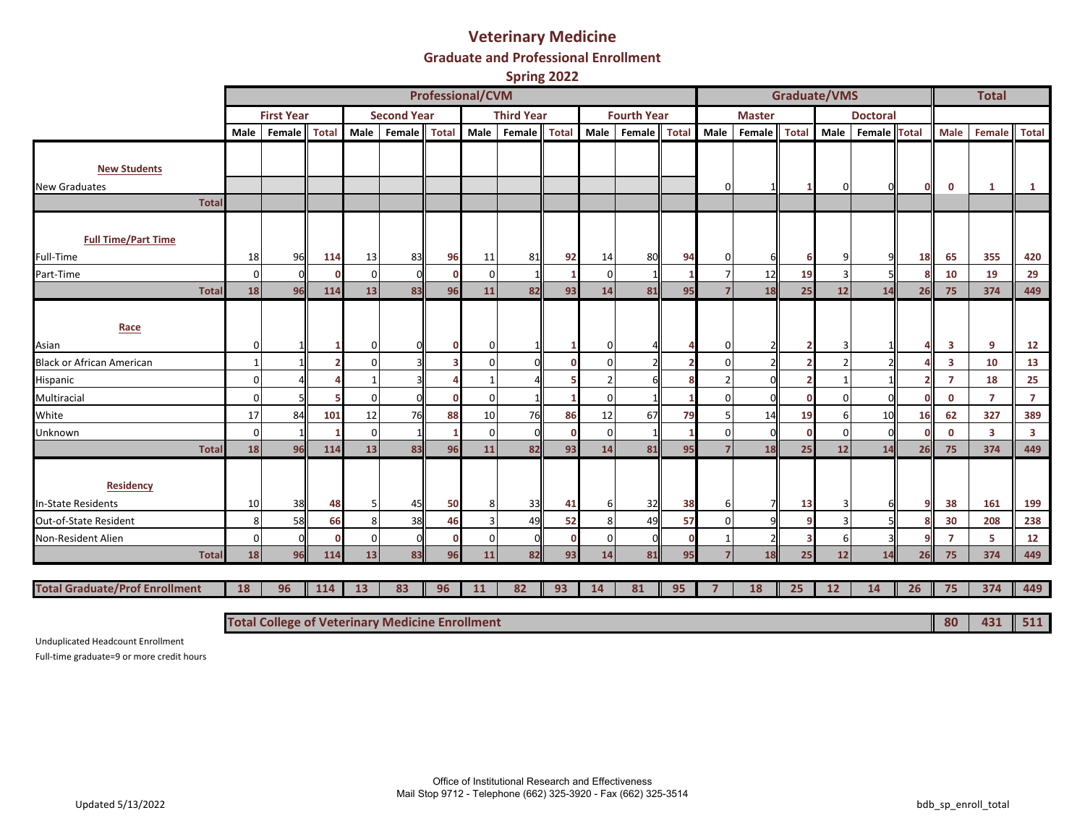#### **Veterinary Medicine**

**Graduate and Professional Enrollment**

**Spring 2022**

|                                               |              |                   |              |                |                                                        | <b>Professional/CVM</b> |          |                   |              |          |                    |              |                |               | <b>Graduate/VMS</b> |          |                 |              |                         | <b>Total</b>            |                         |
|-----------------------------------------------|--------------|-------------------|--------------|----------------|--------------------------------------------------------|-------------------------|----------|-------------------|--------------|----------|--------------------|--------------|----------------|---------------|---------------------|----------|-----------------|--------------|-------------------------|-------------------------|-------------------------|
|                                               |              | <b>First Year</b> |              |                | <b>Second Year</b>                                     |                         |          | <b>Third Year</b> |              |          | <b>Fourth Year</b> |              |                | <b>Master</b> |                     |          | <b>Doctoral</b> |              |                         |                         |                         |
|                                               | Male         | Female            | <b>Total</b> | Male           | Female                                                 | <b>Total</b>            | Male     | Female            | <b>Total</b> | Male     | Female             | <b>Total</b> | Male           | Female        | <b>Total</b>        | Male     | Female          | <b>Total</b> | Male                    | Female                  | <b>Total</b>            |
|                                               |              |                   |              |                |                                                        |                         |          |                   |              |          |                    |              |                |               |                     |          |                 |              |                         |                         |                         |
| <b>New Students</b>                           |              |                   |              |                |                                                        |                         |          |                   |              |          |                    |              |                |               |                     |          |                 |              |                         |                         |                         |
| New Graduates<br><b>Total</b>                 |              |                   |              |                |                                                        |                         |          |                   |              |          |                    |              | $\Omega$       |               |                     | 0        |                 | $\Omega$     | $\mathbf 0$             | 1                       | $\mathbf{1}$            |
|                                               |              |                   |              |                |                                                        |                         |          |                   |              |          |                    |              |                |               |                     |          |                 |              |                         |                         |                         |
| <b>Full Time/Part Time</b>                    |              |                   |              |                |                                                        |                         |          |                   |              |          |                    |              |                |               |                     |          |                 |              |                         |                         |                         |
| Full-Time                                     | 18           | 96                | 114          | 13             | 83                                                     | 96                      | 11       | 81                | 92           | 14       | 80                 | 94           | $\Omega$       |               |                     | q        |                 | 18           | 65                      | 355                     | 420                     |
| Part-Time                                     | $\mathbf{0}$ |                   |              | $\overline{0}$ |                                                        | $\Omega$                | $\Omega$ |                   |              | $\Omega$ |                    |              |                | 12            | 19                  | 3        |                 | R            | 10                      | 19                      | 29                      |
| <b>Total</b>                                  | 18           | 96                | 114          | 13             | 83                                                     | 96                      | 11       | 82                | 93           | 14       | 81                 | 95           |                | 18            | 25                  | 12       | 14              | 26           | 75                      | 374                     | 449                     |
| Race                                          |              |                   |              |                |                                                        |                         |          |                   |              |          |                    |              |                |               |                     |          |                 |              |                         |                         |                         |
| Asian                                         | 0            |                   |              | $\overline{0}$ |                                                        |                         | $\Omega$ |                   |              |          |                    |              | <sup>0</sup>   |               |                     | 3        |                 |              | 3                       | 9                       | 12                      |
| <b>Black or African American</b>              |              |                   |              | $\Omega$       |                                                        |                         | ſ        |                   |              | n        |                    |              | $\Omega$       |               |                     |          |                 |              | $\overline{\mathbf{3}}$ | 10                      | 13                      |
| Hispanic                                      | 0            |                   |              |                |                                                        |                         |          |                   |              |          |                    |              |                | ΩI            |                     |          |                 |              | $\overline{7}$          | 18                      | 25                      |
| Multiracial                                   | 0            |                   |              | $\Omega$       |                                                        | n                       | $\Omega$ |                   |              | $\Omega$ |                    |              | $\Omega$       |               |                     | $\Omega$ |                 |              | $\mathbf 0$             | $\overline{7}$          | $\overline{7}$          |
| White                                         | 17           | 84                | 101          | 12             | 76                                                     | 88                      | 10       | 76                | 86           | 12       | 67                 | 79           |                | 14            | 19                  | 6        | 10              | 16           | 62                      | 327                     | 389                     |
| Unknown                                       | $\mathbf{0}$ |                   |              | $\overline{0}$ |                                                        |                         | $\Omega$ |                   | n            | $\Omega$ |                    |              | $\Omega$       | ΩL            | n                   | $\Omega$ |                 |              | $\mathbf{0}$            | $\overline{\mathbf{3}}$ | $\overline{\mathbf{3}}$ |
| Total                                         | 18           | 96                | 114          | 13             | 83                                                     | 96                      | 11       | 82                | 93           | 14       | 81                 | 95           | $\overline{7}$ | 18            | 25                  | 12       | 14              | 26           | 75                      | 374                     | 449                     |
| <b>Residency</b><br><b>In-State Residents</b> | 10           | 38                | 48           | 5              | 45                                                     | 50                      | 8        | 33                | 41           | 6        | 32                 | 38           | 61             | 71            | 13                  | 3        |                 |              | 38                      | 161                     | 199                     |
| Out-of-State Resident                         | 8            | 58                | 66           | 8              | 38                                                     | 46                      |          | 49                | 52           | 8        | 49                 | 57           | $\Omega$       | q             |                     | 3        |                 |              | 30                      | 208                     | 238                     |
| Non-Resident Alien                            | 0            | $\sqrt{ }$        |              | $\mathbf 0$    |                                                        | n                       | ∩        | <sup>n</sup>      | $\Omega$     |          | C                  | $\Omega$     |                |               |                     | 6        |                 |              | $\overline{7}$          | 5                       | 12                      |
| <b>Total</b>                                  | 18           | 96                | 114          | 13             | 83                                                     | 96                      | 11       | 82                | 93           | 14       | 81                 | 95           |                | 18            | 25                  | 12       | 14              | 26           | 75                      | 374                     | 449                     |
|                                               |              |                   |              |                |                                                        |                         |          |                   |              |          |                    |              |                |               |                     |          |                 |              |                         |                         |                         |
| <b>Total Graduate/Prof Enrollment</b>         | 18           | 96                | 114          | 13             | 83                                                     | 96                      | 11       | 82                | 93           | 14       | 81                 | 95           |                | 18            | 25                  | 12       | 14              | 26           | 75                      | 374                     | 449                     |
|                                               |              |                   |              |                | <b>Total College of Veterinary Medicine Enrollment</b> |                         |          |                   |              |          |                    |              |                |               |                     |          |                 |              | 80                      | 431                     | $\parallel$ 511         |

Unduplicated Headcount Enrollment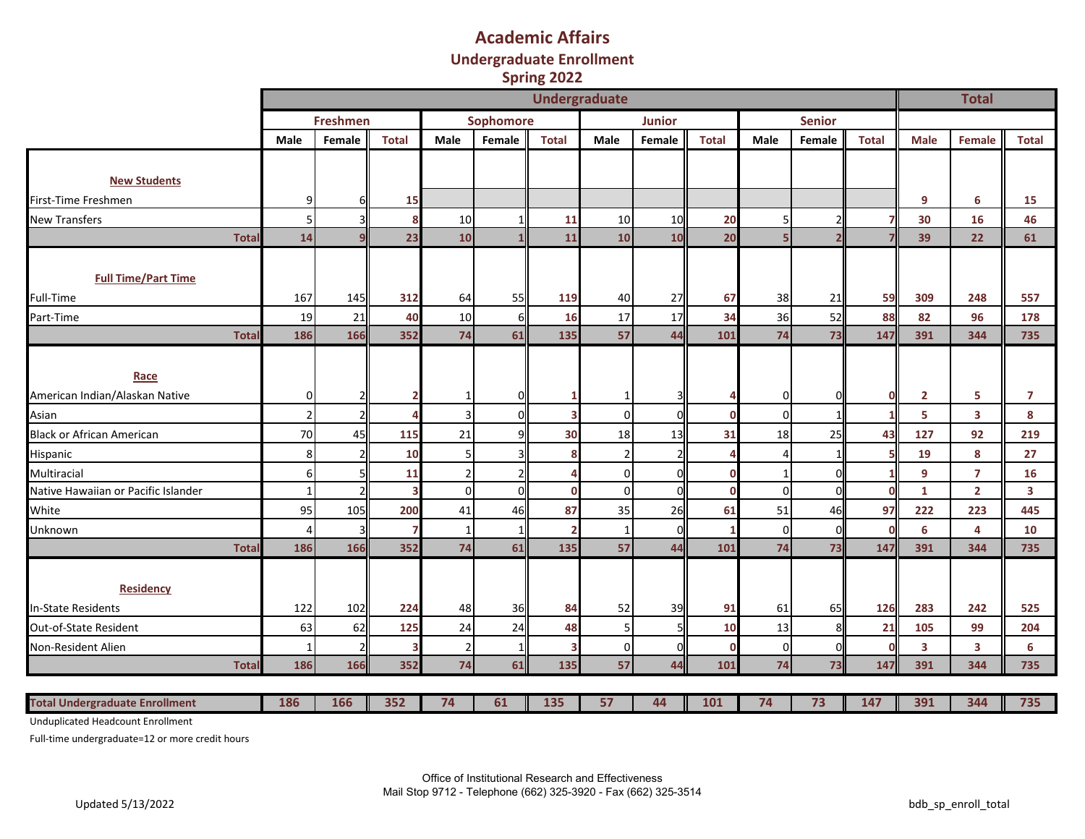### **Academic Affairs Undergraduate Enrollment Spring 2022**

|                                       |                     |                 |                |                |                  | <b>Undergraduate</b>    |                |               |              |          |               |              |                         | <b>Total</b>            |              |
|---------------------------------------|---------------------|-----------------|----------------|----------------|------------------|-------------------------|----------------|---------------|--------------|----------|---------------|--------------|-------------------------|-------------------------|--------------|
|                                       |                     | <b>Freshmen</b> |                |                | <b>Sophomore</b> |                         |                | <b>Junior</b> |              |          | <b>Senior</b> |              |                         |                         |              |
|                                       | Male                | Female          | <b>Total</b>   | Male           | Female           | <b>Total</b>            | Male           | Female        | <b>Total</b> | Male     | Female        | <b>Total</b> | <b>Male</b>             | Female                  | <b>Total</b> |
|                                       |                     |                 |                |                |                  |                         |                |               |              |          |               |              |                         |                         |              |
| <b>New Students</b>                   |                     |                 |                |                |                  |                         |                |               |              |          |               |              |                         |                         |              |
| First-Time Freshmen                   | 9                   |                 | 15             |                |                  |                         |                |               |              |          |               |              | 9                       | 6                       | 15           |
| <b>New Transfers</b>                  | 5 <sub>l</sub>      |                 | 8              | 10             |                  | 11                      | 10             | 10            | 20           | 5        |               | 7            | 30                      | 16                      | 46           |
|                                       | 14<br><b>Total</b>  |                 | 23             | 10             |                  | 11                      | 10             | 10            | 20           | 5        |               |              | 39                      | 22                      | 61           |
|                                       |                     |                 |                |                |                  |                         |                |               |              |          |               |              |                         |                         |              |
| <b>Full Time/Part Time</b>            |                     |                 |                |                |                  |                         |                |               |              |          |               |              |                         |                         |              |
| Full-Time                             | 167                 | 145             | 312            | 64             | 55               | 119                     | 40             | 27            | 67           | 38       | 21            | 59           | 309                     | 248                     | 557          |
| Part-Time                             | 19                  | 21              | 40             | 10             | 6                | 16                      | 17             | 17            | 34           | 36       | 52            | 88           | 82                      | 96                      | 178          |
|                                       | Total<br>186        | 166             | 352            | 74             | 61               | 135                     | 57             | 44            | 101          | 74       | 73            | 147          | 391                     | 344                     | 735          |
|                                       |                     |                 |                |                |                  |                         |                |               |              |          |               |              |                         |                         |              |
| Race                                  |                     |                 |                |                |                  |                         |                |               |              |          |               |              |                         |                         |              |
| American Indian/Alaskan Native        |                     | $\Omega$        |                |                |                  |                         |                |               |              | 0        |               | $\mathbf 0$  | $\overline{2}$          | 5                       | 7            |
| Asian                                 | $\overline{2}$      |                 | $\overline{a}$ | ξ              | ſ                | $\overline{\mathbf{3}}$ | $\Omega$       | $\Omega$      | $\Omega$     | $\Omega$ |               | $\mathbf{1}$ | 5                       | $\overline{\mathbf{3}}$ | 8            |
| <b>Black or African American</b>      | 70                  | 45              | 115            | 21             |                  | 30                      | 18             | 13            | 31           | 18       | 25            | 43           | 127                     | 92                      | 219          |
| Hispanic                              | 8 <sup>1</sup>      |                 | 10             | 5              |                  | 8                       | 2 <sup>1</sup> |               |              | 4        |               | 5            | 19                      | 8                       | 27           |
| Multiracial                           |                     | $6 \mid$        | 11             | $\overline{2}$ |                  |                         | $\Omega$       | $\Omega$      | $\Omega$     |          |               | 1            | 9                       | $\overline{7}$          | 16           |
| Native Hawaiian or Pacific Islander   | 1                   |                 | 3              | $\Omega$       | $\bigcap$        | $\mathbf 0$             | $\Omega$       | $\Omega$      | $\Omega$     | $\Omega$ | C             | $\mathbf 0$  | $\mathbf{1}$            | $\overline{2}$          | 3            |
| White                                 | 95                  | 105             | 200            | 41             | 46               | 87                      | 35             | 26            | 61           | 51       | 46            | 97           | 222                     | 223                     | 445          |
| Unknown                               | 4                   |                 | 7              |                |                  |                         | $\mathbf{1}$   | $\Omega$      | 1            | $\Omega$ |               | $\Omega$     | 6                       | 4                       | 10           |
|                                       | 186<br><b>Total</b> | 166             | 352            | 74             | 61               | 135                     | 57             | 44            | 101          | 74       | 73            | 147          | 391                     | 344                     | 735          |
|                                       |                     |                 |                |                |                  |                         |                |               |              |          |               |              |                         |                         |              |
| <b>Residency</b>                      |                     |                 |                |                |                  |                         |                |               |              |          |               |              |                         |                         |              |
| <b>In-State Residents</b>             | 122                 | 102             | 224            | 48             | 36               | 84                      | 52             | 39            | 91           | 61       | 65            | 126          | 283                     | 242                     | 525          |
| Out-of-State Resident                 | 63                  | 62              | 125            | 24             | 24               | 48                      | 5 <sub>l</sub> |               | 10           | 13       | 8             | 21           | 105                     | 99                      | 204          |
| Non-Resident Alien                    | $\mathbf{1}$        |                 | 3              | $\overline{2}$ |                  | 3                       | $\overline{0}$ |               | $\mathbf{0}$ | $\Omega$ |               | $\Omega$     | $\overline{\mathbf{3}}$ | 3                       | 6            |
|                                       | 186<br>Total        | 166             | 352            | 74             | 61               | 135                     | 57             | 44            | 101          | 74       | 73            | 147          | 391                     | 344                     | 735          |
|                                       |                     |                 |                |                |                  |                         |                |               |              |          |               |              |                         |                         |              |
| <b>Total Undergraduate Enrollment</b> | 186                 | 166             | 352            | 74             | 61               | 135                     | 57             | 44            | 101          | 74       | 73            | 147          | 391                     | 344                     | 735          |

Unduplicated Headcount Enrollment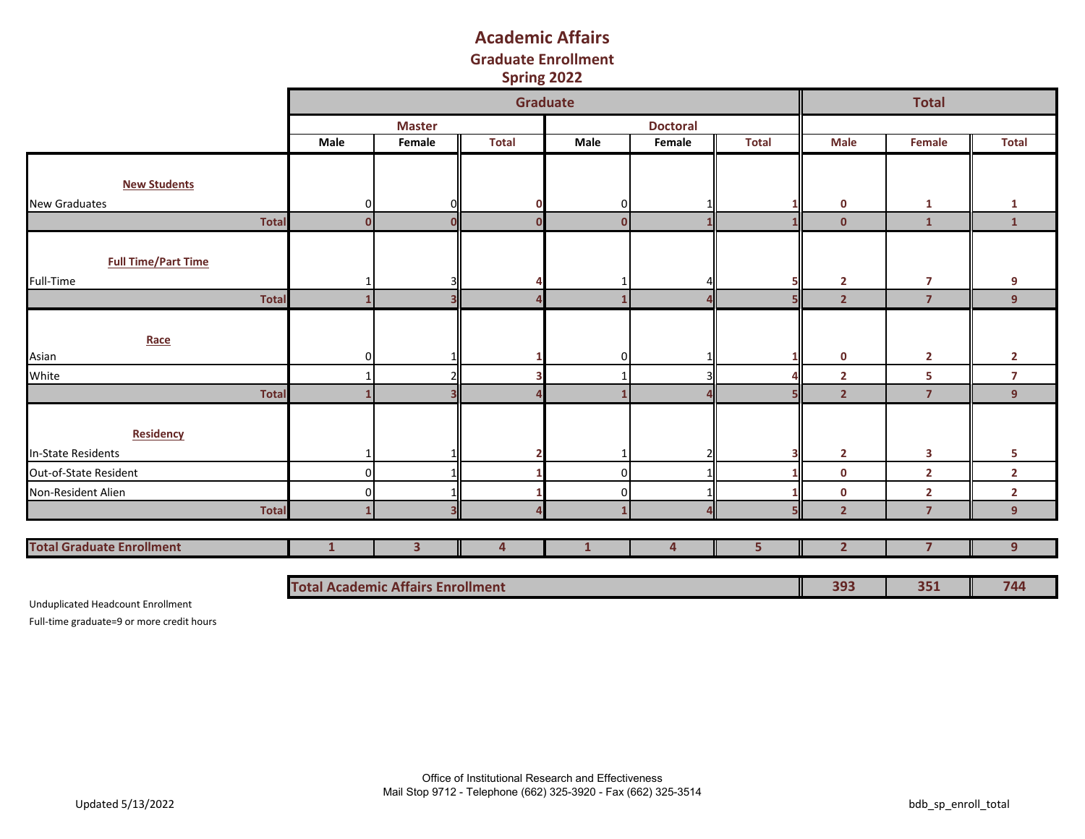## **Graduate Enrollment Academic Affairs Spring 2022**

|                                  |                                          |                         | Graduate     |              |                        |                |                | <b>Total</b>   |                |
|----------------------------------|------------------------------------------|-------------------------|--------------|--------------|------------------------|----------------|----------------|----------------|----------------|
|                                  |                                          | <b>Master</b>           |              |              | <b>Doctoral</b>        |                |                |                |                |
|                                  | Male                                     | Female                  | <b>Total</b> | Male         | Female                 | <b>Total</b>   | <b>Male</b>    | Female         | <b>Total</b>   |
|                                  |                                          |                         |              |              |                        |                |                |                |                |
| <b>New Students</b>              |                                          |                         |              |              |                        |                |                |                |                |
| <b>New Graduates</b>             | O                                        |                         |              | 0            |                        |                | $\mathbf 0$    | $\mathbf{1}$   | 1              |
| <b>Total</b>                     | $\mathbf{0}$                             |                         |              | $\mathbf{0}$ |                        |                | $\mathbf{0}$   | $\mathbf{1}$   | $\mathbf{1}$   |
|                                  |                                          |                         |              |              |                        |                |                |                |                |
| <b>Full Time/Part Time</b>       |                                          |                         |              |              |                        |                |                |                |                |
| Full-Time                        |                                          |                         |              |              |                        |                | $\mathbf{2}$   | $\overline{7}$ | 9              |
| <b>Total</b>                     |                                          | З                       |              |              | Δ                      |                | $\overline{2}$ | $\overline{7}$ | 9              |
|                                  |                                          |                         |              |              |                        |                |                |                |                |
| Race                             |                                          |                         |              |              |                        |                |                |                |                |
| Asian                            | n                                        |                         |              | 0            |                        |                | $\mathbf 0$    | $\mathbf{2}$   | $\overline{2}$ |
| White                            |                                          |                         |              |              | $\overline{3}$         |                | $\overline{2}$ | 5              | $\overline{7}$ |
| <b>Total</b>                     |                                          |                         |              |              | $\boldsymbol{\Lambda}$ |                | $\overline{2}$ | $\overline{7}$ | 9              |
|                                  |                                          |                         |              |              |                        |                |                |                |                |
| Residency                        |                                          |                         |              |              |                        |                |                |                |                |
| In-State Residents               |                                          |                         |              |              | 2                      |                | $\mathbf{2}$   | 3              | 5              |
| Out-of-State Resident            | n                                        |                         |              | 0            |                        |                | $\mathbf 0$    | $\overline{2}$ | $\overline{2}$ |
| Non-Resident Alien               |                                          |                         |              | n            |                        |                | $\mathbf 0$    | $\mathbf{2}$   | $\overline{2}$ |
| <b>Total</b>                     |                                          | $\overline{\mathbf{3}}$ |              |              | $\mathbf{a}$           |                | $\overline{2}$ | $\overline{7}$ | 9              |
|                                  |                                          |                         |              |              |                        |                |                |                |                |
| <b>Total Graduate Enrollment</b> | $\mathbf{1}$                             | 3 <sup>1</sup>          | 4            | $\mathbf{1}$ | 4                      | 5 <sup>1</sup> | 2 <sup>1</sup> | $\overline{7}$ | 9              |
|                                  |                                          |                         |              |              |                        |                |                |                |                |
|                                  | <b>Total Academic Affairs Enrollment</b> |                         |              |              |                        |                | 393            | 351            | 744            |

Unduplicated Headcount Enrollment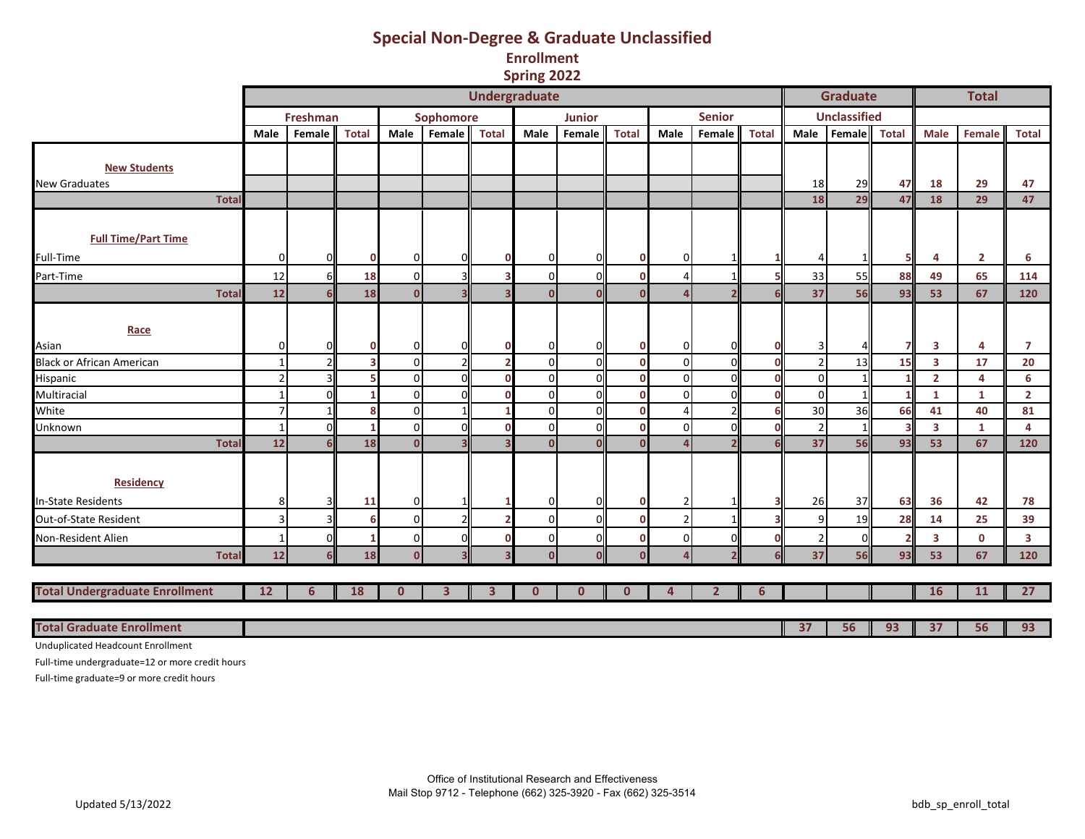## **Special Non-Degree & Graduate Unclassified**

**Enrollment**

**Spring 2022**

|                                       |                |          |              |                |           | <b>Undergraduate</b> |              |               |              |                |                          |              |                | <b>Graduate</b>     |              |                         | <b>Total</b>   |                         |
|---------------------------------------|----------------|----------|--------------|----------------|-----------|----------------------|--------------|---------------|--------------|----------------|--------------------------|--------------|----------------|---------------------|--------------|-------------------------|----------------|-------------------------|
|                                       |                | Freshman |              |                | Sophomore |                      |              | <b>Junior</b> |              |                | <b>Senior</b>            |              |                | <b>Unclassified</b> |              |                         |                |                         |
|                                       | Male           | Female   | <b>Total</b> | Male           | Female    | <b>Total</b>         | Male         | Female        | <b>Total</b> | Male           | Female                   | <b>Total</b> | Male           | Female              | <b>Total</b> | <b>Male</b>             | Female         | <b>Total</b>            |
|                                       |                |          |              |                |           |                      |              |               |              |                |                          |              |                |                     |              |                         |                |                         |
| <b>New Students</b>                   |                |          |              |                |           |                      |              |               |              |                |                          |              |                |                     |              |                         |                |                         |
| <b>New Graduates</b>                  |                |          |              |                |           |                      |              |               |              |                |                          |              | 18             | 29                  | 47           | 18                      | 29             | 47                      |
| <b>Total</b>                          |                |          |              |                |           |                      |              |               |              |                |                          |              | 18             | 29                  | 47           | 18                      | 29             | 47                      |
|                                       |                |          |              |                |           |                      |              |               |              |                |                          |              |                |                     |              |                         |                |                         |
| <b>Full Time/Part Time</b>            |                |          |              |                |           |                      |              |               |              |                |                          |              |                |                     |              |                         |                |                         |
| Full-Time                             | $\overline{0}$ |          | $\mathbf 0$  | 0              |           |                      | 0            | $\Omega$      | $\mathbf 0$  | $\Omega$       |                          |              |                |                     |              | 4                       | $\overline{2}$ | 6                       |
| Part-Time                             | 12             | 6II      | 18           | $\overline{0}$ |           |                      | $\mathbf 0$  | O             | $\Omega$     | 4              |                          |              | 33             | 55                  | 88           | 49                      | 65             | 114                     |
| <b>Total</b>                          | $12$           | 6ll      | 18           | $\Omega$       |           |                      | $\mathbf{0}$ | $\Omega$      | $\Omega$     | $\overline{a}$ | $\overline{\mathbf{z}}$  | 6            | 37             | 56                  | 93           | 53                      | 67             | 120                     |
|                                       |                |          |              |                |           |                      |              |               |              |                |                          |              |                |                     |              |                         |                |                         |
| Race                                  |                |          |              |                |           |                      |              |               |              |                |                          |              |                |                     |              |                         |                |                         |
| Asian                                 | $\overline{0}$ |          | $\mathbf 0$  | 0              |           |                      | 0            |               | $\Omega$     | ი              |                          | $\Omega$     |                |                     |              | 3                       | 4              | $\overline{7}$          |
| <b>Black or African American</b>      | $\mathbf{1}$   |          | R            | $\Omega$       |           |                      | $\mathbf 0$  | $\Omega$      | $\Omega$     | $\Omega$       | U                        | $\Omega$     |                | 13                  | 15           | 3                       | 17             | 20                      |
| Hispanic                              | 2 <sub>1</sub> |          |              | $\overline{0}$ |           |                      | 0            | $\Omega$      | $\Omega$     | $\Omega$       | U                        | $\Omega$     | $\overline{0}$ |                     |              | $\overline{2}$          | $\overline{4}$ | 6                       |
| Multiracial                           | $\mathbf{1}$   |          |              | $\Omega$       |           |                      | $\mathbf 0$  | O             | $\Omega$     | $\Omega$       |                          | $\Omega$     | $\Omega$       |                     |              | $\mathbf{1}$            | 1              | $\overline{2}$          |
| White                                 | $\overline{7}$ |          |              | $\mathbf{0}$   |           |                      | $\mathbf 0$  |               | n            | Δ              |                          | ĥ            | 30             | 36                  | 66           | 41                      | 40             | 81                      |
| Unknown                               | $\mathbf{1}$   |          | 1            | $\overline{0}$ |           |                      | $\mathbf 0$  | $\Omega$      | $\Omega$     | $\overline{0}$ | U                        | $\Omega$     |                | 1                   |              | $\overline{\mathbf{3}}$ | 1              | 4                       |
| <b>Tota</b>                           | 12             |          | 18           | $\Omega$       |           |                      | $\Omega$     | $\Omega$      | n            | $\Delta$       | $\overline{\phantom{a}}$ | $\mathbf{f}$ | 37             | 56                  | 93           | 53                      | 67             | 120                     |
|                                       |                |          |              |                |           |                      |              |               |              |                |                          |              |                |                     |              |                         |                |                         |
| <b>Residency</b>                      |                |          |              |                |           |                      |              |               |              |                |                          |              |                |                     |              |                         |                |                         |
| <b>In-State Residents</b>             | 8              |          | 11           | $\mathbf{0}$   |           |                      | 0            | $\Omega$      | $\mathbf{0}$ |                |                          | 3            | 26             | 37                  | 63           | 36                      | 42             | 78                      |
| Out-of-State Resident                 | 3              |          | 6            | $\overline{0}$ |           |                      | $\mathbf 0$  | $\Omega$      | ŋ            | $\overline{2}$ |                          |              | q              | 19                  | 28           | 14                      | 25             | 39                      |
| Non-Resident Alien                    |                |          | 1            | $\Omega$       |           |                      | $\mathsf 0$  |               | n            | $\overline{0}$ |                          | n            |                | O                   |              | 3                       | $\mathbf{0}$   | $\overline{\mathbf{3}}$ |
| <b>Total</b>                          | 12             |          | 18           | $\mathbf{0}$   |           |                      | $\mathbf{0}$ | $\Omega$      | n            | $\Delta$       |                          | 6            | 37             | 56                  | 93           | 53                      | 67             | 120                     |
|                                       |                |          |              |                |           |                      |              |               |              |                |                          |              |                |                     |              |                         |                |                         |
| <b>Total Undergraduate Enrollment</b> | 12             | 6        | 18           | $\mathbf{0}$   | 3         | 3                    | $\mathbf{0}$ | $\mathbf 0$   | $\mathbf{0}$ | Δ              | $\overline{2}$           | 6            |                |                     |              | 16                      | 11             | $\overline{27}$         |
|                                       |                |          |              |                |           |                      |              |               |              |                |                          |              |                |                     |              |                         |                |                         |
| <b>Total Graduate Enrollment</b>      |                |          |              |                |           |                      |              |               |              |                |                          |              | 37             | 56                  | 93           | 37                      | 56             | 93                      |

Unduplicated Headcount Enrollment

Full-time undergraduate=12 or more credit hours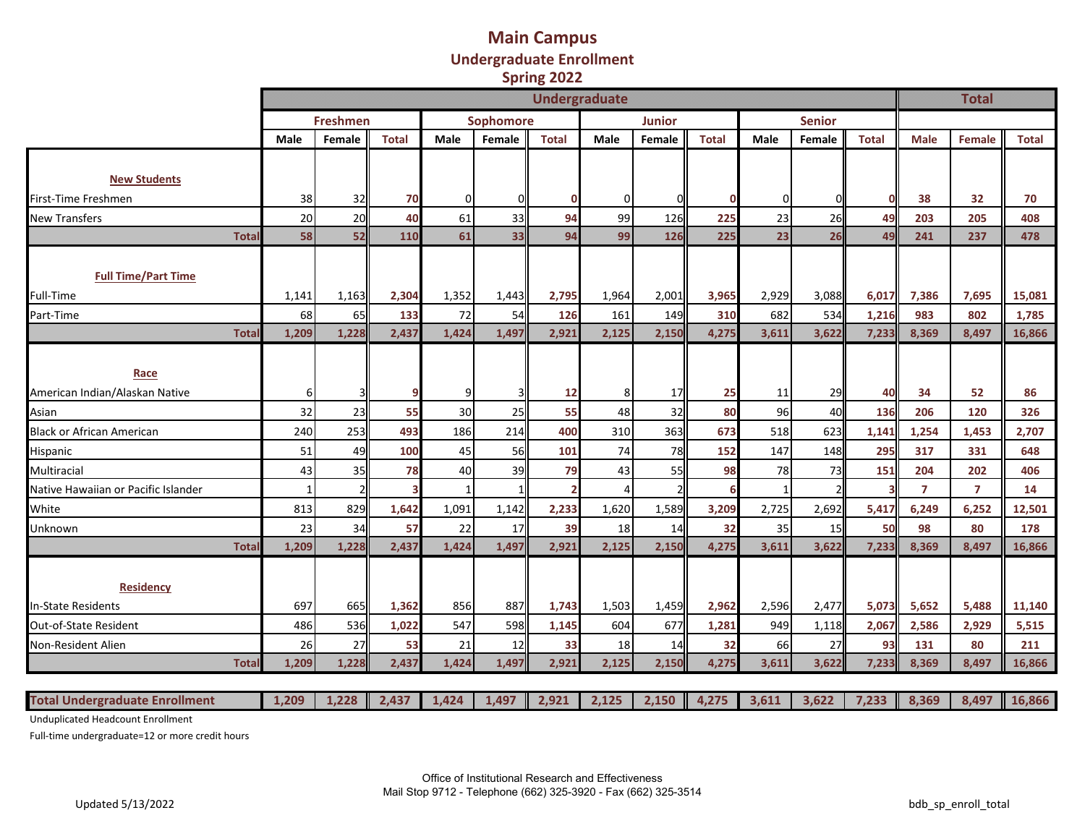#### **Main Campus Undergraduate Enrollment Spring 2022**

|                                     |              |                 |              |          |           | <b>Undergraduate</b> |          |          |              |              |               |              |                | <b>Total</b>   |              |
|-------------------------------------|--------------|-----------------|--------------|----------|-----------|----------------------|----------|----------|--------------|--------------|---------------|--------------|----------------|----------------|--------------|
|                                     |              | <b>Freshmen</b> |              |          | Sophomore |                      |          | Junior   |              |              | <b>Senior</b> |              |                |                |              |
|                                     | Male         | Female          | <b>Total</b> | Male     | Female    | <b>Total</b>         | Male     | Female   | <b>Total</b> | Male         | Female        | <b>Total</b> | <b>Male</b>    | Female         | <b>Total</b> |
|                                     |              |                 |              |          |           |                      |          |          |              |              |               |              |                |                |              |
| <b>New Students</b>                 |              |                 |              |          |           |                      |          |          |              |              |               |              |                |                |              |
| First-Time Freshmen                 | 38           | 32              | 70           | $\Omega$ |           |                      | $\Omega$ | $\Omega$ |              | $\Omega$     |               |              | 38             | 32             | 70           |
| <b>New Transfers</b>                | 20           | 20              | 40           | 61       | 33        | 94                   | 99       | 126      | 225          | 23           | 26            | 49           | 203            | 205            | 408          |
| <b>Total</b>                        | 58           | 52              | 110          | 61       | 33        | 94                   | 99       | 126      | 225          | 23           | 26            | 49           | 241            | 237            | 478          |
| <b>Full Time/Part Time</b>          |              |                 |              |          |           |                      |          |          |              |              |               |              |                |                |              |
| Full-Time                           | 1,141        | 1,163           | 2,304        | 1,352    | 1,443     | 2,795                | 1,964    | 2,001    | 3,965        | 2,929        | 3,088         | 6,017        | 7,386          | 7,695          | 15,081       |
| Part-Time                           | 68           | 65              | 133          | 72       | 54        | 126                  | 161      | 149      | 310          | 682          | 534           | 1,216        | 983            | 802            | 1,785        |
| <b>Tota</b>                         | 1,209        | 1,228           | 2,437        | 1,424    | 1,497     | 2,921                | 2,125    | 2,150    | 4,275        | 3,611        | 3,622         | 7,233        | 8,369          | 8,497          | 16,866       |
|                                     |              |                 |              |          |           |                      |          |          |              |              |               |              |                |                |              |
| Race                                |              |                 |              |          |           |                      |          |          |              |              |               |              |                |                |              |
| American Indian/Alaskan Native      | 6            |                 |              |          |           | 12                   | 8        | 17       | 25           | 11           | 29            | 40           | 34             | 52             | 86           |
| Asian                               | 32           | 23              | 55           | 30       | 25        | 55                   | 48       | 32       | 80           | 96           | 40            | 136          | 206            | 120            | 326          |
| <b>Black or African American</b>    | 240          | 253             | 493          | 186      | 214       | 400                  | 310      | 363      | 673          | 518          | 623           | 1,141        | 1,254          | 1,453          | 2,707        |
| Hispanic                            | 51           | 49              | 100          | 45       | 56        | 101                  | 74       | 78       | 152          | 147          | 148           | 295          | 317            | 331            | 648          |
| Multiracial                         | 43           | 35              | 78           | 40       | 39        | 79                   | 43       | 55       | 98           | 78           | 73            | 151          | 204            | 202            | 406          |
| Native Hawaiian or Pacific Islander | $\mathbf{1}$ | $\mathcal{P}$   |              |          |           |                      | $\prime$ |          |              | $\mathbf{1}$ |               |              | $\overline{7}$ | $\overline{7}$ | 14           |
| White                               | 813          | 829             | 1,642        | 1,091    | 1,142     | 2,233                | 1,620    | 1,589    | 3,209        | 2,725        | 2,692         | 5,417        | 6,249          | 6,252          | 12,501       |
| Unknown                             | 23           | 34              | 57           | 22       | 17        | 39                   | 18       | 14       | 32           | 35           | 15            | 50           | 98             | 80             | 178          |
| <b>Tota</b>                         | 1,209        | 1,228           | 2,437        | 1,424    | 1,497     | 2,921                | 2,125    | 2,150    | 4,275        | 3,611        | 3,622         | 7,233        | 8,369          | 8,497          | 16,866       |
| <b>Residency</b>                    |              |                 |              |          |           |                      |          |          |              |              |               |              |                |                |              |
| <b>In-State Residents</b>           | 697          | 665             | 1,362        | 856      | 887       | 1,743                | 1,503    | 1,459    | 2,962        | 2,596        | 2,477         | 5,073        | 5,652          | 5,488          | 11,140       |
| Out-of-State Resident               | 486          | 536             | 1,022        | 547      | 598       | 1,145                | 604      | 677      | 1,281        | 949          | 1,118         | 2,067        | 2,586          | 2,929          | 5,515        |
| Non-Resident Alien                  | 26           | 27              | 53           | 21       | 12        | 33                   | 18       | 14       | 32           | 66           | 27            | 93           | 131            | 80             | 211          |
| <b>Total</b>                        | 1,209        | 1,228           | 2,437        | 1,424    | 1,497     | 2,921                | 2,125    | 2,150    | 4,275        | 3,611        | 3,622         | 7,233        | 8,369          | 8,497          | 16,866       |
| Total Undergy<br>aduata.            | 1.200        | 1220            | 2127         | 1.121    | 1 407 H   | 2.021                | 2.125    | 2.150    | 1.27E        | 2C11         | 2.522         | 7222         | 0.250          | 0.107          | ACOC         |

| <b>Total Undergraduate Enrollment</b> | $1,209$   $1,228$   $2,437$ |  |  |  |  |  |  | $\mid$ 1,424   1,497   2,921   2,125   2,150   4,275   3,611   3,622   7,233   8,369   8,497   16,866 |
|---------------------------------------|-----------------------------|--|--|--|--|--|--|-------------------------------------------------------------------------------------------------------|
|                                       |                             |  |  |  |  |  |  |                                                                                                       |

Unduplicated Headcount Enrollment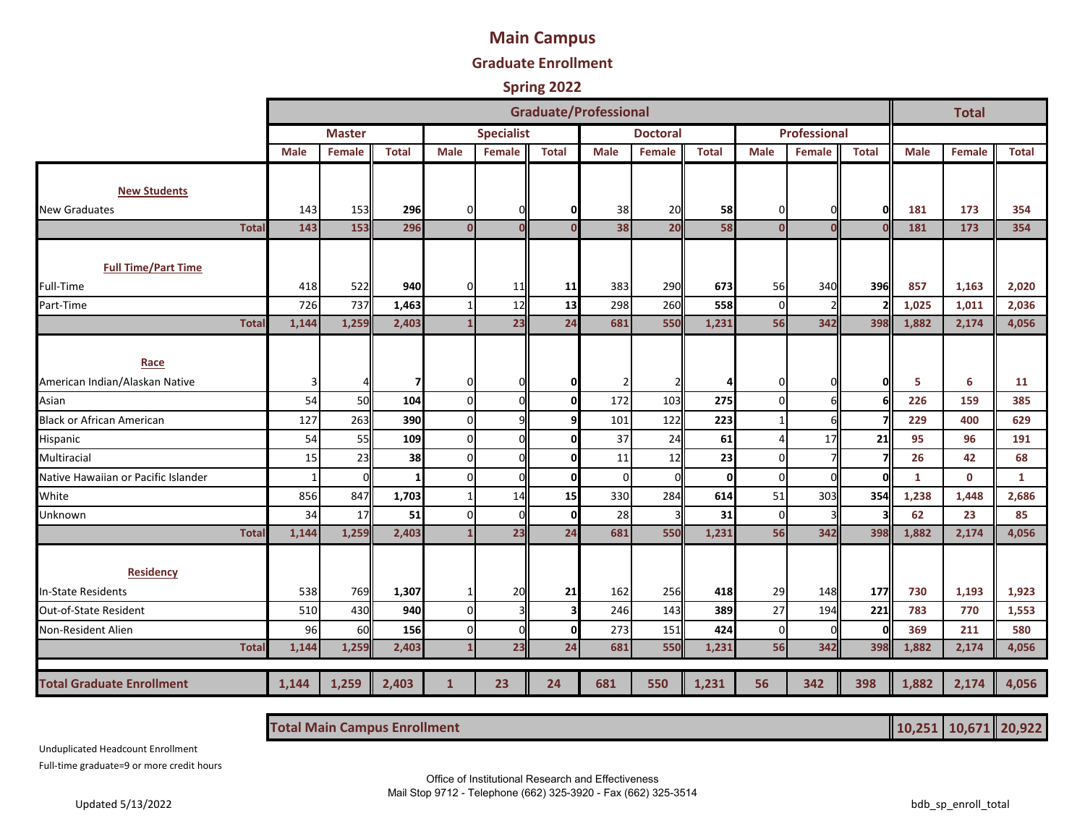# **Main Campus**

#### **Graduate Enrollment**

#### **Spring 2022**

|                                     |              |               |              |                |                   | <b>Graduate/Professional</b> |             |                 |              |                |               |              |              | <b>Total</b> |              |
|-------------------------------------|--------------|---------------|--------------|----------------|-------------------|------------------------------|-------------|-----------------|--------------|----------------|---------------|--------------|--------------|--------------|--------------|
|                                     |              | <b>Master</b> |              |                | <b>Specialist</b> |                              |             | <b>Doctoral</b> |              |                | Professional  |              |              |              |              |
|                                     | Male         | <b>Female</b> | <b>Total</b> | <b>Male</b>    | Female            | <b>Total</b>                 | <b>Male</b> | Female          | <b>Total</b> | <b>Male</b>    | <b>Female</b> | <b>Total</b> | <b>Male</b>  | Female       | <b>Total</b> |
|                                     |              |               |              |                |                   |                              |             |                 |              |                |               |              |              |              |              |
| <b>New Students</b>                 |              |               |              |                |                   |                              |             |                 |              |                |               |              |              |              |              |
| <b>New Graduates</b>                | 143          | 153           | 296          | 0              |                   | 0                            | 38          | 20              | 58           | 0              |               | O            | 181          | 173          | 354          |
| Total                               | 143          | 153           | 296          | $\mathbf 0$    | $\mathbf{O}$      | $\Omega$                     | 38          | 20              | 58           | $\mathbf{0}$   |               |              | 181          | 173          | 354          |
|                                     |              |               |              |                |                   |                              |             |                 |              |                |               |              |              |              |              |
| <b>Full Time/Part Time</b>          |              |               |              |                |                   |                              |             |                 |              |                |               |              |              |              |              |
| Full-Time                           | 418          | 522           | 940          | 0              | 11                | 11                           | 383         | 290             | 673          | 56             | 340           | 396          | 857          | 1,163        | 2,020        |
| Part-Time                           | 726          | 737           | 1,463        | $\mathbf{1}$   | 12                | 13                           | 298         | 260             | 558          | $\mathbf 0$    |               |              | 1,025        | 1,011        | 2,036        |
| <b>Total</b>                        | 1,144        | 1,259         | 2,403        | $\mathbf{1}$   | 23                | 24                           | 681         | 550             | 1,231        | 56             | 342           | 398          | 1,882        | 2,174        | 4,056        |
|                                     |              |               |              |                |                   |                              |             |                 |              |                |               |              |              |              |              |
| Race                                |              |               |              |                |                   |                              |             |                 |              |                |               |              |              |              |              |
| American Indian/Alaskan Native      | 3            |               |              | 0              | U                 | $\mathbf 0$                  | 2           |                 |              | 0              |               | O            | 5            | 6            | 11           |
| Asian                               | 54           | 50            | 104          | $\mathbf{0}$   | ŋ                 | $\Omega$                     | 172         | 103             | 275          | $\Omega$       |               | 6            | 226          | 159          | 385          |
| <b>Black or African American</b>    | 127          | 263           | 390          | $\mathbf 0$    | q                 | q                            | 101         | 122             | 223          |                | 6             |              | 229          | 400          | 629          |
| Hispanic                            | 54           | 55            | 109          | $\mathbf 0$    | U                 | $\Omega$                     | 37          | 24              | 61           | $\overline{a}$ | 17            | 21           | 95           | 96           | 191          |
| <b>Multiracial</b>                  | 15           | 23            | 38           | $\Omega$       | n                 | $\Omega$                     | 11          | 12              | 23           | $\Omega$       |               | 7            | 26           | 42           | 68           |
| Native Hawaiian or Pacific Islander | $\mathbf{1}$ | $\mathbf{0}$  |              | $\mathbf 0$    | O                 | 0l                           | 0           | $\Omega$        | 0            | $\mathbf 0$    | O             | 0            | $\mathbf{1}$ | $\mathbf{0}$ | $\mathbf{1}$ |
| White                               | 856          | 847           | 1,703        | $\mathbf{1}$   | 14                | 15                           | 330         | 284             | 614          | 51             | 303           | 354          | 1,238        | 1,448        | 2,686        |
| Unknown                             | 34           | 17            | 51           | $\mathbf 0$    | ŋ                 | $\mathbf 0$                  | 28          |                 | 31           | $\mathbf 0$    |               |              | 62           | 23           | 85           |
| Total                               | 1,144        | 1,259         | 2,403        | $\mathbf{1}$   | 23                | 24                           | 681         | 550             | 1,231        | 56             | 342           | 398          | 1,882        | 2,174        | 4,056        |
|                                     |              |               |              |                |                   |                              |             |                 |              |                |               |              |              |              |              |
| <b>Residency</b>                    |              |               |              |                |                   |                              |             |                 |              |                |               |              |              |              |              |
| In-State Residents                  | 538          | 769           | 1,307        | 1              | 20                | 21                           | 162         | 256             | 418          | 29             | 148           | 177          | 730          | 1,193        | 1,923        |
| Out-of-State Resident               | 510          | 430           | 940          | $\mathbf 0$    |                   |                              | 246         | 143             | 389          | 27             | 194           | 221          | 783          | 770          | 1,553        |
| Non-Resident Alien                  | 96           | 60            | 156          | $\pmb{0}$      | O                 | $\mathbf 0$                  | 273         | 151             | 424          | $\mathbf 0$    | $\Omega$      | 0            | 369          | 211          | 580          |
| Total                               | 1,144        | 1,259         | 2,403        | $\overline{1}$ | 23                | 24                           | 681         | 550             | 1,231        | 56             | 342           | 398          | 1,882        | 2,174        | 4,056        |
|                                     |              |               |              |                |                   |                              |             |                 |              |                |               |              |              |              |              |
| <b>Total Graduate Enrollment</b>    | 1,144        | 1,259         | 2,403        | $\mathbf{1}$   | 23                | 24                           | 681         | 550             | 1,231        | 56             | 342           | 398          | 1,882        | 2,174        | 4,056        |

**Total Main Campus Enrollment 10,251 10,671 20,922**

Unduplicated Headcount Enrollment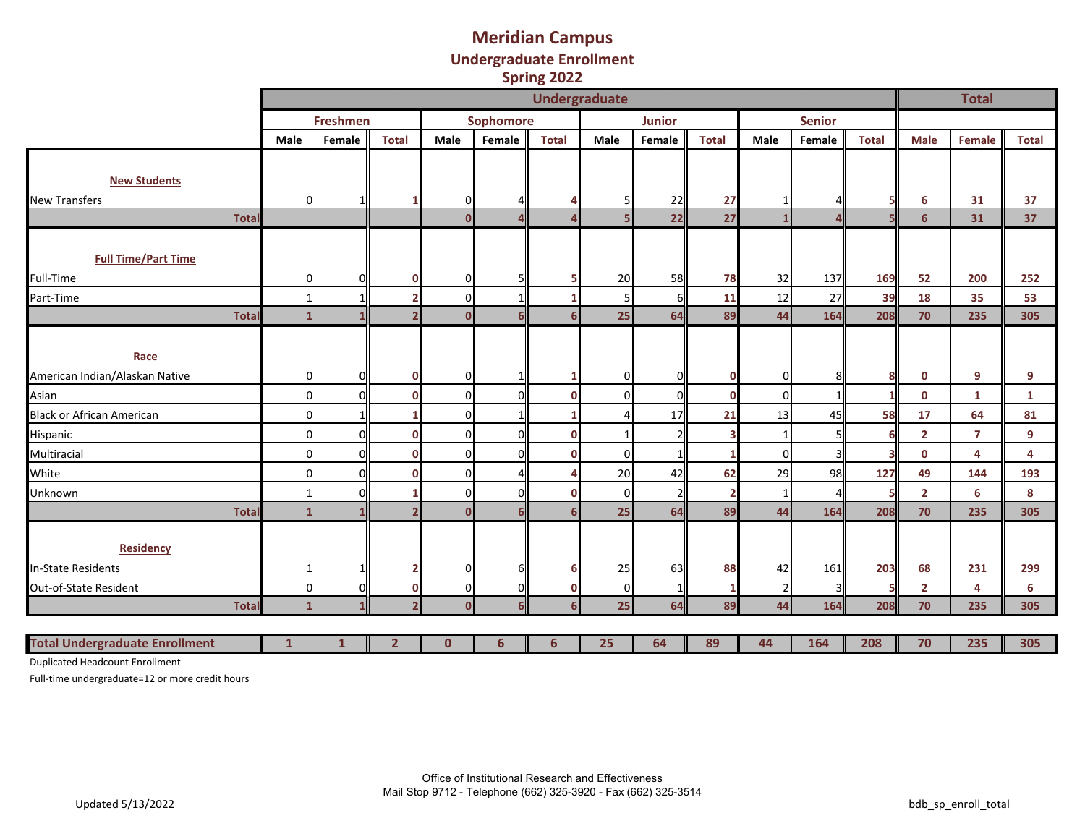### **Meridian Campus Undergraduate Enrollment Spring 2022**

|                                       |                   |                 |              |                            |           | $-1.115 - 1.11$ |                      |               |              |                |               |              |                      |                |                  |
|---------------------------------------|-------------------|-----------------|--------------|----------------------------|-----------|-----------------|----------------------|---------------|--------------|----------------|---------------|--------------|----------------------|----------------|------------------|
|                                       |                   |                 |              |                            |           |                 | <b>Undergraduate</b> |               |              |                |               |              |                      | <b>Total</b>   |                  |
|                                       |                   | <b>Freshmen</b> |              |                            | Sophomore |                 |                      | <b>Junior</b> |              |                | <b>Senior</b> |              |                      |                |                  |
|                                       | Male              | Female          | <b>Total</b> | Male                       | Female    | <b>Total</b>    | Male                 | Female        | <b>Total</b> | Male           | Female        | <b>Total</b> | Male                 | Female         | <b>Total</b>     |
|                                       |                   |                 |              |                            |           |                 |                      |               |              |                |               |              |                      |                |                  |
| <b>New Students</b>                   |                   |                 |              |                            |           |                 |                      |               |              |                |               |              |                      |                |                  |
| <b>New Transfers</b>                  | οI                |                 |              | $\Omega$                   |           |                 | 5                    | 22            | 27           |                |               |              | 6                    | 31             | 37               |
| <b>Total</b>                          |                   |                 |              | $\Omega$                   |           |                 | 5                    | 22            | 27           |                |               |              | 6                    | 31             | 37               |
|                                       |                   |                 |              |                            |           |                 |                      |               |              |                |               |              |                      |                |                  |
| <b>Full Time/Part Time</b>            |                   |                 |              |                            |           |                 |                      |               |              |                |               |              |                      |                |                  |
| Full-Time                             | 01                |                 |              | $\Omega$                   |           |                 | 20                   | 58            | 78           | 32             | 137           | 169          | 52                   | 200            | 252              |
| Part-Time                             | $\mathbf{1}$      |                 |              | $\overline{0}$             |           |                 | 5                    | 6             | 11           | 12             | 27            | 39           | 18                   | 35             | 53               |
| <b>Total</b>                          | $\mathbf{1}$      |                 |              | $\Omega$                   |           |                 | 25                   | 64            | 89           | 44             | 164           | 208          | 70                   | 235            | 305              |
|                                       |                   |                 |              |                            |           |                 |                      |               |              |                |               |              |                      |                |                  |
| Race                                  |                   |                 |              |                            |           |                 |                      |               |              |                |               |              |                      |                |                  |
| American Indian/Alaskan Native        | 01                | ΟI              |              | $\Omega$                   |           |                 | 0                    | 01            | 0            | 0              | 8             | 8            | 0                    | 9              | 9                |
| Asian                                 | οI                | ΟI              |              | $\overline{0}$             | ΩI        |                 | $\mathbf{0}$         | $\Omega$      | n            | $\mathbf 0$    |               |              | $\mathbf 0$          | $\mathbf{1}$   | $\mathbf{1}$     |
| <b>Black or African American</b>      | οI                |                 |              | $\Omega$                   | 1 I       |                 |                      | 17            | 21           | 13             | 45            | 58           | 17                   | 64             | 81               |
| Hispanic                              | $\overline{0}$    | ΟI              |              | $\overline{0}$             | ΩI        |                 |                      |               |              | -1             |               |              | $\overline{2}$       | $\overline{7}$ | $\boldsymbol{9}$ |
| Multiracial                           | οI                | ΟI              |              | $\Omega$                   | ΩI        |                 | $\Omega$             |               |              | $\Omega$       |               |              | $\mathbf 0$          | 4              | 4                |
| White                                 | οI                | ΟI              |              | $\overline{0}$             |           |                 | 20                   | 42            | 62           | 29             | 98            | 127          | 49                   | 144            | 193              |
|                                       |                   |                 |              |                            | ΩI        |                 |                      |               |              |                |               |              |                      |                |                  |
| Unknown<br><b>Total</b>               | 1<br>$\mathbf{1}$ | 0l              |              | $\overline{0}$<br>$\Omega$ |           |                 | $\mathbf 0$<br>25    | 64            | 89           | 1<br>44        | 164           | 208          | $\overline{2}$<br>70 | 6<br>235       | 8<br>305         |
|                                       |                   |                 |              |                            |           |                 |                      |               |              |                |               |              |                      |                |                  |
| <b>Residency</b>                      |                   |                 |              |                            |           |                 |                      |               |              |                |               |              |                      |                |                  |
|                                       |                   |                 |              |                            |           |                 |                      |               |              |                |               |              |                      |                |                  |
| In-State Residents                    | 1                 |                 |              | $\Omega$                   |           |                 | 25                   | 63            | 88           | 42             | 161           | 203          | 68                   | 231            | 299              |
| Out-of-State Resident                 | $\overline{0}$    | ΟI              | C            | $\overline{0}$             | ΩL        |                 | 0                    |               |              | $\overline{2}$ | 3             |              | $\overline{2}$       | 4              | 6                |
| <b>Total</b>                          | $\mathbf{1}$      |                 |              | $\Omega$                   |           |                 | 25                   | 64            | 89           | 44             | 164           | 208          | 70                   | 235            | 305              |
|                                       |                   |                 |              |                            |           |                 |                      |               |              |                |               |              |                      |                |                  |
| <b>Total Undergraduate Enrollment</b> |                   |                 | 2            | $\bf{0}$                   | 6         | 6               | 25                   | 64            | 89           | 44             | 164           | 208          | 70                   | 235            | 305              |

Duplicated Headcount Enrollment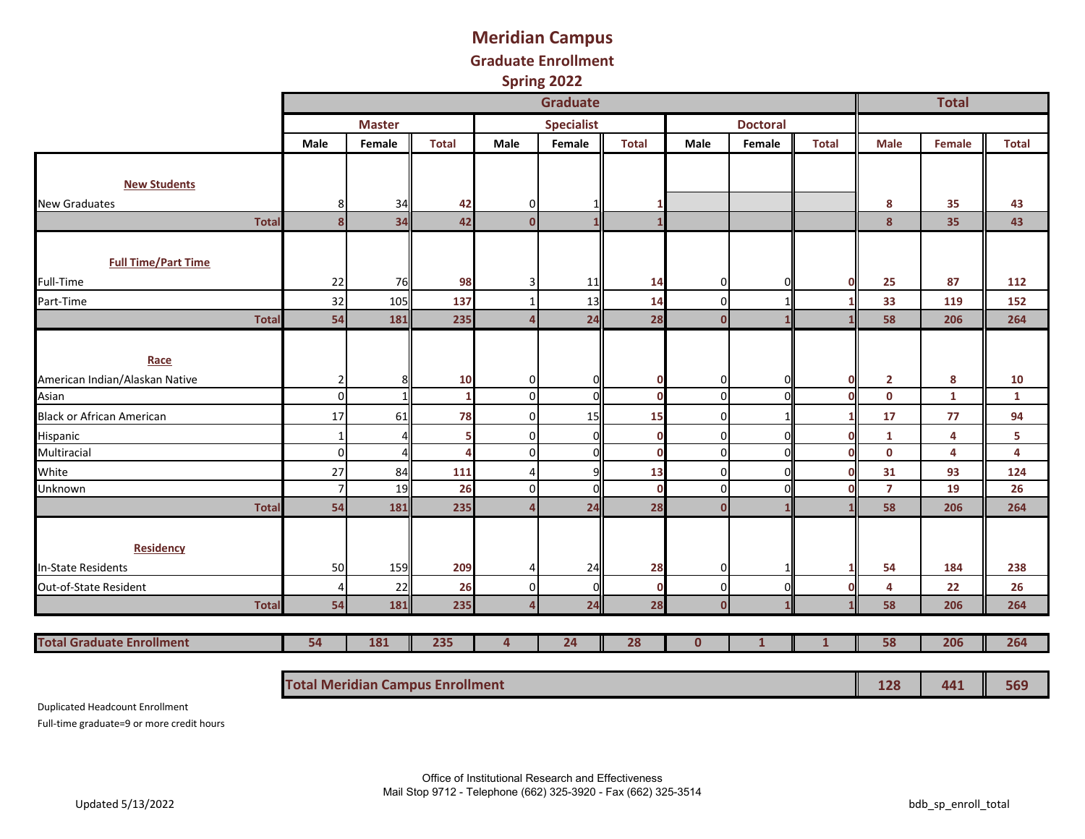## **Meridian Campus Graduate Enrollment Spring 2022**

|                                  |                         |               |              |              | <b>Graduate</b>   |              |                |                 |              | <b>Total</b>   |        |                         |  |
|----------------------------------|-------------------------|---------------|--------------|--------------|-------------------|--------------|----------------|-----------------|--------------|----------------|--------|-------------------------|--|
|                                  |                         | <b>Master</b> |              |              | <b>Specialist</b> |              |                | <b>Doctoral</b> |              |                |        |                         |  |
|                                  | Male                    | Female        | <b>Total</b> | Male         | Female            | <b>Total</b> | Male           | Female          | <b>Total</b> | Male           | Female | <b>Total</b>            |  |
|                                  |                         |               |              |              |                   |              |                |                 |              |                |        |                         |  |
| <b>New Students</b>              |                         |               |              |              |                   |              |                |                 |              |                |        |                         |  |
| <b>New Graduates</b>             | 8                       | 34            | 42           | 0            |                   |              |                |                 |              | 8              | 35     | 43                      |  |
| <b>Total</b>                     | $\overline{\mathbf{8}}$ | 34            | 42           | $\mathbf{0}$ |                   |              |                |                 |              | 8              | 35     | 43                      |  |
|                                  |                         |               |              |              |                   |              |                |                 |              |                |        |                         |  |
| <b>Full Time/Part Time</b>       |                         |               |              |              |                   |              |                |                 |              |                |        |                         |  |
| Full-Time                        | 22                      | 76            | 98           | 3            | 11                | 14           | $\overline{0}$ | 0               | n            | 25             | 87     | 112                     |  |
| Part-Time                        | 32                      | 105           | 137          |              | 13                | 14           | $\Omega$       | 1               |              | 33             | 119    | 152                     |  |
| <b>Total</b>                     | 54                      | 181           | 235          | $\Delta$     | 24                | 28           | $\mathbf{0}$   |                 |              | 58             | 206    | 264                     |  |
|                                  |                         |               |              |              |                   |              |                |                 |              |                |        |                         |  |
| Race                             |                         |               |              |              |                   |              |                |                 |              |                |        |                         |  |
| American Indian/Alaskan Native   | $\overline{2}$          | 8             | 10           | $\mathbf 0$  | 01                | 0            | 0              | 0               | п            | $\mathbf{2}$   | 8      | 10                      |  |
| Asian                            | $\pmb{0}$               |               | 1            | $\mathbf 0$  | <sub>0</sub>      | $\mathbf 0$  | $\overline{0}$ | $\overline{0}$  | n            | $\mathbf 0$    | 1      | $\mathbf{1}$            |  |
| <b>Black or African American</b> | 17                      | 61            | 78           | $\mathbf 0$  | 15                | 15           | $\Omega$       | $1\overline{ }$ |              | 17             | 77     | 94                      |  |
| Hispanic                         | $\mathbf{1}$            |               | 5            | $\mathbf 0$  | $\overline{0}$    | $\mathbf 0$  | $\overline{0}$ | $\Omega$        |              | $\mathbf{1}$   | 4      | 5                       |  |
| Multiracial                      | $\pmb{0}$               |               | Δ            | $\mathbf 0$  | <sub>0</sub>      | $\mathbf 0$  | $\Omega$       | $\Omega$        | ſ            | $\pmb{0}$      | 4      | $\overline{\mathbf{4}}$ |  |
| White                            | 27                      | 84            | 111          | 4            | q                 | 13           | $\Omega$       | $\Omega$        |              | 31             | 93     | 124                     |  |
| Unknown                          | $\overline{7}$          | 19            | 26           | $\mathbf 0$  | <sub>0</sub>      | $\mathbf 0$  | $\Omega$       | $\Omega$        |              | $\overline{7}$ | 19     | 26                      |  |
| Total                            | 54                      | 181           | 235          |              | 24                | 28           | n              |                 |              | 58             | 206    | 264                     |  |
|                                  |                         |               |              |              |                   |              |                |                 |              |                |        |                         |  |
| <b>Residency</b>                 |                         |               |              |              |                   |              |                |                 |              |                |        |                         |  |
| In-State Residents               | 50                      | 159           | 209          | 4            | 24                | 28           | $\overline{0}$ | 1               |              | 54             | 184    | 238                     |  |
| Out-of-State Resident            | 4                       | 22            | 26           | 0            | <sub>0</sub>      | $\mathbf 0$  | $\Omega$       | $\Omega$        | n            | 4              | 22     | 26                      |  |
| <b>Total</b>                     | 54                      | 181           | 235          | Δ            | 24                | 28           | $\Omega$       | 1               |              | 58             | 206    | 264                     |  |
| <b>Total Graduate Enrollment</b> | 54                      | 181           | 235          | 4            | 24                | 28           | $\mathbf{0}$   | $\mathbf{1}$    | $\mathbf{1}$ | 58             | 206    | 264                     |  |
|                                  |                         |               |              |              |                   |              |                |                 |              |                |        |                         |  |

**Total Meridian Campus Enrollment 128 441 569**

Duplicated Headcount Enrollment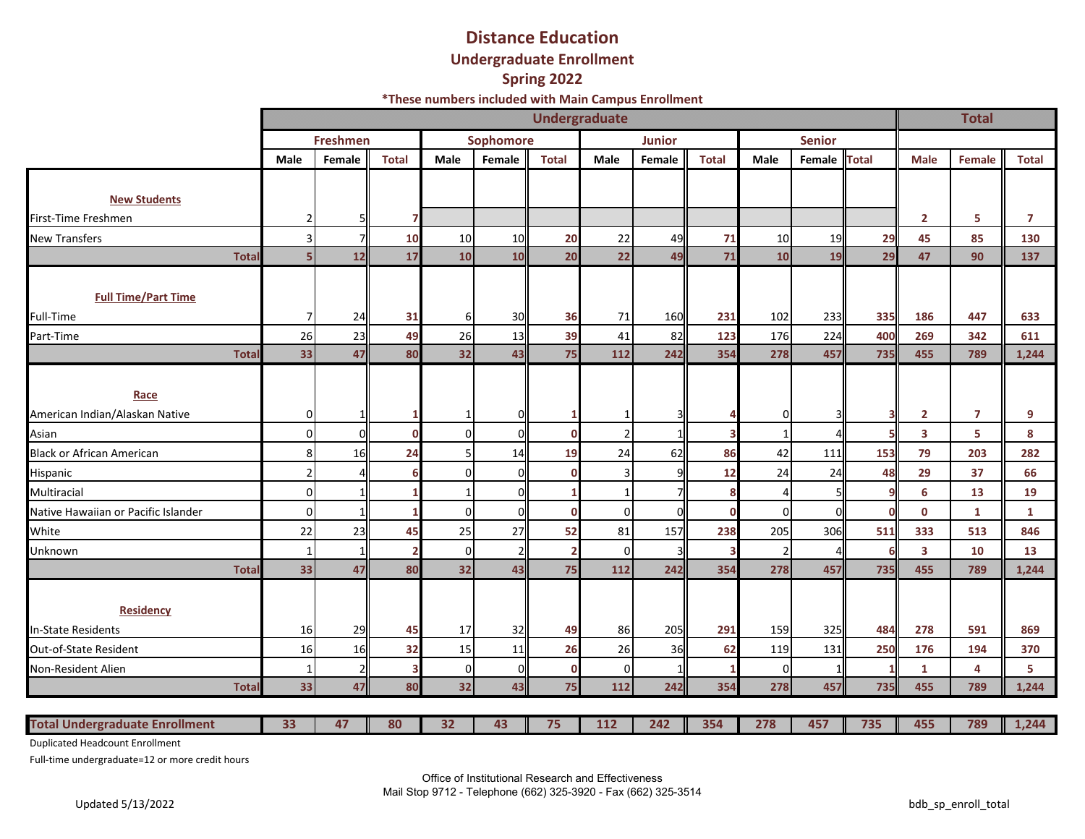## **Distance Education Undergraduate Enrollment Spring 2022**

**\*These numbers included with Main Campus Enrollment**

|                                        |                         | <b>Undergraduate</b> |              |          |           |              |                |               |              |          |               |              |                         | <b>Total</b>   |                |  |
|----------------------------------------|-------------------------|----------------------|--------------|----------|-----------|--------------|----------------|---------------|--------------|----------|---------------|--------------|-------------------------|----------------|----------------|--|
|                                        |                         | <b>Freshmen</b>      |              |          | Sophomore |              |                | <b>Junior</b> |              |          | <b>Senior</b> |              |                         |                |                |  |
|                                        | <b>Male</b>             | Female               | <b>Total</b> | Male     | Female    | <b>Total</b> | Male           | Female        | <b>Total</b> | Male     | Female        | <b>Total</b> | <b>Male</b>             | Female         | <b>Total</b>   |  |
|                                        |                         |                      |              |          |           |              |                |               |              |          |               |              |                         |                |                |  |
| <b>New Students</b>                    |                         |                      |              |          |           |              |                |               |              |          |               |              |                         |                |                |  |
| First-Time Freshmen                    | $\overline{2}$          |                      |              |          |           |              |                |               |              |          |               |              | $\mathbf{2}$            | 5              | $\overline{7}$ |  |
| <b>New Transfers</b>                   | $\overline{\mathsf{3}}$ |                      | 10           | 10       | 10        | 20           | 22             | 49            | 71           | 10       | 19            | 29           | 45                      | 85             | 130            |  |
| Total                                  | 5 <sup>1</sup>          | 12                   | 17           | 10       | 10        | 20           | 22             | 49            | 71           | 10       | 19            | 29           | 47                      | 90             | 137            |  |
| <b>Full Time/Part Time</b>             |                         |                      |              |          |           |              |                |               |              |          |               |              |                         |                |                |  |
| Full-Time                              | 7                       | 24                   | 31           | 61       | 30        | 36           | 71             | 160           | 231          | 102      | 233           | 335          | 186                     | 447            | 633            |  |
| Part-Time                              | 26                      | 23                   | 49           | 26       | 13        | 39           | 41             | 82            | 123          | 176      | 224           | 400          | 269                     | 342            | 611            |  |
| <b>Total</b>                           | 33                      | 47                   | 80           | 32       | 43        | 75           | 112            | 242           | 354          | 278      | 457           | 735          | 455                     | 789            | 1,244          |  |
| Race<br>American Indian/Alaskan Native | $\overline{0}$          |                      |              |          |           |              |                |               |              | 0        |               | 3            | $\mathbf{2}$            | $\overline{7}$ | 9              |  |
| Asian                                  | $\overline{0}$          |                      |              | $\Omega$ |           |              | $\overline{2}$ |               |              |          |               |              | $\overline{\mathbf{3}}$ | 5              | 8              |  |
| <b>Black or African American</b>       | 8 <sup>1</sup>          | 16                   | 24           | 5        | 14        | 19           | 24             | 62            | 86           | 42       | 111           | 153          | 79                      | 203            | 282            |  |
| Hispanic                               | 2 <sup>1</sup>          |                      |              | $\Omega$ |           | $\mathbf 0$  | 3              |               | 12           | 24       | 24            | 48           | 29                      | 37             | 66             |  |
| Multiracial                            | $\mathbf{0}$            |                      |              |          |           |              |                |               | 8            | 4        |               | 9            | 6                       | 13             | 19             |  |
| Native Hawaiian or Pacific Islander    | $\overline{0}$          |                      |              | $\Omega$ |           | $\mathbf 0$  | $\overline{0}$ |               | $\mathbf 0$  | $\Omega$ |               | $\mathbf 0$  | $\mathbf 0$             | $\mathbf{1}$   | 1              |  |
| White                                  | 22                      | 23                   | 45           | 25       | 27        | 52           | 81             | 157           | 238          | 205      | 306           | 511          | 333                     | 513            | 846            |  |
| Unknown                                | $1\vert$                | 1                    |              | $\Omega$ |           |              | $\overline{0}$ |               | 3            |          |               | 6            | $\overline{\mathbf{3}}$ | 10             | 13             |  |
| Total                                  | 33                      | 47                   | 80           | 32       | 43        | 75           | 112            | 242           | 354          | 278      | 457           | 735          | 455                     | 789            | 1,244          |  |
| <b>Residency</b>                       |                         |                      |              |          |           |              |                |               |              |          |               |              |                         |                |                |  |
| In-State Residents                     | 16                      | 29                   | 45           | 17       | 32        | 49           | 86             | 205           | 291          | 159      | 325           | 484          | 278                     | 591            | 869            |  |
| Out-of-State Resident                  | 16                      | 16                   | 32           | 15       | 11        | 26           | 26             | 36            | 62           | 119      | 131           | 250          | 176                     | 194            | 370            |  |
| Non-Resident Alien                     | $\mathbf{1}$            |                      |              | $\Omega$ |           | $\mathbf 0$  | $\overline{0}$ |               |              | $\Omega$ |               | 1            | $\mathbf{1}$            | 4              | 5              |  |
| Total                                  | 33                      | 47                   | 80           | 32       | 43        | 75           | 112            | 242           | 354          | 278      | 457           | 735          | 455                     | 789            | 1,244          |  |
| <b>Total Undergraduate Enrollment</b>  | 33                      | 47                   | 80           | 32       | 43        | 75           | 112            | 242           | 354          | 278      | 457           | 735          | 455                     | 789            | 1,244          |  |

Duplicated Headcount Enrollment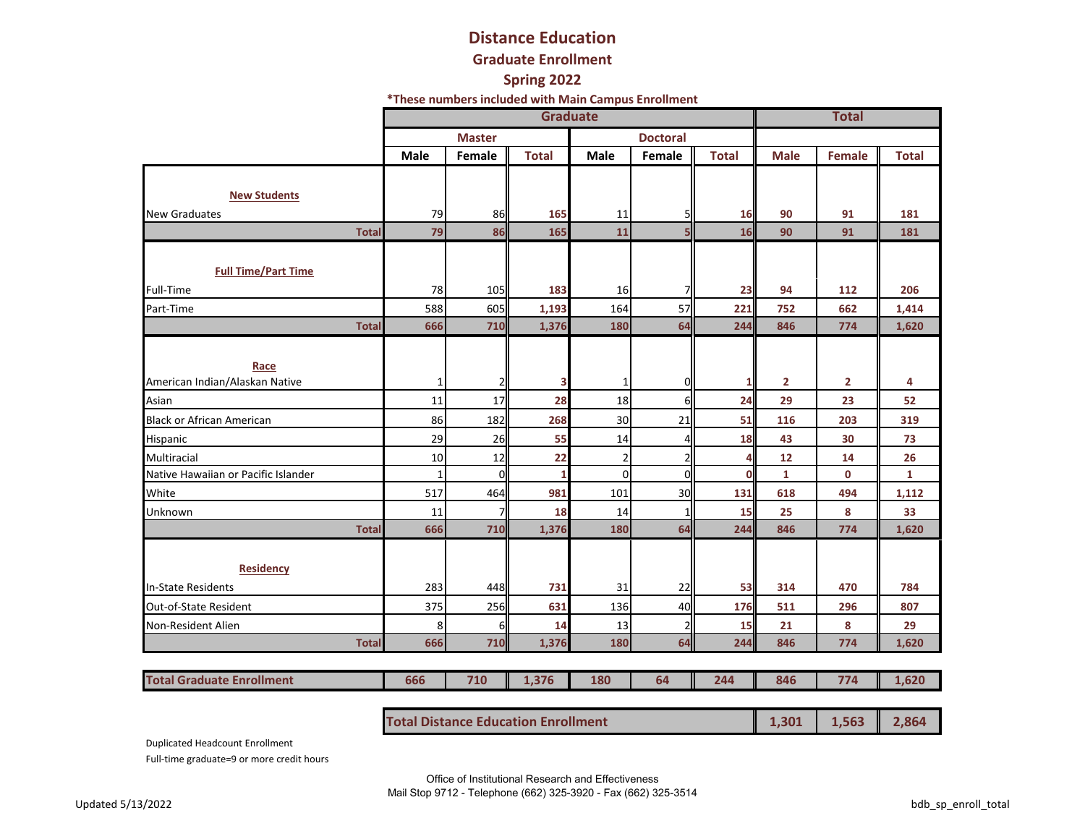# **Distance Education**

#### **Graduate Enrollment**

#### **Spring 2022**

**\*These numbers included with Main Campus Enrollment**

|                                     |              |                | <b>Total</b> |                |                 |              |              |        |              |
|-------------------------------------|--------------|----------------|--------------|----------------|-----------------|--------------|--------------|--------|--------------|
|                                     |              | <b>Master</b>  |              |                | <b>Doctoral</b> |              |              |        |              |
|                                     | <b>Male</b>  | Female         | <b>Total</b> | <b>Male</b>    | Female          | <b>Total</b> | <b>Male</b>  | Female | <b>Total</b> |
|                                     |              |                |              |                |                 |              |              |        |              |
| <b>New Students</b>                 |              |                |              |                |                 |              |              |        |              |
| <b>New Graduates</b>                | 79           | 86             | 165          | 11             | 5               | 16           | 90           | 91     | 181          |
| <b>Total</b>                        | 79           | 86             | 165          | 11             | 5               | 16           | 90           | 91     | 181          |
|                                     |              |                |              |                |                 |              |              |        |              |
| <b>Full Time/Part Time</b>          |              |                |              |                |                 |              |              |        |              |
| <b>Full-Time</b>                    | 78           | 105            | 183          | 16             |                 | 23           | 94           | 112    | 206          |
| Part-Time                           | 588          | 605            | 1,193        | 164            | 57              | 221          | 752          | 662    | 1,414        |
| <b>Total</b>                        | 666          | 710            | 1,376        | 180            | 64              | 244          | 846          | 774    | 1,620        |
|                                     |              |                |              |                |                 |              |              |        |              |
| Race                                |              |                |              |                |                 |              |              |        |              |
| American Indian/Alaskan Native      | $\mathbf{1}$ | 2              | 3            | 1              | 0               | 1            | $\mathbf{2}$ | 2      | 4            |
| Asian                               | 11           | 17             | 28           | 18             | 6               | 24           | 29           | 23     | 52           |
| <b>Black or African American</b>    | 86           | 182            | 268          | 30             | 21              | 51           | 116          | 203    | 319          |
| Hispanic                            | 29           | 26             | 55           | 14             | $\overline{4}$  | 18           | 43           | 30     | 73           |
| Multiracial                         | 10           | 12             | 22           | $\overline{2}$ | $\mathbf{z}$    | 4            | 12           | 14     | 26           |
| Native Hawaiian or Pacific Islander | $\mathbf{1}$ | $\mathbf 0$    | $\mathbf{1}$ | $\mathbf 0$    | $\overline{0}$  | $\mathbf 0$  | $\mathbf{1}$ | 0      | $\mathbf{1}$ |
| White                               | 517          | 464            | 981          | 101            | 30              | 131          | 618          | 494    | 1,112        |
| Unknown                             | 11           | $\overline{7}$ | 18           | 14             | 1               | 15           | 25           | 8      | 33           |
| <b>Total</b>                        | 666          | 710            | 1,376        | 180            | 64              | 244          | 846          | 774    | 1,620        |
|                                     |              |                |              |                |                 |              |              |        |              |
| <b>Residency</b>                    |              |                |              |                |                 |              |              |        |              |
| <b>In-State Residents</b>           | 283          | 448            | 731          | 31             | 22              | 53           | 314          | 470    | 784          |
| <b>Out-of-State Resident</b>        | 375          | 256            | 631          | 136            | 40              | 176          | 511          | 296    | 807          |
| <b>Non-Resident Alien</b>           | 8            | 6              | 14           | 13             | 2               | 15           | 21           | 8      | 29           |
| <b>Total</b>                        | 666          | 710            | 1,376        | 180            | 64              | 244          | 846          | 774    | 1,620        |
|                                     |              |                |              |                |                 |              |              |        |              |
| <b>Total Graduate Enrollment</b>    | 666          | 710            | 1,376        | 180            | 64              | 244          | 846          | 774    | 1,620        |
|                                     |              |                |              |                |                 |              |              |        |              |

| <b>Total Distance Education Enrollment</b> | $\begin{array}{ c c c c c } \hline & 1,301 & 1,563 & 2,864 \ \hline \end{array}$ |  |  |
|--------------------------------------------|----------------------------------------------------------------------------------|--|--|
|--------------------------------------------|----------------------------------------------------------------------------------|--|--|

Duplicated Headcount Enrollment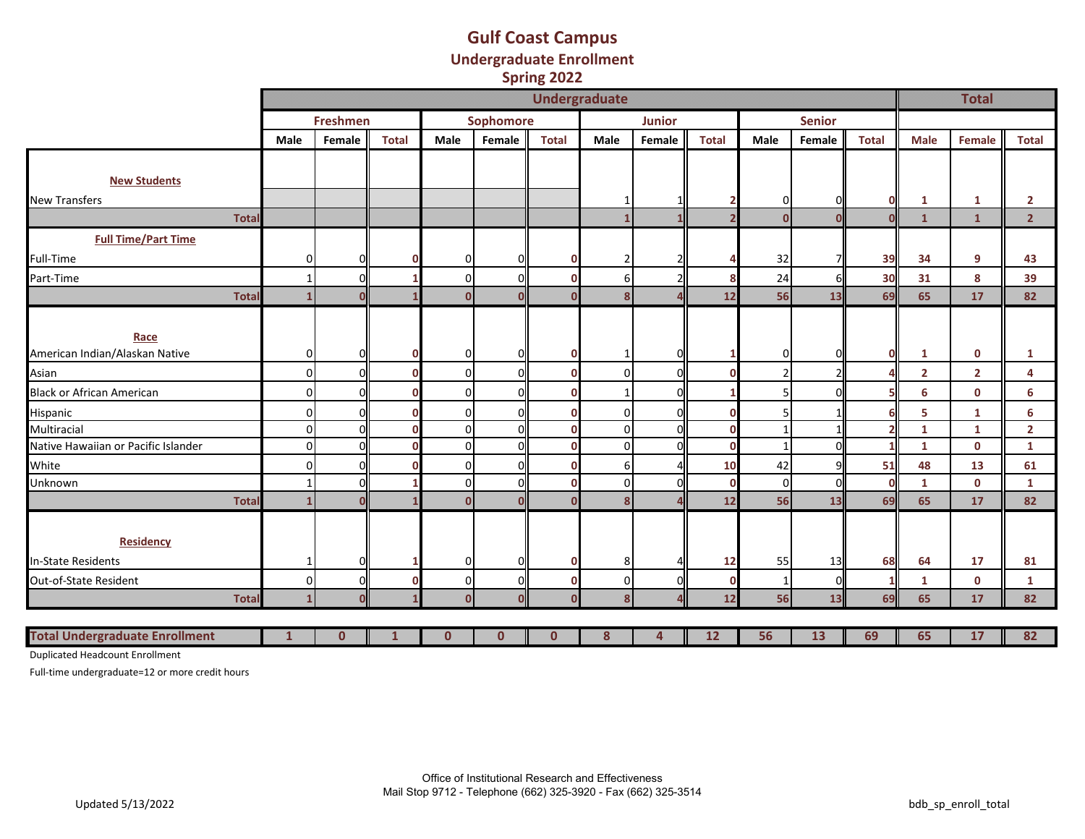#### **Gulf Coast Campus Undergraduate Enrollment Spring 2022**

|                                       |                      |                 |              |                |              | $-1.11$      |               |        |              |               |               |              |                         |                |                |
|---------------------------------------|----------------------|-----------------|--------------|----------------|--------------|--------------|---------------|--------|--------------|---------------|---------------|--------------|-------------------------|----------------|----------------|
|                                       | <b>Undergraduate</b> |                 |              |                |              |              |               |        |              |               |               |              | <b>Total</b>            |                |                |
|                                       |                      | <b>Freshmen</b> |              |                | Sophomore    |              | <b>Junior</b> |        |              |               | <b>Senior</b> |              |                         |                |                |
|                                       | Male                 | Female          | <b>Total</b> | Male           | Female       | <b>Total</b> | Male          | Female | <b>Total</b> | Male          | Female        | <b>Total</b> | <b>Male</b>             | Female         | <b>Total</b>   |
|                                       |                      |                 |              |                |              |              |               |        |              |               |               |              |                         |                |                |
| <b>New Students</b>                   |                      |                 |              |                |              |              |               |        |              |               |               |              |                         |                |                |
| <b>New Transfers</b>                  |                      |                 |              |                |              |              |               |        |              | 0             |               | <sup>o</sup> | 1                       | 1              | $\mathbf{2}$   |
| <b>Total</b>                          |                      |                 |              |                |              |              |               |        |              | $\Omega$      |               |              | $\mathbf{1}$            | $\mathbf{1}$   | 2 <sup>1</sup> |
| <b>Full Time/Part Time</b>            |                      |                 |              |                |              |              |               |        |              |               |               |              |                         |                |                |
| Full-Time                             | οI                   | <sub>0</sub>    |              | $\Omega$       | ΩI           |              |               |        |              | 32            |               | 39           | 34                      | 9              | 43             |
| Part-Time                             | $\mathbf{1}$         | ΟI              |              | $\overline{0}$ | ΩI           | n            | 6             |        |              | 24            | 6             | 30           | 31                      | 8              | 39             |
| <b>Total</b>                          | $1\overline{ }$      | $\mathbf 0$     |              | $\mathbf 0$    | $\Omega$     | n            | 8             | Δ      | 12           | 56            | 13            | 69           | 65                      | 17             | 82             |
|                                       |                      |                 |              |                |              |              |               |        |              |               |               |              |                         |                |                |
| Race                                  |                      |                 |              |                |              |              |               |        |              |               |               |              |                         |                |                |
| American Indian/Alaskan Native        | 01                   |                 |              | $\overline{0}$ |              |              |               | U      |              | 0             |               | $\Omega$     | $\mathbf{1}$            | $\mathbf 0$    | $\mathbf{1}$   |
| Asian                                 | $\Omega$             | ΩI              |              | $\Omega$       | ΩI           |              | $\Omega$      | O      |              | $\mathcal{P}$ |               |              | $\overline{\mathbf{2}}$ | $\overline{2}$ | 4              |
| <b>Black or African American</b>      | οI                   | Οl              |              | $\Omega$       | ΩI           |              |               | 0      |              |               |               |              | 6                       | $\mathbf 0$    | 6              |
| Hispanic                              | 0                    | ΟI              | п            | $\Omega$       | ΟI           |              | 0             | 0      |              | 5             |               | 6            | 5                       | 1              | 6              |
| Multiracial                           | $\overline{0}$       | ΟI              |              | $\overline{0}$ | ΩI           |              | 0             | O      |              | $\mathbf{1}$  |               |              | $\mathbf{1}$            | 1              | $\overline{2}$ |
| Native Hawaiian or Pacific Islander   | 0                    | ΟI              |              | $\overline{0}$ | ΩI           |              | $\Omega$      | 0      |              |               |               |              | $\mathbf{1}$            | $\mathbf 0$    | $\mathbf{1}$   |
| White                                 | 01                   | ΟI              |              | $\overline{0}$ | ΩI           |              | 6             |        | 10           | 42            |               | 51           | 48                      | 13             | 61             |
| Unknown                               | $\mathbf{1}$         | ΟI              |              | $\overline{0}$ | <sub>0</sub> | O            | 0             | 0      | $\mathbf{0}$ | $\mathbf 0$   | $\Omega$      | $\Omega$     | $\mathbf{1}$            | $\mathbf 0$    | $\mathbf{1}$   |
| <b>Total</b>                          | $1\overline{ }$      | $\Omega$        |              | $\mathbf{0}$   |              |              | 8             |        | 12           | 56            | 13            | 69           | 65                      | 17             | 82             |
|                                       |                      |                 |              |                |              |              |               |        |              |               |               |              |                         |                |                |
| <b>Residency</b>                      |                      |                 |              |                |              |              |               |        |              |               |               |              |                         |                |                |
| In-State Residents                    | 1                    | ΟI              |              | $\overline{0}$ | ΩI           |              | 8             |        | 12           | 55            | 13            | 68           | 64                      | 17             | 81             |
| Out-of-State Resident                 | $\overline{0}$       | ΟI              |              | $\overline{0}$ | οl           | O            | 0             | 0      |              | 1             | $\Omega$      |              | 1                       | $\mathbf{0}$   | 1              |
| <b>Total</b>                          | 1                    | $\Omega$        |              | $\Omega$       |              |              | $\mathbf{8}$  |        | 12           | 56            | 13            | 69           | 65                      | 17             | 82             |
|                                       |                      |                 |              |                |              |              |               |        |              |               |               |              |                         |                |                |
| <b>Total Undergraduate Enrollment</b> | 1                    | $\mathbf{0}$    | $\mathbf{I}$ | $\bf{0}$       | $\mathbf{0}$ | $\mathbf{0}$ | 8             | 4      | 12           | 56            | 13            | 69<br>Ш      | 65                      | 17             | 82             |

Duplicated Headcount Enrollment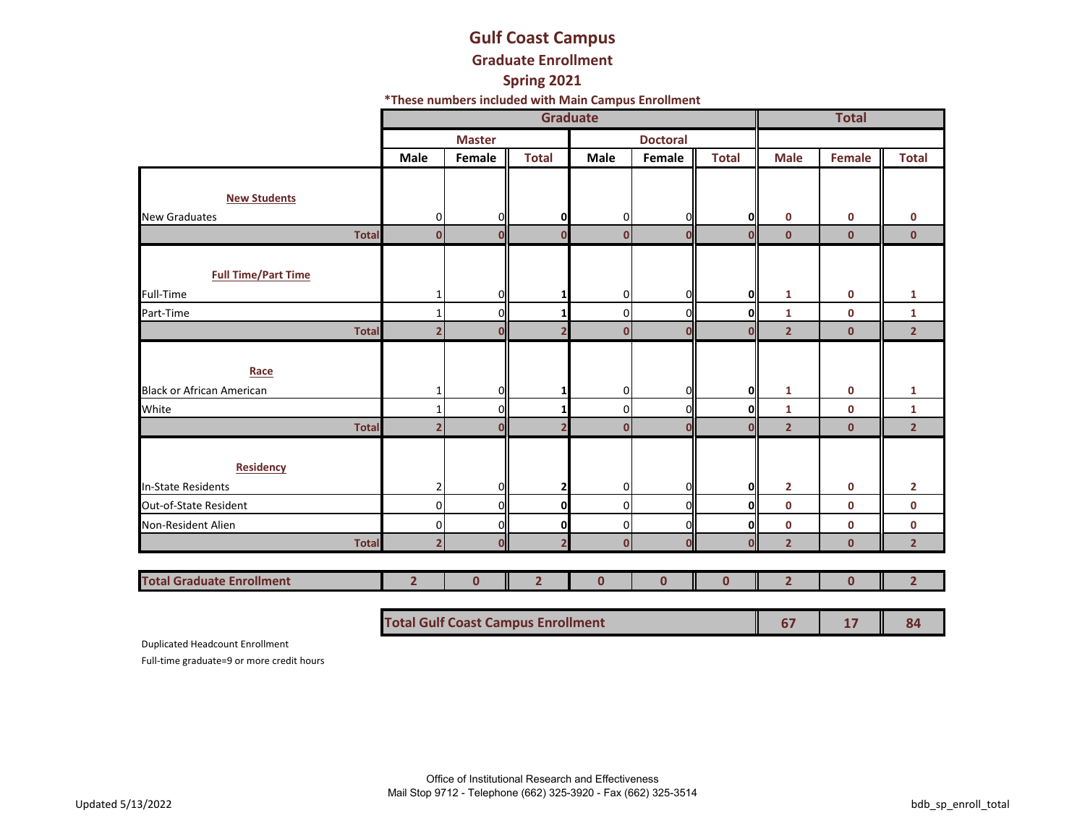# **Gulf Coast Campus Graduate Enrollment**

# **Spring 2021**

**\*These numbers included with Main Campus Enrollment**

|                                  |                         |               | <b>Total</b>            |              |                 |              |                |               |                |
|----------------------------------|-------------------------|---------------|-------------------------|--------------|-----------------|--------------|----------------|---------------|----------------|
|                                  |                         | <b>Master</b> |                         |              | <b>Doctoral</b> |              |                |               |                |
|                                  | Male                    | Female        | <b>Total</b>            | Male         | Female          | <b>Total</b> | <b>Male</b>    | <b>Female</b> | <b>Total</b>   |
|                                  |                         |               |                         |              |                 |              |                |               |                |
| <b>New Students</b>              |                         |               |                         |              |                 |              |                |               |                |
| <b>New Graduates</b>             | 0                       | 0             | 0                       | 0            | 0               | OI           | $\mathbf 0$    | 0             | 0              |
| <b>Total</b>                     | $\mathbf{0}$            | $\Omega$      | 0                       | $\Omega$     | $\Omega$        | $\Omega$     | $\mathbf{0}$   | $\mathbf{0}$  | $\mathbf{0}$   |
|                                  |                         |               |                         |              |                 |              |                |               |                |
| <b>Full Time/Part Time</b>       |                         |               |                         |              |                 |              |                |               |                |
| <b>Full-Time</b>                 |                         | 0l            | 1                       | 0            | 0               | Ol           | 1              | 0             | $\mathbf{1}$   |
| Part-Time                        | 1                       | ΟI            | 1                       | 0            | 0               | Ol           | 1              | $\mathbf 0$   | $\mathbf{1}$   |
| <b>Total</b>                     | $\overline{2}$          | $\mathbf{0}$  | $\overline{\mathbf{z}}$ | 0            | $\mathbf{0}$    | $\Omega$     | $\overline{2}$ | $\mathbf{0}$  | 2 <sup>1</sup> |
|                                  |                         |               |                         |              |                 |              |                |               |                |
| Race                             |                         |               |                         |              |                 |              |                |               |                |
| <b>Black or African American</b> | 1                       | 0l            | 1                       | 0            | O               | Ol           | 1              | $\mathbf 0$   | 1              |
| White                            | $\mathbf{1}$            | ΟI            | 1                       | 0            | 0               | Ol           | $\mathbf{1}$   | $\mathbf 0$   | $\mathbf{1}$   |
| <b>Total</b>                     | $\overline{2}$          | $\mathbf{0}$  | $\overline{2}$          | $\mathbf{0}$ | Ο               | 0            | $\overline{2}$ | $\mathbf{0}$  | $\overline{2}$ |
|                                  |                         |               |                         |              |                 |              |                |               |                |
| <b>Residency</b>                 |                         |               |                         |              |                 |              |                |               |                |
| <b>In-State Residents</b>        | 2                       | 0l            | 2                       | 0            | ი               | Ol           | $\overline{2}$ | 0             | $\mathbf{2}$   |
| Out-of-State Resident            | 0                       | ΩI            | O                       | 0            | N               | Ol           | 0              | $\mathbf 0$   | 0              |
| Non-Resident Alien               | 0                       | ОII           | 0                       | 0            | 0               | Ol           | 0              | $\mathbf 0$   | $\mathbf 0$    |
| <b>Total</b>                     | $\overline{\mathbf{2}}$ | $\mathbf{O}$  | $\overline{2}$          | 0            | $\mathbf 0$     | $\Omega$     | $\overline{2}$ | $\mathbf 0$   | $\overline{2}$ |
|                                  |                         |               |                         |              |                 |              |                |               |                |
| <b>Total Graduate Enrollment</b> | $\overline{2}$          | $\mathbf{0}$  | $\overline{2}$          | $\mathbf{0}$ | $\mathbf 0$     | $\mathbf 0$  | $\overline{2}$ | $\mathbf{0}$  | $\overline{2}$ |
|                                  |                         |               |                         |              |                 |              |                |               |                |

**Total Gulf Coast Campus Enrollment 67 17 84**

Duplicated Headcount Enrollment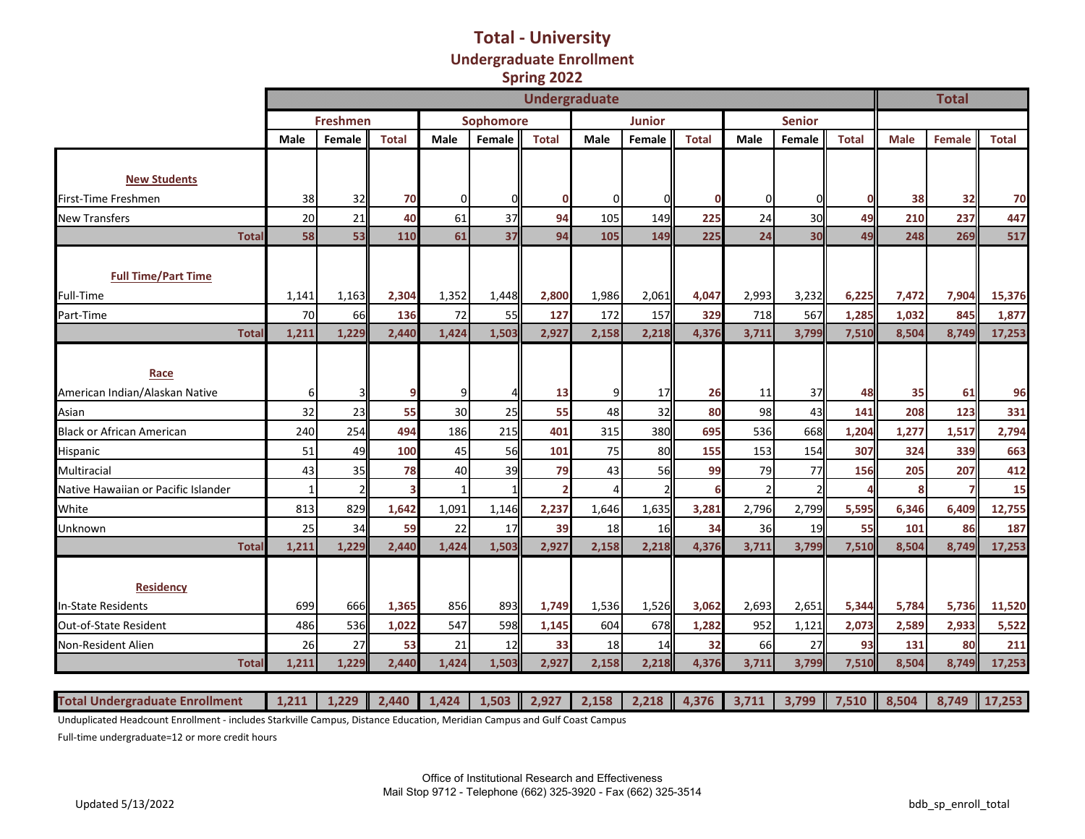#### **Total - University Undergraduate Enrollment Spring 2022**

|                                     | <b>Undergraduate</b> |                 |              |       |           |                |                |               |              |                |                |              | <b>Total</b> |               |              |
|-------------------------------------|----------------------|-----------------|--------------|-------|-----------|----------------|----------------|---------------|--------------|----------------|----------------|--------------|--------------|---------------|--------------|
|                                     |                      | <b>Freshmen</b> |              |       | Sophomore |                |                | <b>Junior</b> |              |                | <b>Senior</b>  |              |              |               |              |
|                                     | Male                 | Female          | <b>Total</b> | Male  | Female    | <b>Total</b>   | Male           | Female        | <b>Total</b> | <b>Male</b>    | Female         | <b>Total</b> | <b>Male</b>  | <b>Female</b> | <b>Total</b> |
|                                     |                      |                 |              |       |           |                |                |               |              |                |                |              |              |               |              |
| <b>New Students</b>                 |                      |                 |              |       |           |                |                |               |              |                |                |              |              |               |              |
| First-Time Freshmen                 | 38                   | 32              | 70           | 0     |           | 0              | $\Omega$       |               |              | $\mathbf 0$    | $\mathbf{O}$   | 0            | 38           | 32            | 70           |
| <b>New Transfers</b>                | 20                   | 21              | 40           | 61    | 37        | 94             | 105            | 149           | 225          | 24             | 30             | 49           | 210          | 237           | 447          |
| <b>Tota</b>                         | 58                   | 53              | 110          | 61    | 37        | 94             | 105            | 149           | 225          | 24             | 30             | 49           | 248          | 269           | 517          |
| <b>Full Time/Part Time</b>          |                      |                 |              |       |           |                |                |               |              |                |                |              |              |               |              |
| Full-Time                           | 1,141                | 1,163           | 2,304        | 1,352 | 1,448     | 2,800          | 1,986          | 2,061         | 4,047        | 2,993          | 3,232          | 6,225        | 7,472        | 7,904         | 15,376       |
| Part-Time                           | 70                   | 66              | 136          | 72    | 55        | 127            | 172            | 157           | 329          | 718            | 567            | 1,285        | 1,032        | 845           | 1,877        |
| <b>Tota</b>                         | 1,211                | 1,229           | 2,440        | 1,424 | 1,503     | 2,927          | 2,158          | 2,218         | 4,376        | 3,711          | 3,799          | 7,510        | 8,504        | 8.749         | 17,253       |
| Race                                |                      |                 |              |       |           |                |                |               |              |                |                |              |              |               |              |
| American Indian/Alaskan Native      | $6 \mid$             | 3               | 9            | 9     |           | 13             | $\overline{9}$ | 17            | 26           | 11             | 37             | 48           | 35           | 61            | 96           |
| Asian                               | 32                   | 23              | 55           | 30    | 25        | 55             | 48             | 32            | 80           | 98             | 43             | 141          | 208          | 123           | 331          |
| <b>Black or African American</b>    | 240                  | 254             | 494          | 186   | 215       | 401            | 315            | 380           | 695          | 536            | 668            | 1,204        | 1,277        | 1,517         | 2,794        |
| Hispanic                            | 51                   | 49              | 100          | 45    | 56        | 101            | 75             | 80            | 155          | 153            | 154            | 307          | 324          | 339           | 663          |
| Multiracial                         | 43                   | 35              | 78           | 40    | 39        | 79             | 43             | 56            | 99           | 79             | 77             | 156          | 205          | 207           | 412          |
| Native Hawaiian or Pacific Islander | $\mathbf{1}$         | $\overline{2}$  |              |       |           | $\overline{2}$ | 4              |               |              | $\overline{2}$ | $\overline{2}$ | Δ            | 8            |               | 15           |
| White                               | 813                  | 829             | 1,642        | 1,091 | 1,146     | 2,237          | 1,646          | 1,635         | 3,281        | 2,796          | 2,799          | 5,595        | 6,346        | 6,409         | 12,755       |
| Unknown                             | 25                   | 34              | 59           | 22    | 17        | 39             | 18             | 16            | 34           | 36             | 19             | 55           | 101          | 86            | 187          |
| <b>Tota</b>                         | 1,211                | 1,229           | 2,440        | 1,424 | 1,503     | 2,927          | 2,158          | 2,218         | 4,376        | 3,711          | 3,799          | 7,510        | 8,504        | 8,749         | 17,253       |
| <b>Residency</b>                    |                      |                 |              |       |           |                |                |               |              |                |                |              |              |               |              |
| <b>In-State Residents</b>           | 699                  | 666             | 1,365        | 856   | 893       | 1,749          | 1,536          | 1,526         | 3,062        | 2,693          | 2,651          | 5,344        | 5,784        | 5,736         | 11,520       |
| Out-of-State Resident               | 486                  | 536             | 1,022        | 547   | 598       | 1,145          | 604            | 678           | 1,282        | 952            | 1,121          | 2,073        | 2,589        | 2,933         | 5,522        |
| Non-Resident Alien                  | 26                   | 27              | 53           | 21    | 12        | 33             | 18             | 14            | 32           | 66             | 27             | 93           | 131          | 80            | 211          |
| <b>Tota</b>                         | 1,211                | 1,229           | 2,440        | 1,424 | 1,503     | 2,927          | 2,158          | 2,218         | 4,376        | 3,711          | 3,799          | 7,510        | 8,504        | 8,749         | 17,253       |

Unduplicated Headcount Enrollment - includes Starkville Campus, Distance Education, Meridian Campus and Gulf Coast Campus

Full-time undergraduate=12 or more credit hours

Total Undergraduate Enrollment | 1,211 | 1,229 | 2,440 | 1,424 | 1,503 | 2,927 | 2,158 | 2,218 | 4,376 | 3,711 | 3,799 | 7,510 | 8,504 | 8,749 | 17,253